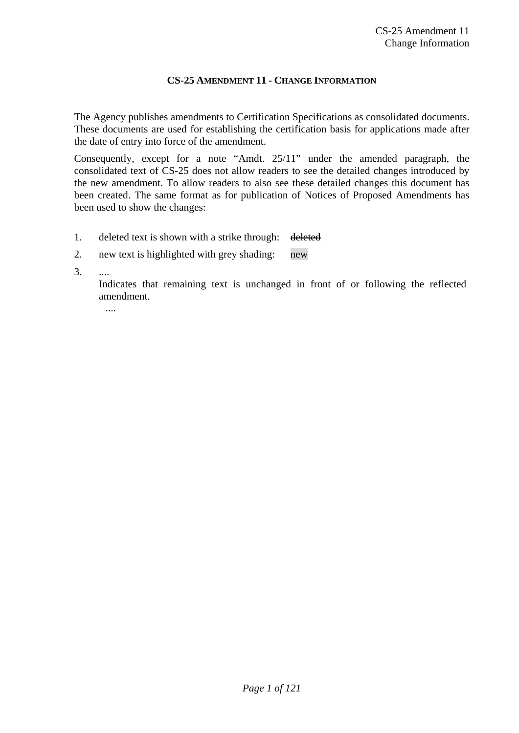#### **CS-25 AMENDMENT 11 - CHANGE INFORMATION**

The Agency publishes amendments to Certification Specifications as consolidated documents. These documents are used for establishing the certification basis for applications made after the date of entry into force of the amendment.

Consequently, except for a note "Amdt. 25/11" under the amended paragraph, the consolidated text of CS-25 does not allow readers to see the detailed changes introduced by the new amendment. To allow readers to also see these detailed changes this document has been created. The same format as for publication of Notices of Proposed Amendments has been used to show the changes:

1. deleted text is shown with a strike through: deleted

#### 2. new text is highlighted with grey shading: new

3. ....

 Indicates that remaining text is unchanged in front of or following the reflected amendment.

....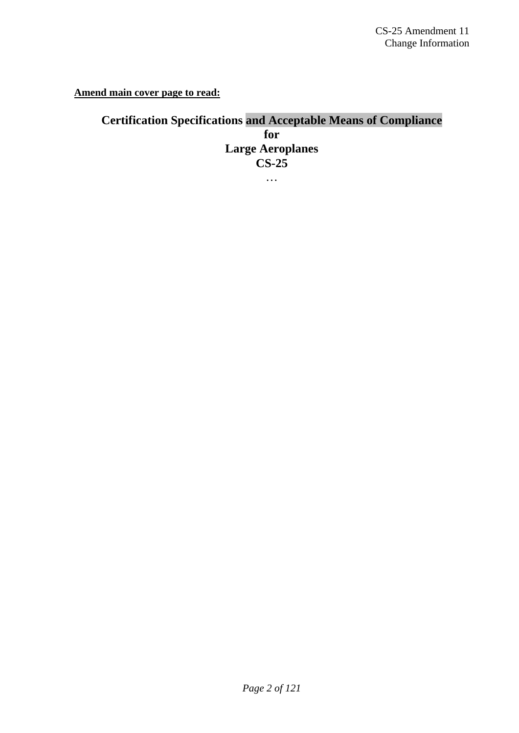**Amend main cover page to read:**

**Certification Specifications and Acceptable Means of Compliance for Large Aeroplanes CS-25**  …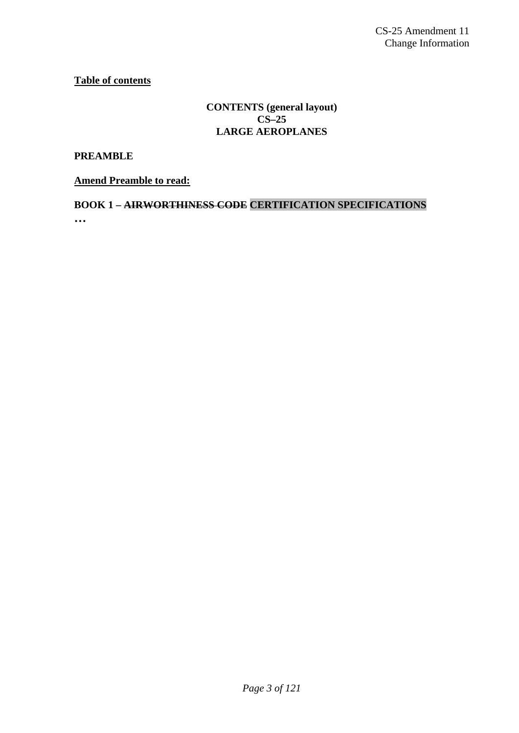**Table of contents**

# **CONTENTS (general layout) CS–25 LARGE AEROPLANES**

**PREAMBLE** 

**Amend Preamble to read:**

**BOOK 1 – AIRWORTHINESS CODE CERTIFICATION SPECIFICATIONS …**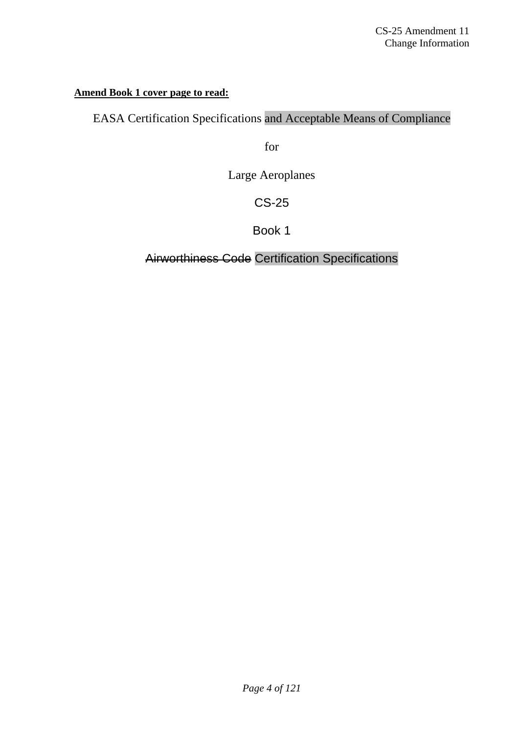# **Amend Book 1 cover page to read:**

# EASA Certification Specifications and Acceptable Means of Compliance

for

Large Aeroplanes

CS-25

Book 1

Airworthiness Code Certification Specifications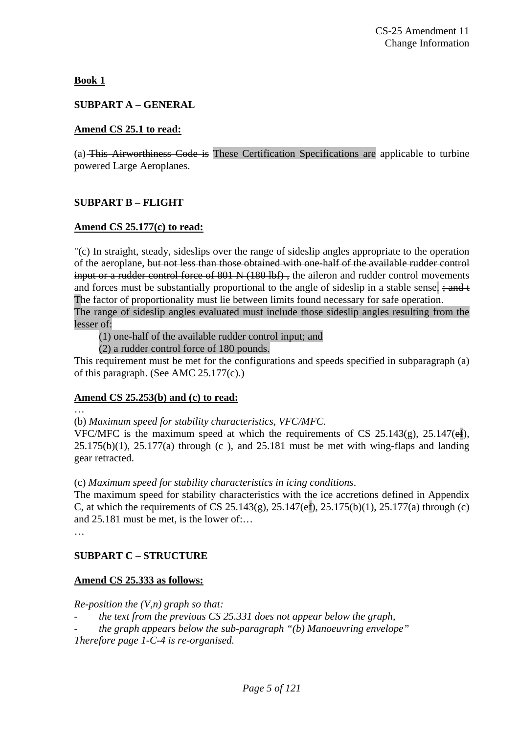**Book 1**

# **SUBPART A – GENERAL**

# **Amend CS 25.1 to read:**

(a) This Airworthiness Code is These Certification Specifications are applicable to turbine powered Large Aeroplanes.

# **SUBPART B – FLIGHT**

# **Amend CS 25.177(c) to read:**

"(c) In straight, steady, sideslips over the range of sideslip angles appropriate to the operation of the aeroplane, but not less than those obtained with one-half of the available rudder control input or a rudder control force of 801 N (180 lbf), the aileron and rudder control movements and forces must be substantially proportional to the angle of sideslip in a stable sense.  $\div$  and t The factor of proportionality must lie between limits found necessary for safe operation. The range of sideslip angles evaluated must include those sideslip angles resulting from the lesser of:

(1) one-half of the available rudder control input; and

(2) a rudder control force of 180 pounds.

This requirement must be met for the configurations and speeds specified in subparagraph (a) of this paragraph. (See AMC 25.177(c).)

# **Amend CS 25.253(b) and (c) to read:**

…

(b) *Maximum speed for stability characteristics, VFC/MFC.* 

VFC/MFC is the maximum speed at which the requirements of CS 25.143(g), 25.147( $\epsilon$ f),  $25.175(b)(1)$ ,  $25.177(a)$  through (c), and  $25.181$  must be met with wing-flaps and landing gear retracted.

(c) *Maximum speed for stability characteristics in icing conditions*.

The maximum speed for stability characteristics with the ice accretions defined in Appendix C, at which the requirements of CS 25.143(g),  $25.147(ef)$ ,  $25.175(b)(1)$ ,  $25.177(a)$  through (c) and 25.181 must be met, is the lower of:…

…

# **SUBPART C – STRUCTURE**

# **Amend CS 25.333 as follows:**

*Re-position the (V,n) graph so that:* 

- the text from the previous CS 25.331 does not appear below the graph,
- *the graph appears below the sub-paragraph "(b) Manoeuvring envelope"*

*Therefore page 1-C-4 is re-organised.*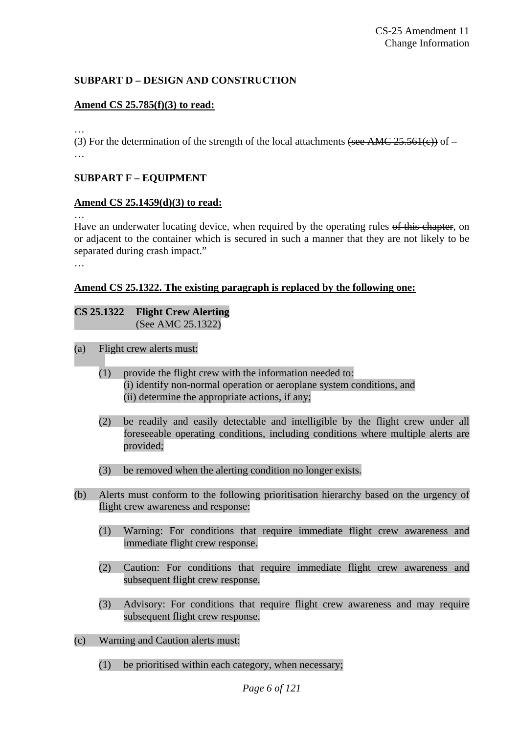# **SUBPART D – DESIGN AND CONSTRUCTION**

#### **Amend CS 25.785(f)(3) to read:**

…

(3) For the determination of the strength of the local attachments (see AMC 25.561(e)) of – …

#### **SUBPART F – EQUIPMENT**

#### **Amend CS 25.1459(d)(3) to read:**

…

Have an underwater locating device, when required by the operating rules of this chapter, on or adjacent to the container which is secured in such a manner that they are not likely to be separated during crash impact."

…

#### **Amend CS 25.1322. The existing paragraph is replaced by the following one:**

#### **CS 25.1322 Flight Crew Alerting**  (See AMC 25.1322)

- (a) Flight crew alerts must:
	- (1) provide the flight crew with the information needed to: (i) identify non-normal operation or aeroplane system conditions, and (ii) determine the appropriate actions, if any;
	- (2) be readily and easily detectable and intelligible by the flight crew under all foreseeable operating conditions, including conditions where multiple alerts are provided;
	- (3) be removed when the alerting condition no longer exists.
- (b) Alerts must conform to the following prioritisation hierarchy based on the urgency of flight crew awareness and response:
	- (1) Warning: For conditions that require immediate flight crew awareness and immediate flight crew response.
	- (2) Caution: For conditions that require immediate flight crew awareness and subsequent flight crew response.
	- (3) Advisory: For conditions that require flight crew awareness and may require subsequent flight crew response.
- (c) Warning and Caution alerts must:
	- (1) be prioritised within each category, when necessary;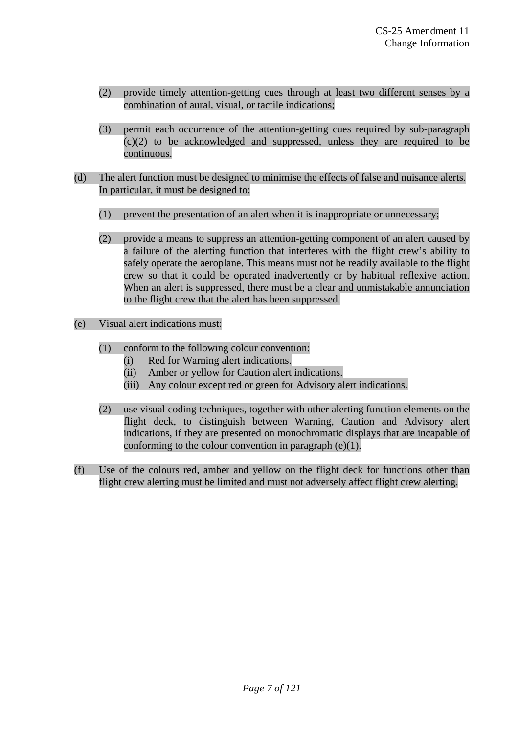- (2) provide timely attention-getting cues through at least two different senses by a combination of aural, visual, or tactile indications;
- (3) permit each occurrence of the attention-getting cues required by sub-paragraph (c)(2) to be acknowledged and suppressed, unless they are required to be continuous.
- (d) The alert function must be designed to minimise the effects of false and nuisance alerts. In particular, it must be designed to:
	- (1) prevent the presentation of an alert when it is inappropriate or unnecessary;
	- (2) provide a means to suppress an attention-getting component of an alert caused by a failure of the alerting function that interferes with the flight crew's ability to safely operate the aeroplane. This means must not be readily available to the flight crew so that it could be operated inadvertently or by habitual reflexive action. When an alert is suppressed, there must be a clear and unmistakable annunciation to the flight crew that the alert has been suppressed.
- (e) Visual alert indications must:
	- (1) conform to the following colour convention:
		- (i) Red for Warning alert indications.
		- (ii) Amber or yellow for Caution alert indications.
		- (iii) Any colour except red or green for Advisory alert indications.
	- (2) use visual coding techniques, together with other alerting function elements on the flight deck, to distinguish between Warning, Caution and Advisory alert indications, if they are presented on monochromatic displays that are incapable of conforming to the colour convention in paragraph (e)(1).
- (f) Use of the colours red, amber and yellow on the flight deck for functions other than flight crew alerting must be limited and must not adversely affect flight crew alerting.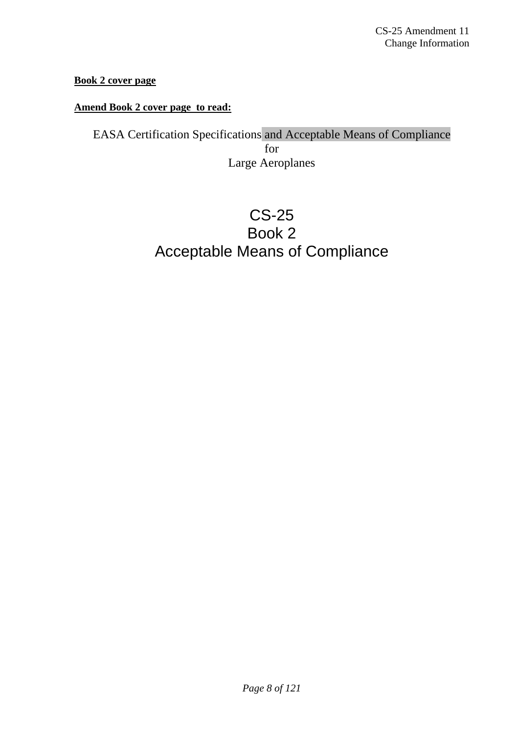# **Book 2 cover page**

# **Amend Book 2 cover page to read:**

EASA Certification Specifications and Acceptable Means of Compliance for Large Aeroplanes

# CS-25 Book 2 Acceptable Means of Compliance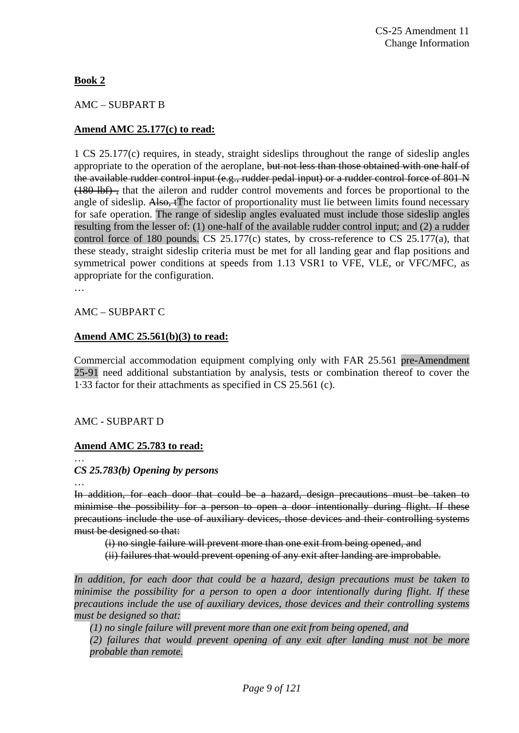# **Book 2**

# AMC – SUBPART B

# **Amend AMC 25.177(c) to read:**

1 CS 25.177(c) requires, in steady, straight sideslips throughout the range of sideslip angles appropriate to the operation of the aeroplane, but not less than those obtained with one half of the available rudder control input (e.g., rudder pedal input) or a rudder control force of 801 N (180 lbf) , that the aileron and rudder control movements and forces be proportional to the angle of sideslip. Also, tThe factor of proportionality must lie between limits found necessary for safe operation. The range of sideslip angles evaluated must include those sideslip angles resulting from the lesser of: (1) one-half of the available rudder control input; and (2) a rudder control force of 180 pounds. CS 25.177(c) states, by cross-reference to CS 25.177(a), that these steady, straight sideslip criteria must be met for all landing gear and flap positions and symmetrical power conditions at speeds from 1.13 VSR1 to VFE, VLE, or VFC/MFC, as appropriate for the configuration.

…

#### AMC – SUBPART C

# **Amend AMC 25.561(b)(3) to read:**

Commercial accommodation equipment complying only with FAR 25.561 pre-Amendment 25-91 need additional substantiation by analysis, tests or combination thereof to cover the 1·33 factor for their attachments as specified in CS 25.561 (c).

#### AMC - SUBPART D

# **Amend AMC 25.783 to read:**

…

# *CS 25.783(b) Opening by persons*

…

In addition, for each door that could be a hazard, design precautions must be taken to minimise the possibility for a person to open a door intentionally during flight. If these precautions include the use of auxiliary devices, those devices and their controlling systems must be designed so that:

(i) no single failure will prevent more than one exit from being opened, and

(ii) failures that would prevent opening of any exit after landing are improbable.

*In addition, for each door that could be a hazard, design precautions must be taken to minimise the possibility for a person to open a door intentionally during flight. If these precautions include the use of auxiliary devices, those devices and their controlling systems must be designed so that:* 

*(1) no single failure will prevent more than one exit from being opened, and* 

*(2) failures that would prevent opening of any exit after landing must not be more probable than remote.*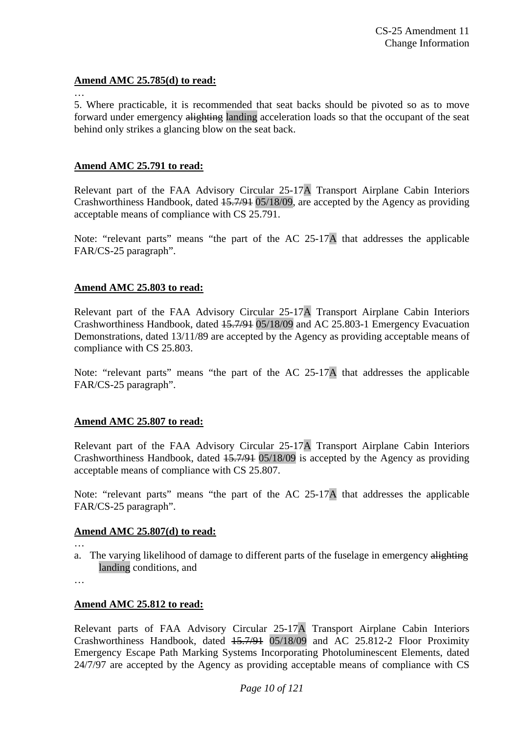#### **Amend AMC 25.785(d) to read:**

 $\mathbb{R}^2$ 

5. Where practicable, it is recommended that seat backs should be pivoted so as to move forward under emergency alighting landing acceleration loads so that the occupant of the seat behind only strikes a glancing blow on the seat back.

#### **Amend AMC 25.791 to read:**

Relevant part of the FAA Advisory Circular 25-17A Transport Airplane Cabin Interiors Crashworthiness Handbook, dated 15.7/91 05/18/09, are accepted by the Agency as providing acceptable means of compliance with CS 25.791.

Note: "relevant parts" means "the part of the AC 25-17A that addresses the applicable FAR/CS-25 paragraph".

#### **Amend AMC 25.803 to read:**

Relevant part of the FAA Advisory Circular 25-17A Transport Airplane Cabin Interiors Crashworthiness Handbook, dated 15.7/91 05/18/09 and AC 25.803-1 Emergency Evacuation Demonstrations, dated 13/11/89 are accepted by the Agency as providing acceptable means of compliance with CS 25.803.

Note: "relevant parts" means "the part of the AC 25-17A that addresses the applicable FAR/CS-25 paragraph".

#### **Amend AMC 25.807 to read:**

Relevant part of the FAA Advisory Circular 25-17A Transport Airplane Cabin Interiors Crashworthiness Handbook, dated 15.7/91 05/18/09 is accepted by the Agency as providing acceptable means of compliance with CS 25.807.

Note: "relevant parts" means "the part of the AC 25-17A that addresses the applicable FAR/CS-25 paragraph".

#### **Amend AMC 25.807(d) to read:**

…

a. The varying likelihood of damage to different parts of the fuselage in emergency alighting landing conditions, and

…

# **Amend AMC 25.812 to read:**

Relevant parts of FAA Advisory Circular 25-17A Transport Airplane Cabin Interiors Crashworthiness Handbook, dated 15.7/91 05/18/09 and AC 25.812-2 Floor Proximity Emergency Escape Path Marking Systems Incorporating Photoluminescent Elements, dated 24/7/97 are accepted by the Agency as providing acceptable means of compliance with CS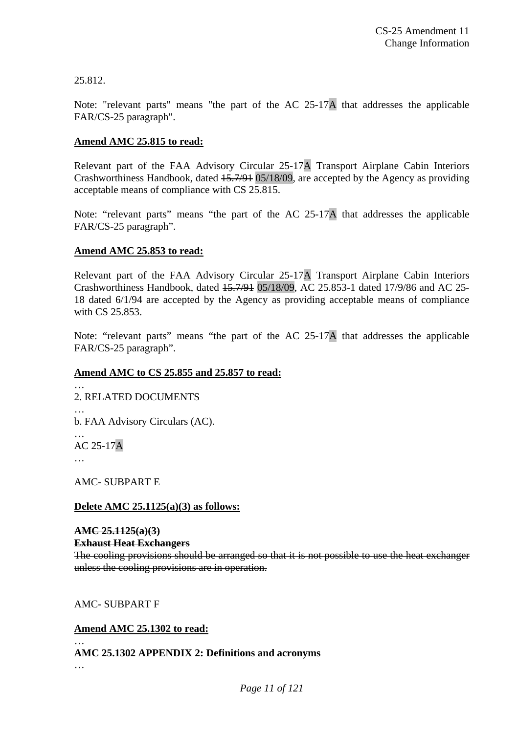25.812.

Note: "relevant parts" means "the part of the AC 25-17A that addresses the applicable FAR/CS-25 paragraph".

# **Amend AMC 25.815 to read:**

Relevant part of the FAA Advisory Circular 25-17A Transport Airplane Cabin Interiors Crashworthiness Handbook, dated 15.7/91 05/18/09, are accepted by the Agency as providing acceptable means of compliance with CS 25.815.

Note: "relevant parts" means "the part of the AC 25-17A that addresses the applicable FAR/CS-25 paragraph".

# **Amend AMC 25.853 to read:**

Relevant part of the FAA Advisory Circular 25-17A Transport Airplane Cabin Interiors Crashworthiness Handbook, dated 15.7/91 05/18/09, AC 25.853-1 dated 17/9/86 and AC 25- 18 dated 6/1/94 are accepted by the Agency as providing acceptable means of compliance with CS 25.853.

Note: "relevant parts" means "the part of the AC 25-17A that addresses the applicable FAR/CS-25 paragraph".

# **Amend AMC to CS 25.855 and 25.857 to read:**

2. RELATED DOCUMENTS

… b. FAA Advisory Circulars (AC).

… AC 25-17A

…

…

AMC- SUBPART E

# **Delete AMC 25.1125(a)(3) as follows:**

# **AMC 25.1125(a)(3)**

# **Exhaust Heat Exchangers**

The cooling provisions should be arranged so that it is not possible to use the heat exchanger unless the cooling provisions are in operation.

# AMC- SUBPART F

# **Amend AMC 25.1302 to read:**

# **AMC 25.1302 APPENDIX 2: Definitions and acronyms**

…

 $\mathbb{R}$  .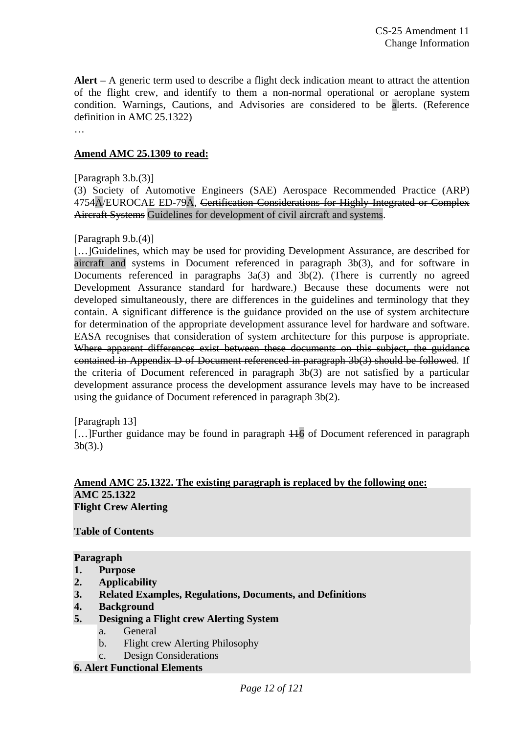**Alert** – A generic term used to describe a flight deck indication meant to attract the attention of the flight crew, and identify to them a non-normal operational or aeroplane system condition. Warnings, Cautions, and Advisories are considered to be alerts. (Reference definition in AMC 25.1322)

…

# **Amend AMC 25.1309 to read:**

[Paragraph 3.b.(3)]

(3) Society of Automotive Engineers (SAE) Aerospace Recommended Practice (ARP) 4754A/EUROCAE ED-79A, Certification Considerations for Highly Integrated or Complex Aircraft Systems Guidelines for development of civil aircraft and systems.

# [Paragraph 9.b.(4)]

[…]Guidelines, which may be used for providing Development Assurance, are described for aircraft and systems in Document referenced in paragraph 3b(3), and for software in Documents referenced in paragraphs 3a(3) and 3b(2). (There is currently no agreed Development Assurance standard for hardware.) Because these documents were not developed simultaneously, there are differences in the guidelines and terminology that they contain. A significant difference is the guidance provided on the use of system architecture for determination of the appropriate development assurance level for hardware and software. EASA recognises that consideration of system architecture for this purpose is appropriate. Where apparent differences exist between these documents on this subject, the guidance contained in Appendix D of Document referenced in paragraph 3b(3) should be followed. If the criteria of Document referenced in paragraph 3b(3) are not satisfied by a particular development assurance process the development assurance levels may have to be increased using the guidance of Document referenced in paragraph 3b(2).

#### [Paragraph 13]

[…]Further guidance may be found in paragraph 116 of Document referenced in paragraph 3b(3).)

#### **Amend AMC 25.1322. The existing paragraph is replaced by the following one: AMC 25.1322 Flight Crew Alerting**

# **Table of Contents**

#### **Paragraph**

- **1. Purpose**
- **2. Applicability**
- **3. Related Examples, Regulations, Documents, and Definitions**
- **4. Background**
- **5. Designing a Flight crew Alerting System** 
	- a. General
	- b. Flight crew Alerting Philosophy

# c. Design Considerations

#### **6. Alert Functional Elements**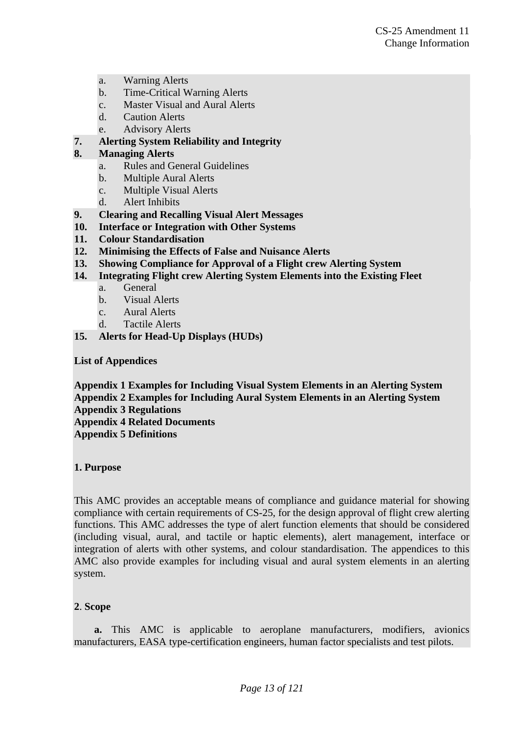- a. Warning Alerts
- b. Time-Critical Warning Alerts
- c. Master Visual and Aural Alerts
- d. Caution Alerts
- e. Advisory Alerts
- **7. Alerting System Reliability and Integrity**

# **8. Managing Alerts**

- a. Rules and General Guidelines
- b. Multiple Aural Alerts
- c. Multiple Visual Alerts
- d. Alert Inhibits
- **9. Clearing and Recalling Visual Alert Messages**
- **10. Interface or Integration with Other Systems**
- **11. Colour Standardisation**
- **12. Minimising the Effects of False and Nuisance Alerts**
- **13. Showing Compliance for Approval of a Flight crew Alerting System**
- **14. Integrating Flight crew Alerting System Elements into the Existing Fleet** 
	- a. General
	- b. Visual Alerts
	- c. Aural Alerts
	- d. Tactile Alerts
- **15. Alerts for Head-Up Displays (HUDs)**

**List of Appendices** 

**Appendix 1 Examples for Including Visual System Elements in an Alerting System Appendix 2 Examples for Including Aural System Elements in an Alerting System Appendix 3 Regulations** 

**Appendix 4 Related Documents** 

**Appendix 5 Definitions** 

#### **1. Purpose**

This AMC provides an acceptable means of compliance and guidance material for showing compliance with certain requirements of CS-25, for the design approval of flight crew alerting functions. This AMC addresses the type of alert function elements that should be considered (including visual, aural, and tactile or haptic elements), alert management, interface or integration of alerts with other systems, and colour standardisation. The appendices to this AMC also provide examples for including visual and aural system elements in an alerting system.

# **2**. **Scope**

**a.** This AMC is applicable to aeroplane manufacturers, modifiers, avionics manufacturers, EASA type-certification engineers, human factor specialists and test pilots.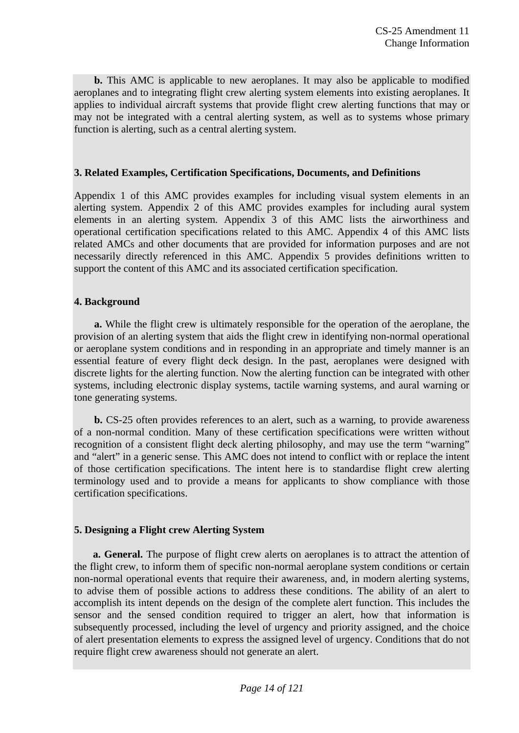**b.** This AMC is applicable to new aeroplanes. It may also be applicable to modified aeroplanes and to integrating flight crew alerting system elements into existing aeroplanes. It applies to individual aircraft systems that provide flight crew alerting functions that may or may not be integrated with a central alerting system, as well as to systems whose primary function is alerting, such as a central alerting system.

# **3. Related Examples, Certification Specifications, Documents, and Definitions**

Appendix 1 of this AMC provides examples for including visual system elements in an alerting system. Appendix 2 of this AMC provides examples for including aural system elements in an alerting system. Appendix 3 of this AMC lists the airworthiness and operational certification specifications related to this AMC. Appendix 4 of this AMC lists related AMCs and other documents that are provided for information purposes and are not necessarily directly referenced in this AMC. Appendix 5 provides definitions written to support the content of this AMC and its associated certification specification.

# **4. Background**

**a.** While the flight crew is ultimately responsible for the operation of the aeroplane, the provision of an alerting system that aids the flight crew in identifying non-normal operational or aeroplane system conditions and in responding in an appropriate and timely manner is an essential feature of every flight deck design. In the past, aeroplanes were designed with discrete lights for the alerting function. Now the alerting function can be integrated with other systems, including electronic display systems, tactile warning systems, and aural warning or tone generating systems.

**b.** CS-25 often provides references to an alert, such as a warning, to provide awareness of a non-normal condition. Many of these certification specifications were written without recognition of a consistent flight deck alerting philosophy, and may use the term "warning" and "alert" in a generic sense. This AMC does not intend to conflict with or replace the intent of those certification specifications. The intent here is to standardise flight crew alerting terminology used and to provide a means for applicants to show compliance with those certification specifications.

# **5. Designing a Flight crew Alerting System**

**a. General.** The purpose of flight crew alerts on aeroplanes is to attract the attention of the flight crew, to inform them of specific non-normal aeroplane system conditions or certain non-normal operational events that require their awareness, and, in modern alerting systems, to advise them of possible actions to address these conditions. The ability of an alert to accomplish its intent depends on the design of the complete alert function. This includes the sensor and the sensed condition required to trigger an alert, how that information is subsequently processed, including the level of urgency and priority assigned, and the choice of alert presentation elements to express the assigned level of urgency. Conditions that do not require flight crew awareness should not generate an alert.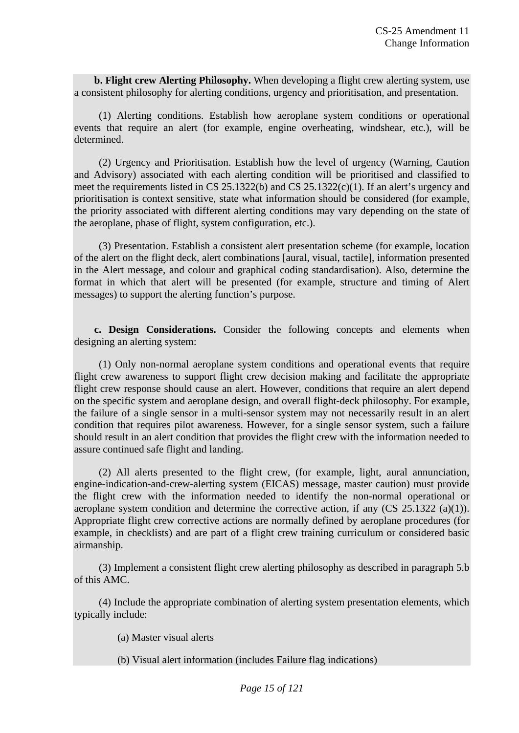**b. Flight crew Alerting Philosophy.** When developing a flight crew alerting system, use a consistent philosophy for alerting conditions, urgency and prioritisation, and presentation.

(1) Alerting conditions. Establish how aeroplane system conditions or operational events that require an alert (for example, engine overheating, windshear, etc.), will be determined.

(2) Urgency and Prioritisation. Establish how the level of urgency (Warning, Caution and Advisory) associated with each alerting condition will be prioritised and classified to meet the requirements listed in CS 25.1322(b) and CS 25.1322(c)(1). If an alert's urgency and prioritisation is context sensitive, state what information should be considered (for example, the priority associated with different alerting conditions may vary depending on the state of the aeroplane, phase of flight, system configuration, etc.).

(3) Presentation. Establish a consistent alert presentation scheme (for example, location of the alert on the flight deck, alert combinations [aural, visual, tactile], information presented in the Alert message, and colour and graphical coding standardisation). Also, determine the format in which that alert will be presented (for example, structure and timing of Alert messages) to support the alerting function's purpose.

**c. Design Considerations.** Consider the following concepts and elements when designing an alerting system:

(1) Only non-normal aeroplane system conditions and operational events that require flight crew awareness to support flight crew decision making and facilitate the appropriate flight crew response should cause an alert. However, conditions that require an alert depend on the specific system and aeroplane design, and overall flight-deck philosophy. For example, the failure of a single sensor in a multi-sensor system may not necessarily result in an alert condition that requires pilot awareness. However, for a single sensor system, such a failure should result in an alert condition that provides the flight crew with the information needed to assure continued safe flight and landing.

(2) All alerts presented to the flight crew, (for example, light, aural annunciation, engine-indication-and-crew-alerting system (EICAS) message, master caution) must provide the flight crew with the information needed to identify the non-normal operational or aeroplane system condition and determine the corrective action, if any (CS 25.1322 (a)(1)). Appropriate flight crew corrective actions are normally defined by aeroplane procedures (for example, in checklists) and are part of a flight crew training curriculum or considered basic airmanship.

(3) Implement a consistent flight crew alerting philosophy as described in paragraph 5.b of this AMC.

(4) Include the appropriate combination of alerting system presentation elements, which typically include:

(a) Master visual alerts

(b) Visual alert information (includes Failure flag indications)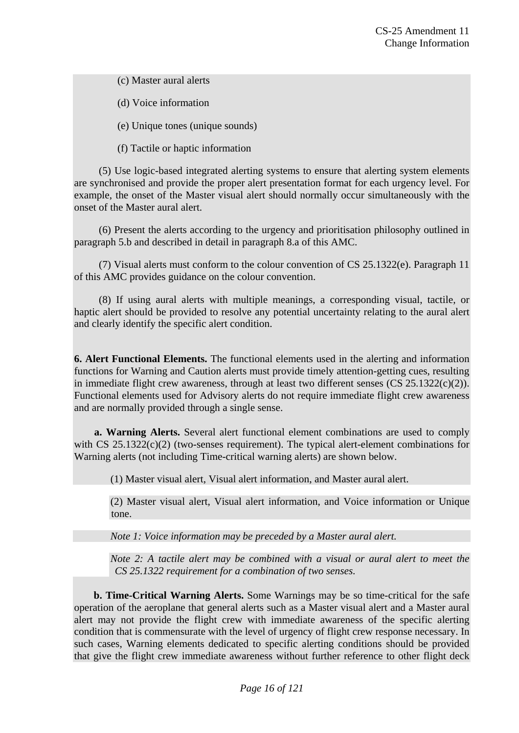(c) Master aural alerts

(d) Voice information

(e) Unique tones (unique sounds)

(f) Tactile or haptic information

(5) Use logic-based integrated alerting systems to ensure that alerting system elements are synchronised and provide the proper alert presentation format for each urgency level. For example, the onset of the Master visual alert should normally occur simultaneously with the onset of the Master aural alert.

(6) Present the alerts according to the urgency and prioritisation philosophy outlined in paragraph 5.b and described in detail in paragraph 8.a of this AMC.

(7) Visual alerts must conform to the colour convention of CS 25.1322(e). Paragraph 11 of this AMC provides guidance on the colour convention.

(8) If using aural alerts with multiple meanings, a corresponding visual, tactile, or haptic alert should be provided to resolve any potential uncertainty relating to the aural alert and clearly identify the specific alert condition.

**6. Alert Functional Elements.** The functional elements used in the alerting and information functions for Warning and Caution alerts must provide timely attention-getting cues, resulting in immediate flight crew awareness, through at least two different senses (CS 25.1322(c)(2)). Functional elements used for Advisory alerts do not require immediate flight crew awareness and are normally provided through a single sense.

**a. Warning Alerts.** Several alert functional element combinations are used to comply with  $CS$  25.1322(c)(2) (two-senses requirement). The typical alert-element combinations for Warning alerts (not including Time-critical warning alerts) are shown below.

(1) Master visual alert, Visual alert information, and Master aural alert.

(2) Master visual alert, Visual alert information, and Voice information or Unique tone.

*Note 1: Voice information may be preceded by a Master aural alert.* 

*Note 2: A tactile alert may be combined with a visual or aural alert to meet the CS 25.1322 requirement for a combination of two senses.* 

**b. Time-Critical Warning Alerts.** Some Warnings may be so time-critical for the safe operation of the aeroplane that general alerts such as a Master visual alert and a Master aural alert may not provide the flight crew with immediate awareness of the specific alerting condition that is commensurate with the level of urgency of flight crew response necessary. In such cases, Warning elements dedicated to specific alerting conditions should be provided that give the flight crew immediate awareness without further reference to other flight deck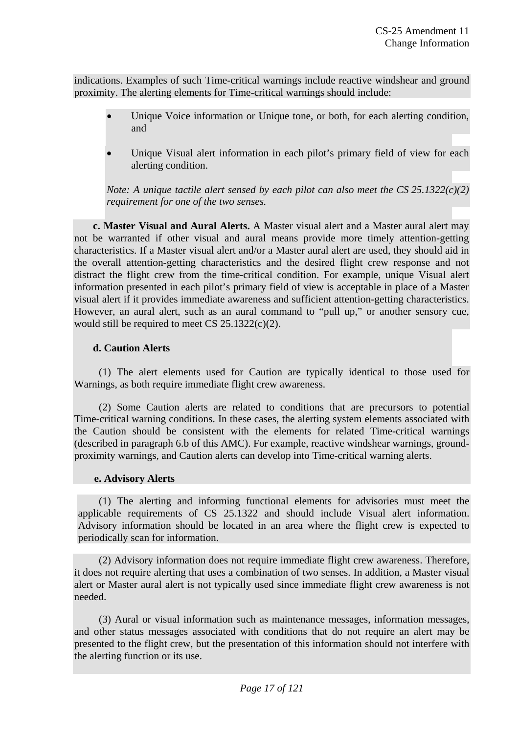indications. Examples of such Time-critical warnings include reactive windshear and ground proximity. The alerting elements for Time-critical warnings should include:

- Unique Voice information or Unique tone, or both, for each alerting condition, and
- Unique Visual alert information in each pilot's primary field of view for each alerting condition.

*Note: A unique tactile alert sensed by each pilot can also meet the CS 25.1322(c)(2) requirement for one of the two senses.* 

**c. Master Visual and Aural Alerts.** A Master visual alert and a Master aural alert may not be warranted if other visual and aural means provide more timely attention-getting characteristics. If a Master visual alert and/or a Master aural alert are used, they should aid in the overall attention-getting characteristics and the desired flight crew response and not distract the flight crew from the time-critical condition. For example, unique Visual alert information presented in each pilot's primary field of view is acceptable in place of a Master visual alert if it provides immediate awareness and sufficient attention-getting characteristics. However, an aural alert, such as an aural command to "pull up," or another sensory cue, would still be required to meet CS 25.1322(c)(2).

# **d. Caution Alerts**

(1) The alert elements used for Caution are typically identical to those used for Warnings, as both require immediate flight crew awareness.

(2) Some Caution alerts are related to conditions that are precursors to potential Time-critical warning conditions. In these cases, the alerting system elements associated with the Caution should be consistent with the elements for related Time-critical warnings (described in paragraph 6.b of this AMC). For example, reactive windshear warnings, groundproximity warnings, and Caution alerts can develop into Time-critical warning alerts.

# **e. Advisory Alerts**

(1) The alerting and informing functional elements for advisories must meet the applicable requirements of CS 25.1322 and should include Visual alert information. Advisory information should be located in an area where the flight crew is expected to periodically scan for information.

(2) Advisory information does not require immediate flight crew awareness. Therefore, it does not require alerting that uses a combination of two senses. In addition, a Master visual alert or Master aural alert is not typically used since immediate flight crew awareness is not needed.

(3) Aural or visual information such as maintenance messages, information messages, and other status messages associated with conditions that do not require an alert may be presented to the flight crew, but the presentation of this information should not interfere with the alerting function or its use.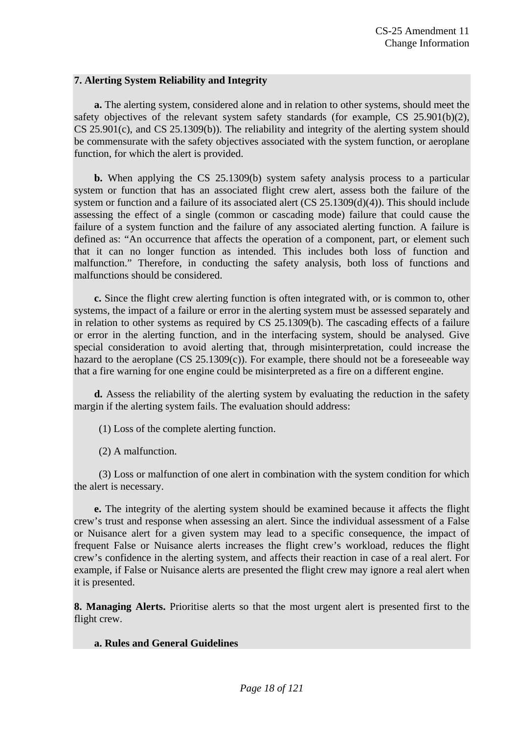#### **7. Alerting System Reliability and Integrity**

**a.** The alerting system, considered alone and in relation to other systems, should meet the safety objectives of the relevant system safety standards (for example,  $CS$  25.901(b)(2), CS 25.901(c), and CS 25.1309(b)). The reliability and integrity of the alerting system should be commensurate with the safety objectives associated with the system function, or aeroplane function, for which the alert is provided.

**b.** When applying the CS 25.1309(b) system safety analysis process to a particular system or function that has an associated flight crew alert, assess both the failure of the system or function and a failure of its associated alert (CS 25.1309(d)(4)). This should include assessing the effect of a single (common or cascading mode) failure that could cause the failure of a system function and the failure of any associated alerting function. A failure is defined as: "An occurrence that affects the operation of a component, part, or element such that it can no longer function as intended. This includes both loss of function and malfunction." Therefore, in conducting the safety analysis, both loss of functions and malfunctions should be considered.

**c.** Since the flight crew alerting function is often integrated with, or is common to, other systems, the impact of a failure or error in the alerting system must be assessed separately and in relation to other systems as required by CS 25.1309(b). The cascading effects of a failure or error in the alerting function, and in the interfacing system, should be analysed. Give special consideration to avoid alerting that, through misinterpretation, could increase the hazard to the aeroplane  $(CS 25.1309(c))$ . For example, there should not be a foreseeable way that a fire warning for one engine could be misinterpreted as a fire on a different engine.

**d.** Assess the reliability of the alerting system by evaluating the reduction in the safety margin if the alerting system fails. The evaluation should address:

(1) Loss of the complete alerting function.

(2) A malfunction.

(3) Loss or malfunction of one alert in combination with the system condition for which the alert is necessary.

**e.** The integrity of the alerting system should be examined because it affects the flight crew's trust and response when assessing an alert. Since the individual assessment of a False or Nuisance alert for a given system may lead to a specific consequence, the impact of frequent False or Nuisance alerts increases the flight crew's workload, reduces the flight crew's confidence in the alerting system, and affects their reaction in case of a real alert. For example, if False or Nuisance alerts are presented the flight crew may ignore a real alert when it is presented.

**8. Managing Alerts.** Prioritise alerts so that the most urgent alert is presented first to the flight crew.

# **a. Rules and General Guidelines**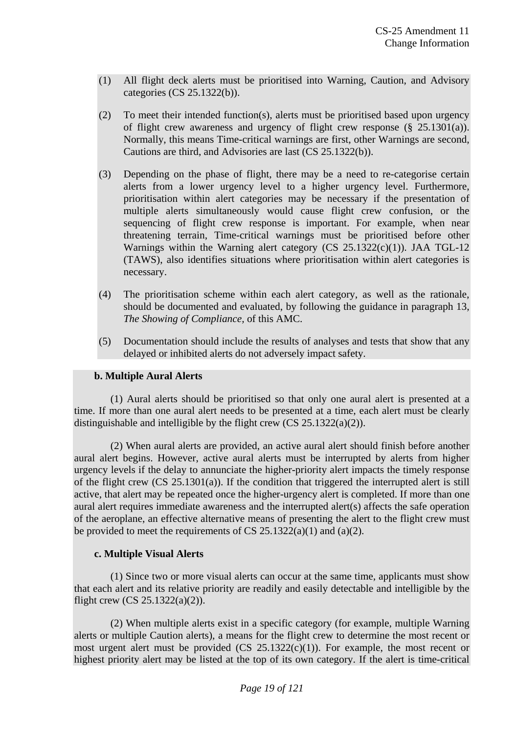- (1)All flight deck alerts must be prioritised into Warning, Caution, and Advisory categories (CS 25.1322(b)).
- (2) To meet their intended function(s), alerts must be prioritised based upon urgency of flight crew awareness and urgency of flight crew response  $(\S 25.1301(a))$ . Normally, this means Time-critical warnings are first, other Warnings are second, Cautions are third, and Advisories are last (CS 25.1322(b)).
- (3)Depending on the phase of flight, there may be a need to re-categorise certain alerts from a lower urgency level to a higher urgency level. Furthermore, prioritisation within alert categories may be necessary if the presentation of multiple alerts simultaneously would cause flight crew confusion, or the sequencing of flight crew response is important. For example, when near threatening terrain, Time-critical warnings must be prioritised before other Warnings within the Warning alert category (CS 25.1322(c)(1)). JAA TGL-12 (TAWS), also identifies situations where prioritisation within alert categories is necessary.
- (4) The prioritisation scheme within each alert category, as well as the rationale, should be documented and evaluated, by following the guidance in paragraph 13, *The Showing of Compliance,* of this AMC.
- (5) Documentation should include the results of analyses and tests that show that any delayed or inhibited alerts do not adversely impact safety.

#### **b. Multiple Aural Alerts**

(1) Aural alerts should be prioritised so that only one aural alert is presented at a time. If more than one aural alert needs to be presented at a time, each alert must be clearly distinguishable and intelligible by the flight crew (CS 25.1322(a)(2)).

(2) When aural alerts are provided, an active aural alert should finish before another aural alert begins. However, active aural alerts must be interrupted by alerts from higher urgency levels if the delay to annunciate the higher-priority alert impacts the timely response of the flight crew (CS 25.1301(a)). If the condition that triggered the interrupted alert is still active, that alert may be repeated once the higher-urgency alert is completed. If more than one aural alert requires immediate awareness and the interrupted alert(s) affects the safe operation of the aeroplane, an effective alternative means of presenting the alert to the flight crew must be provided to meet the requirements of CS  $25.1322(a)(1)$  and  $(a)(2)$ .

#### **c. Multiple Visual Alerts**

(1) Since two or more visual alerts can occur at the same time, applicants must show that each alert and its relative priority are readily and easily detectable and intelligible by the flight crew  $(CS 25.1322(a)(2))$ .

(2) When multiple alerts exist in a specific category (for example, multiple Warning alerts or multiple Caution alerts), a means for the flight crew to determine the most recent or most urgent alert must be provided  $(CS \t25.1322(c)(1))$ . For example, the most recent or highest priority alert may be listed at the top of its own category. If the alert is time-critical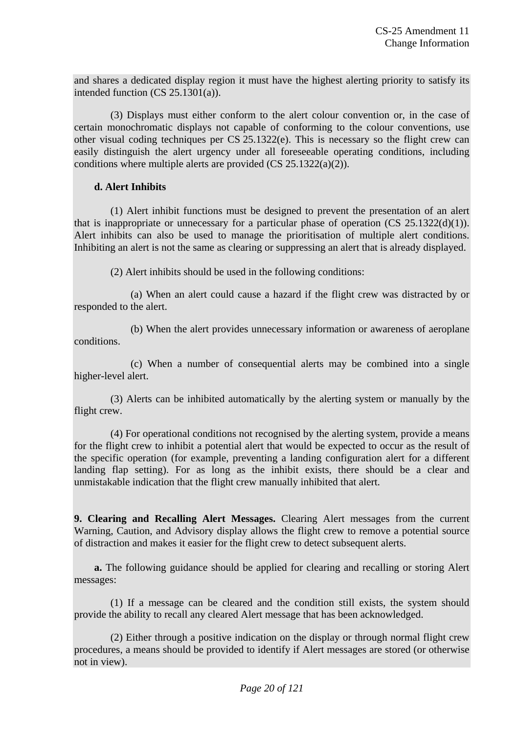and shares a dedicated display region it must have the highest alerting priority to satisfy its intended function (CS 25.1301(a)).

(3) Displays must either conform to the alert colour convention or, in the case of certain monochromatic displays not capable of conforming to the colour conventions, use other visual coding techniques per CS 25.1322(e). This is necessary so the flight crew can easily distinguish the alert urgency under all foreseeable operating conditions, including conditions where multiple alerts are provided (CS 25.1322(a)(2)).

# **d. Alert Inhibits**

(1) Alert inhibit functions must be designed to prevent the presentation of an alert that is inappropriate or unnecessary for a particular phase of operation  $(CS \t25.1322(d)(1))$ . Alert inhibits can also be used to manage the prioritisation of multiple alert conditions. Inhibiting an alert is not the same as clearing or suppressing an alert that is already displayed.

(2) Alert inhibits should be used in the following conditions:

(a) When an alert could cause a hazard if the flight crew was distracted by or responded to the alert.

(b) When the alert provides unnecessary information or awareness of aeroplane conditions.

(c) When a number of consequential alerts may be combined into a single higher-level alert.

(3) Alerts can be inhibited automatically by the alerting system or manually by the flight crew.

(4) For operational conditions not recognised by the alerting system, provide a means for the flight crew to inhibit a potential alert that would be expected to occur as the result of the specific operation (for example, preventing a landing configuration alert for a different landing flap setting). For as long as the inhibit exists, there should be a clear and unmistakable indication that the flight crew manually inhibited that alert.

**9. Clearing and Recalling Alert Messages.** Clearing Alert messages from the current Warning, Caution, and Advisory display allows the flight crew to remove a potential source of distraction and makes it easier for the flight crew to detect subsequent alerts.

**a.** The following guidance should be applied for clearing and recalling or storing Alert messages:

(1) If a message can be cleared and the condition still exists, the system should provide the ability to recall any cleared Alert message that has been acknowledged.

(2) Either through a positive indication on the display or through normal flight crew procedures, a means should be provided to identify if Alert messages are stored (or otherwise not in view).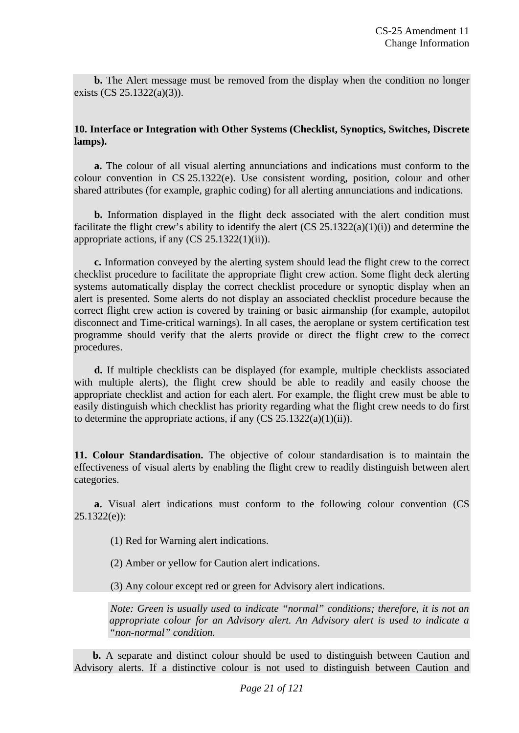**b.** The Alert message must be removed from the display when the condition no longer exists (CS 25.1322(a)(3)).

#### **10. Interface or Integration with Other Systems (Checklist, Synoptics, Switches, Discrete lamps).**

**a.** The colour of all visual alerting annunciations and indications must conform to the colour convention in CS 25.1322(e). Use consistent wording, position, colour and other shared attributes (for example, graphic coding) for all alerting annunciations and indications.

**b.** Information displayed in the flight deck associated with the alert condition must facilitate the flight crew's ability to identify the alert  $(CS 25.1322(a)(1)(i))$  and determine the appropriate actions, if any  $(CS 25.1322(1)(ii))$ .

**c.** Information conveyed by the alerting system should lead the flight crew to the correct checklist procedure to facilitate the appropriate flight crew action. Some flight deck alerting systems automatically display the correct checklist procedure or synoptic display when an alert is presented. Some alerts do not display an associated checklist procedure because the correct flight crew action is covered by training or basic airmanship (for example, autopilot disconnect and Time-critical warnings). In all cases, the aeroplane or system certification test programme should verify that the alerts provide or direct the flight crew to the correct procedures.

**d.** If multiple checklists can be displayed (for example, multiple checklists associated with multiple alerts), the flight crew should be able to readily and easily choose the appropriate checklist and action for each alert. For example, the flight crew must be able to easily distinguish which checklist has priority regarding what the flight crew needs to do first to determine the appropriate actions, if any  $(CS 25.1322(a)(1)(ii))$ .

**11. Colour Standardisation.** The objective of colour standardisation is to maintain the effectiveness of visual alerts by enabling the flight crew to readily distinguish between alert categories.

**a.** Visual alert indications must conform to the following colour convention (CS 25.1322(e)):

(1) Red for Warning alert indications.

(2) Amber or yellow for Caution alert indications.

(3) Any colour except red or green for Advisory alert indications.

*Note: Green is usually used to indicate "normal" conditions; therefore, it is not an appropriate colour for an Advisory alert. An Advisory alert is used to indicate a "non-normal" condition.* 

**b.** A separate and distinct colour should be used to distinguish between Caution and Advisory alerts. If a distinctive colour is not used to distinguish between Caution and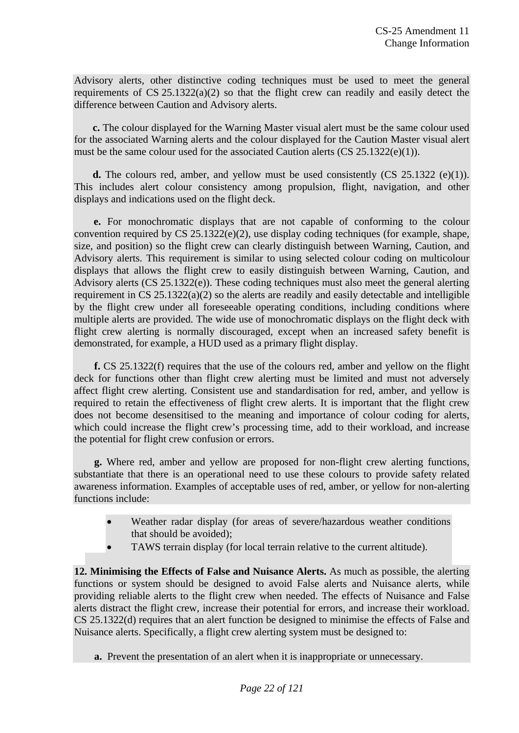Advisory alerts, other distinctive coding techniques must be used to meet the general requirements of CS 25.1322(a)(2) so that the flight crew can readily and easily detect the difference between Caution and Advisory alerts.

**c.** The colour displayed for the Warning Master visual alert must be the same colour used for the associated Warning alerts and the colour displayed for the Caution Master visual alert must be the same colour used for the associated Caution alerts  $(CS 25.1322(e)(1))$ .

**d.** The colours red, amber, and yellow must be used consistently (CS 25.1322 (e)(1)). This includes alert colour consistency among propulsion, flight, navigation, and other displays and indications used on the flight deck.

**e.** For monochromatic displays that are not capable of conforming to the colour convention required by  $CS$  25.1322(e)(2), use display coding techniques (for example, shape, size, and position) so the flight crew can clearly distinguish between Warning, Caution, and Advisory alerts. This requirement is similar to using selected colour coding on multicolour displays that allows the flight crew to easily distinguish between Warning, Caution, and Advisory alerts (CS 25.1322(e)). These coding techniques must also meet the general alerting requirement in CS 25.1322(a)(2) so the alerts are readily and easily detectable and intelligible by the flight crew under all foreseeable operating conditions, including conditions where multiple alerts are provided. The wide use of monochromatic displays on the flight deck with flight crew alerting is normally discouraged, except when an increased safety benefit is demonstrated, for example, a HUD used as a primary flight display.

**f.** CS 25.1322(f) requires that the use of the colours red, amber and yellow on the flight deck for functions other than flight crew alerting must be limited and must not adversely affect flight crew alerting. Consistent use and standardisation for red, amber, and yellow is required to retain the effectiveness of flight crew alerts. It is important that the flight crew does not become desensitised to the meaning and importance of colour coding for alerts, which could increase the flight crew's processing time, add to their workload, and increase the potential for flight crew confusion or errors.

**g.** Where red, amber and yellow are proposed for non-flight crew alerting functions, substantiate that there is an operational need to use these colours to provide safety related awareness information. Examples of acceptable uses of red, amber, or yellow for non-alerting functions include:

- Weather radar display (for areas of severe/hazardous weather conditions that should be avoided);
- TAWS terrain display (for local terrain relative to the current altitude).

**12. Minimising the Effects of False and Nuisance Alerts.** As much as possible, the alerting functions or system should be designed to avoid False alerts and Nuisance alerts, while providing reliable alerts to the flight crew when needed. The effects of Nuisance and False alerts distract the flight crew, increase their potential for errors, and increase their workload. CS 25.1322(d) requires that an alert function be designed to minimise the effects of False and Nuisance alerts. Specifically, a flight crew alerting system must be designed to:

**a.** Prevent the presentation of an alert when it is inappropriate or unnecessary.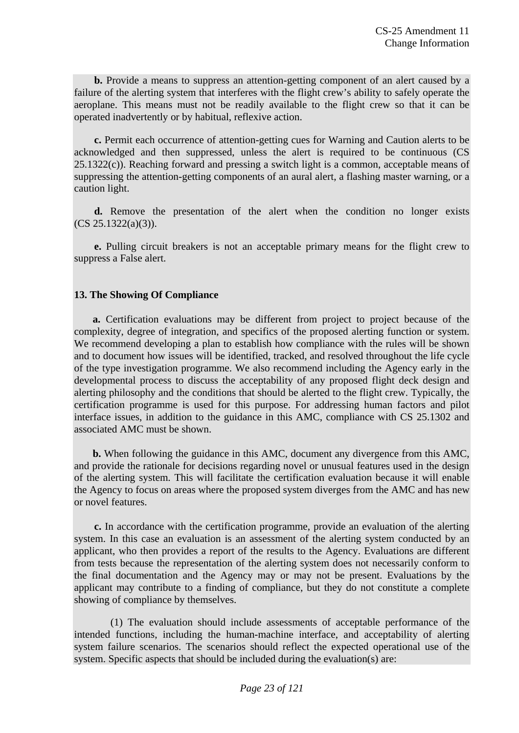**b.** Provide a means to suppress an attention-getting component of an alert caused by a failure of the alerting system that interferes with the flight crew's ability to safely operate the aeroplane. This means must not be readily available to the flight crew so that it can be operated inadvertently or by habitual, reflexive action.

**c.** Permit each occurrence of attention-getting cues for Warning and Caution alerts to be acknowledged and then suppressed, unless the alert is required to be continuous (CS 25.1322(c)). Reaching forward and pressing a switch light is a common, acceptable means of suppressing the attention-getting components of an aural alert, a flashing master warning, or a caution light.

**d.** Remove the presentation of the alert when the condition no longer exists (CS 25.1322(a)(3)).

**e.** Pulling circuit breakers is not an acceptable primary means for the flight crew to suppress a False alert.

# **13. The Showing Of Compliance**

**a.** Certification evaluations may be different from project to project because of the complexity, degree of integration, and specifics of the proposed alerting function or system. We recommend developing a plan to establish how compliance with the rules will be shown and to document how issues will be identified, tracked, and resolved throughout the life cycle of the type investigation programme. We also recommend including the Agency early in the developmental process to discuss the acceptability of any proposed flight deck design and alerting philosophy and the conditions that should be alerted to the flight crew. Typically, the certification programme is used for this purpose. For addressing human factors and pilot interface issues, in addition to the guidance in this AMC, compliance with CS 25.1302 and associated AMC must be shown.

**b.** When following the guidance in this AMC, document any divergence from this AMC, and provide the rationale for decisions regarding novel or unusual features used in the design of the alerting system. This will facilitate the certification evaluation because it will enable the Agency to focus on areas where the proposed system diverges from the AMC and has new or novel features.

**c.** In accordance with the certification programme, provide an evaluation of the alerting system. In this case an evaluation is an assessment of the alerting system conducted by an applicant, who then provides a report of the results to the Agency. Evaluations are different from tests because the representation of the alerting system does not necessarily conform to the final documentation and the Agency may or may not be present. Evaluations by the applicant may contribute to a finding of compliance, but they do not constitute a complete showing of compliance by themselves.

(1) The evaluation should include assessments of acceptable performance of the intended functions, including the human-machine interface, and acceptability of alerting system failure scenarios. The scenarios should reflect the expected operational use of the system. Specific aspects that should be included during the evaluation(s) are: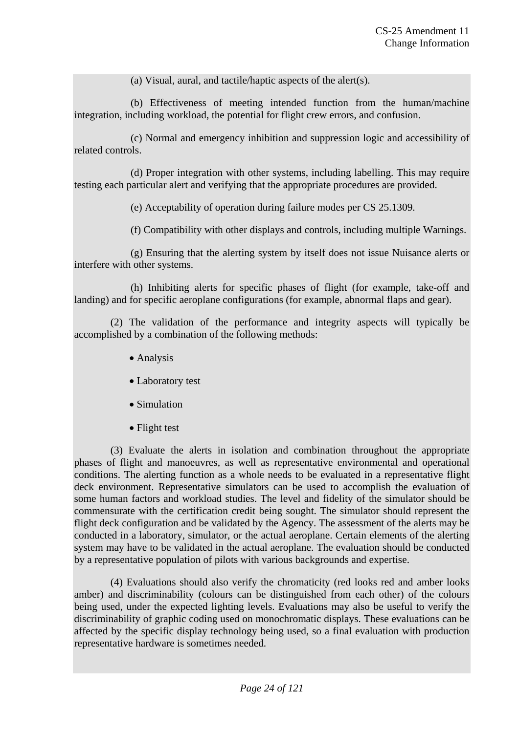(a) Visual, aural, and tactile/haptic aspects of the alert(s).

(b) Effectiveness of meeting intended function from the human/machine integration, including workload, the potential for flight crew errors, and confusion.

(c) Normal and emergency inhibition and suppression logic and accessibility of related controls.

(d) Proper integration with other systems, including labelling. This may require testing each particular alert and verifying that the appropriate procedures are provided.

(e) Acceptability of operation during failure modes per CS 25.1309.

(f) Compatibility with other displays and controls, including multiple Warnings.

(g) Ensuring that the alerting system by itself does not issue Nuisance alerts or interfere with other systems.

(h) Inhibiting alerts for specific phases of flight (for example, take-off and landing) and for specific aeroplane configurations (for example, abnormal flaps and gear).

(2) The validation of the performance and integrity aspects will typically be accomplished by a combination of the following methods:

- Analysis
- Laboratory test
- Simulation
- Flight test

(3) Evaluate the alerts in isolation and combination throughout the appropriate phases of flight and manoeuvres, as well as representative environmental and operational conditions. The alerting function as a whole needs to be evaluated in a representative flight deck environment. Representative simulators can be used to accomplish the evaluation of some human factors and workload studies. The level and fidelity of the simulator should be commensurate with the certification credit being sought. The simulator should represent the flight deck configuration and be validated by the Agency. The assessment of the alerts may be conducted in a laboratory, simulator, or the actual aeroplane. Certain elements of the alerting system may have to be validated in the actual aeroplane. The evaluation should be conducted by a representative population of pilots with various backgrounds and expertise.

(4) Evaluations should also verify the chromaticity (red looks red and amber looks amber) and discriminability (colours can be distinguished from each other) of the colours being used, under the expected lighting levels. Evaluations may also be useful to verify the discriminability of graphic coding used on monochromatic displays. These evaluations can be affected by the specific display technology being used, so a final evaluation with production representative hardware is sometimes needed.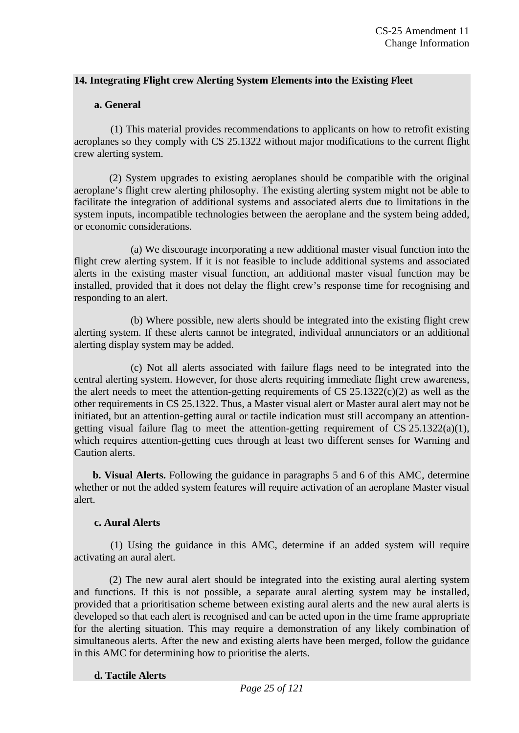#### **14. Integrating Flight crew Alerting System Elements into the Existing Fleet**

#### **a. General**

(1) This material provides recommendations to applicants on how to retrofit existing aeroplanes so they comply with CS 25.1322 without major modifications to the current flight crew alerting system.

(2) System upgrades to existing aeroplanes should be compatible with the original aeroplane's flight crew alerting philosophy. The existing alerting system might not be able to facilitate the integration of additional systems and associated alerts due to limitations in the system inputs, incompatible technologies between the aeroplane and the system being added, or economic considerations.

(a) We discourage incorporating a new additional master visual function into the flight crew alerting system. If it is not feasible to include additional systems and associated alerts in the existing master visual function, an additional master visual function may be installed, provided that it does not delay the flight crew's response time for recognising and responding to an alert.

(b) Where possible, new alerts should be integrated into the existing flight crew alerting system. If these alerts cannot be integrated, individual annunciators or an additional alerting display system may be added.

(c) Not all alerts associated with failure flags need to be integrated into the central alerting system. However, for those alerts requiring immediate flight crew awareness, the alert needs to meet the attention-getting requirements of  $CS 25.1322(c)(2)$  as well as the other requirements in CS 25.1322. Thus, a Master visual alert or Master aural alert may not be initiated, but an attention-getting aural or tactile indication must still accompany an attentiongetting visual failure flag to meet the attention-getting requirement of CS 25.1322(a)(1), which requires attention-getting cues through at least two different senses for Warning and Caution alerts.

**b. Visual Alerts.** Following the guidance in paragraphs 5 and 6 of this AMC, determine whether or not the added system features will require activation of an aeroplane Master visual alert.

#### **c. Aural Alerts**

(1) Using the guidance in this AMC, determine if an added system will require activating an aural alert.

(2) The new aural alert should be integrated into the existing aural alerting system and functions. If this is not possible, a separate aural alerting system may be installed, provided that a prioritisation scheme between existing aural alerts and the new aural alerts is developed so that each alert is recognised and can be acted upon in the time frame appropriate for the alerting situation. This may require a demonstration of any likely combination of simultaneous alerts. After the new and existing alerts have been merged, follow the guidance in this AMC for determining how to prioritise the alerts.

#### **d. Tactile Alerts**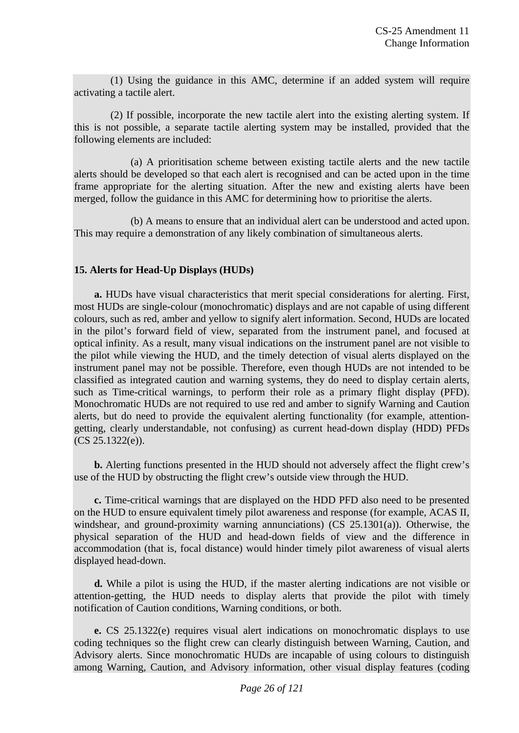(1) Using the guidance in this AMC, determine if an added system will require activating a tactile alert.

(2) If possible, incorporate the new tactile alert into the existing alerting system. If this is not possible, a separate tactile alerting system may be installed, provided that the following elements are included:

(a) A prioritisation scheme between existing tactile alerts and the new tactile alerts should be developed so that each alert is recognised and can be acted upon in the time frame appropriate for the alerting situation. After the new and existing alerts have been merged, follow the guidance in this AMC for determining how to prioritise the alerts.

(b) A means to ensure that an individual alert can be understood and acted upon. This may require a demonstration of any likely combination of simultaneous alerts.

# **15. Alerts for Head-Up Displays (HUDs)**

**a.** HUDs have visual characteristics that merit special considerations for alerting. First, most HUDs are single-colour (monochromatic) displays and are not capable of using different colours, such as red, amber and yellow to signify alert information. Second, HUDs are located in the pilot's forward field of view, separated from the instrument panel, and focused at optical infinity. As a result, many visual indications on the instrument panel are not visible to the pilot while viewing the HUD, and the timely detection of visual alerts displayed on the instrument panel may not be possible. Therefore, even though HUDs are not intended to be classified as integrated caution and warning systems, they do need to display certain alerts, such as Time-critical warnings, to perform their role as a primary flight display (PFD). Monochromatic HUDs are not required to use red and amber to signify Warning and Caution alerts, but do need to provide the equivalent alerting functionality (for example, attentiongetting, clearly understandable, not confusing) as current head-down display (HDD) PFDs (CS 25.1322(e)).

**b.** Alerting functions presented in the HUD should not adversely affect the flight crew's use of the HUD by obstructing the flight crew's outside view through the HUD.

**c.** Time-critical warnings that are displayed on the HDD PFD also need to be presented on the HUD to ensure equivalent timely pilot awareness and response (for example, ACAS II, windshear, and ground-proximity warning annunciations) (CS 25.1301(a)). Otherwise, the physical separation of the HUD and head-down fields of view and the difference in accommodation (that is, focal distance) would hinder timely pilot awareness of visual alerts displayed head-down.

**d.** While a pilot is using the HUD, if the master alerting indications are not visible or attention-getting, the HUD needs to display alerts that provide the pilot with timely notification of Caution conditions, Warning conditions, or both.

**e.** CS 25.1322(e) requires visual alert indications on monochromatic displays to use coding techniques so the flight crew can clearly distinguish between Warning, Caution, and Advisory alerts. Since monochromatic HUDs are incapable of using colours to distinguish among Warning, Caution, and Advisory information, other visual display features (coding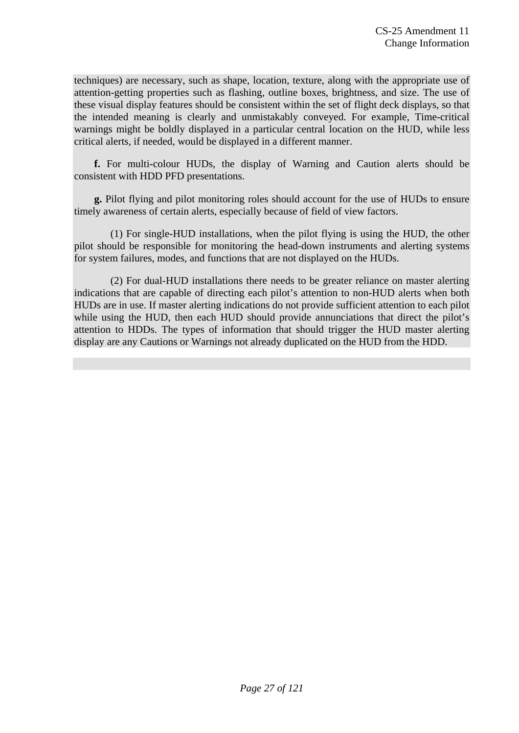techniques) are necessary, such as shape, location, texture, along with the appropriate use of attention-getting properties such as flashing, outline boxes, brightness, and size. The use of these visual display features should be consistent within the set of flight deck displays, so that the intended meaning is clearly and unmistakably conveyed. For example, Time-critical warnings might be boldly displayed in a particular central location on the HUD, while less critical alerts, if needed, would be displayed in a different manner.

**f.** For multi-colour HUDs, the display of Warning and Caution alerts should be consistent with HDD PFD presentations.

**g.** Pilot flying and pilot monitoring roles should account for the use of HUDs to ensure timely awareness of certain alerts, especially because of field of view factors.

(1) For single-HUD installations, when the pilot flying is using the HUD, the other pilot should be responsible for monitoring the head-down instruments and alerting systems for system failures, modes, and functions that are not displayed on the HUDs.

(2) For dual-HUD installations there needs to be greater reliance on master alerting indications that are capable of directing each pilot's attention to non-HUD alerts when both HUDs are in use. If master alerting indications do not provide sufficient attention to each pilot while using the HUD, then each HUD should provide annunciations that direct the pilot's attention to HDDs. The types of information that should trigger the HUD master alerting display are any Cautions or Warnings not already duplicated on the HUD from the HDD.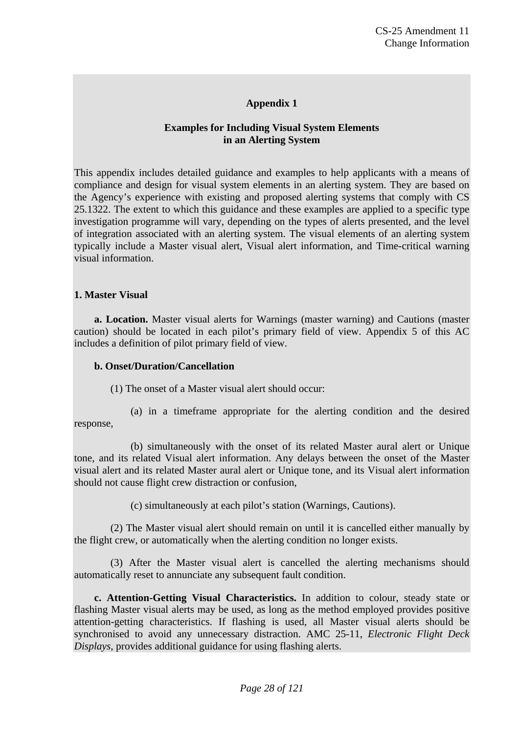# **Appendix 1**

# **Examples for Including Visual System Elements in an Alerting System**

This appendix includes detailed guidance and examples to help applicants with a means of compliance and design for visual system elements in an alerting system. They are based on the Agency's experience with existing and proposed alerting systems that comply with CS 25.1322. The extent to which this guidance and these examples are applied to a specific type investigation programme will vary, depending on the types of alerts presented, and the level of integration associated with an alerting system. The visual elements of an alerting system typically include a Master visual alert, Visual alert information, and Time-critical warning visual information.

#### **1. Master Visual**

**a. Location.** Master visual alerts for Warnings (master warning) and Cautions (master caution) should be located in each pilot's primary field of view. Appendix 5 of this AC includes a definition of pilot primary field of view.

#### **b. Onset/Duration/Cancellation**

(1) The onset of a Master visual alert should occur:

(a) in a timeframe appropriate for the alerting condition and the desired response,

(b) simultaneously with the onset of its related Master aural alert or Unique tone, and its related Visual alert information. Any delays between the onset of the Master visual alert and its related Master aural alert or Unique tone, and its Visual alert information should not cause flight crew distraction or confusion,

(c) simultaneously at each pilot's station (Warnings, Cautions).

(2) The Master visual alert should remain on until it is cancelled either manually by the flight crew, or automatically when the alerting condition no longer exists.

(3) After the Master visual alert is cancelled the alerting mechanisms should automatically reset to annunciate any subsequent fault condition.

**c. Attention-Getting Visual Characteristics.** In addition to colour, steady state or flashing Master visual alerts may be used, as long as the method employed provides positive attention-getting characteristics. If flashing is used, all Master visual alerts should be synchronised to avoid any unnecessary distraction. AMC 25-11, *Electronic Flight Deck Displays*, provides additional guidance for using flashing alerts.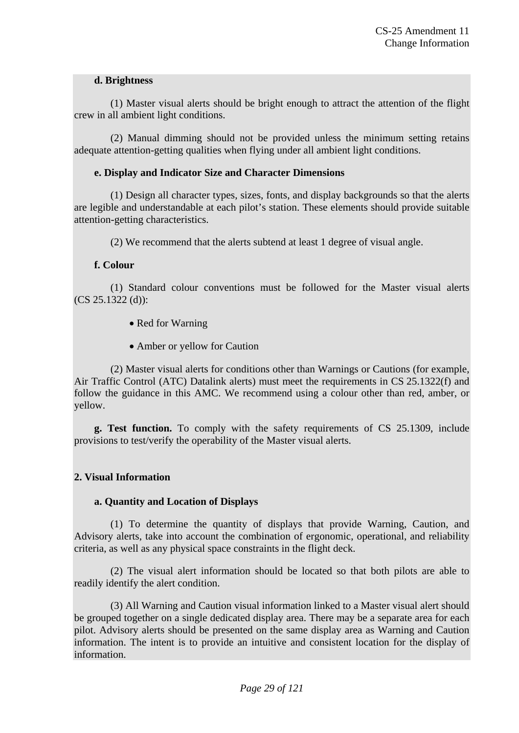#### **d. Brightness**

(1) Master visual alerts should be bright enough to attract the attention of the flight crew in all ambient light conditions.

(2) Manual dimming should not be provided unless the minimum setting retains adequate attention-getting qualities when flying under all ambient light conditions.

# **e. Display and Indicator Size and Character Dimensions**

(1) Design all character types, sizes, fonts, and display backgrounds so that the alerts are legible and understandable at each pilot's station. These elements should provide suitable attention-getting characteristics.

(2) We recommend that the alerts subtend at least 1 degree of visual angle.

# **f. Colour**

(1) Standard colour conventions must be followed for the Master visual alerts (CS 25.1322 (d)):

- Red for Warning
- Amber or yellow for Caution

(2) Master visual alerts for conditions other than Warnings or Cautions (for example, Air Traffic Control (ATC) Datalink alerts) must meet the requirements in CS 25.1322(f) and follow the guidance in this AMC. We recommend using a colour other than red, amber, or yellow.

**g. Test function.** To comply with the safety requirements of CS 25.1309, include provisions to test/verify the operability of the Master visual alerts.

# **2. Visual Information**

#### **a. Quantity and Location of Displays**

(1) To determine the quantity of displays that provide Warning, Caution, and Advisory alerts, take into account the combination of ergonomic, operational, and reliability criteria, as well as any physical space constraints in the flight deck.

(2) The visual alert information should be located so that both pilots are able to readily identify the alert condition.

(3) All Warning and Caution visual information linked to a Master visual alert should be grouped together on a single dedicated display area. There may be a separate area for each pilot. Advisory alerts should be presented on the same display area as Warning and Caution information. The intent is to provide an intuitive and consistent location for the display of information.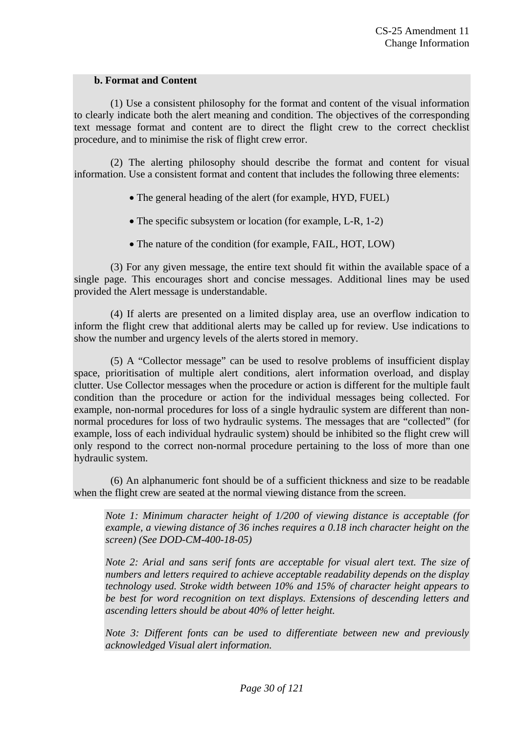#### **b. Format and Content**

(1) Use a consistent philosophy for the format and content of the visual information to clearly indicate both the alert meaning and condition. The objectives of the corresponding text message format and content are to direct the flight crew to the correct checklist procedure, and to minimise the risk of flight crew error.

(2) The alerting philosophy should describe the format and content for visual information. Use a consistent format and content that includes the following three elements:

The general heading of the alert (for example, HYD, FUEL)

• The specific subsystem or location (for example, L-R, 1-2)

• The nature of the condition (for example, FAIL, HOT, LOW)

(3) For any given message, the entire text should fit within the available space of a single page. This encourages short and concise messages. Additional lines may be used provided the Alert message is understandable.

(4) If alerts are presented on a limited display area, use an overflow indication to inform the flight crew that additional alerts may be called up for review. Use indications to show the number and urgency levels of the alerts stored in memory.

(5) A "Collector message" can be used to resolve problems of insufficient display space, prioritisation of multiple alert conditions, alert information overload, and display clutter. Use Collector messages when the procedure or action is different for the multiple fault condition than the procedure or action for the individual messages being collected. For example, non-normal procedures for loss of a single hydraulic system are different than nonnormal procedures for loss of two hydraulic systems. The messages that are "collected" (for example, loss of each individual hydraulic system) should be inhibited so the flight crew will only respond to the correct non-normal procedure pertaining to the loss of more than one hydraulic system.

(6) An alphanumeric font should be of a sufficient thickness and size to be readable when the flight crew are seated at the normal viewing distance from the screen.

*Note 1: Minimum character height of 1/200 of viewing distance is acceptable (for example, a viewing distance of 36 inches requires a 0.18 inch character height on the screen) (See DOD-CM-400-18-05)* 

*Note 2: Arial and sans serif fonts are acceptable for visual alert text. The size of numbers and letters required to achieve acceptable readability depends on the display technology used. Stroke width between 10% and 15% of character height appears to be best for word recognition on text displays. Extensions of descending letters and ascending letters should be about 40% of letter height.* 

*Note 3: Different fonts can be used to differentiate between new and previously acknowledged Visual alert information.*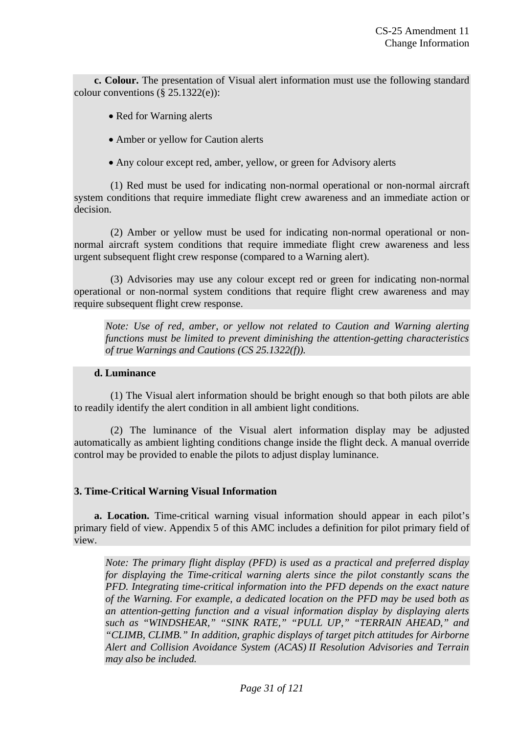**c. Colour.** The presentation of Visual alert information must use the following standard colour conventions  $(\S 25.1322(e))$ :

- Red for Warning alerts
- Amber or yellow for Caution alerts
- Any colour except red, amber, yellow, or green for Advisory alerts

(1) Red must be used for indicating non-normal operational or non-normal aircraft system conditions that require immediate flight crew awareness and an immediate action or decision.

(2) Amber or yellow must be used for indicating non-normal operational or nonnormal aircraft system conditions that require immediate flight crew awareness and less urgent subsequent flight crew response (compared to a Warning alert).

(3) Advisories may use any colour except red or green for indicating non-normal operational or non-normal system conditions that require flight crew awareness and may require subsequent flight crew response.

*Note: Use of red, amber, or yellow not related to Caution and Warning alerting functions must be limited to prevent diminishing the attention-getting characteristics of true Warnings and Cautions (CS 25.1322(f)).* 

#### **d. Luminance**

(1) The Visual alert information should be bright enough so that both pilots are able to readily identify the alert condition in all ambient light conditions.

(2) The luminance of the Visual alert information display may be adjusted automatically as ambient lighting conditions change inside the flight deck. A manual override control may be provided to enable the pilots to adjust display luminance.

#### **3. Time-Critical Warning Visual Information**

**a. Location.** Time-critical warning visual information should appear in each pilot's primary field of view. Appendix 5 of this AMC includes a definition for pilot primary field of view.

*Note: The primary flight display (PFD) is used as a practical and preferred display for displaying the Time-critical warning alerts since the pilot constantly scans the PFD. Integrating time-critical information into the PFD depends on the exact nature of the Warning. For example, a dedicated location on the PFD may be used both as an attention-getting function and a visual information display by displaying alerts such as "WINDSHEAR," "SINK RATE," "PULL UP," "TERRAIN AHEAD," and "CLIMB, CLIMB." In addition, graphic displays of target pitch attitudes for Airborne Alert and Collision Avoidance System (ACAS) II Resolution Advisories and Terrain may also be included.*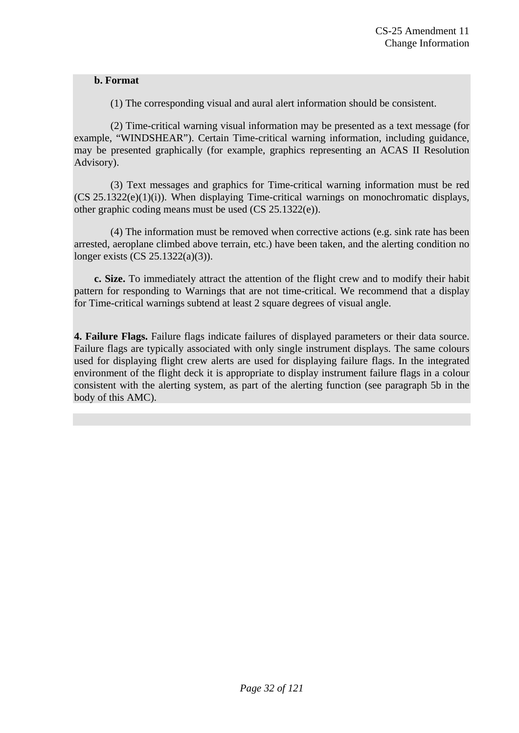#### **b. Format**

(1) The corresponding visual and aural alert information should be consistent.

(2) Time-critical warning visual information may be presented as a text message (for example, "WINDSHEAR"). Certain Time-critical warning information, including guidance, may be presented graphically (for example, graphics representing an ACAS II Resolution Advisory).

(3) Text messages and graphics for Time-critical warning information must be red (CS 25.1322(e)(1)(i)). When displaying Time-critical warnings on monochromatic displays, other graphic coding means must be used (CS 25.1322(e)).

(4) The information must be removed when corrective actions (e.g. sink rate has been arrested, aeroplane climbed above terrain, etc.) have been taken, and the alerting condition no longer exists (CS 25.1322(a)(3)).

**c. Size.** To immediately attract the attention of the flight crew and to modify their habit pattern for responding to Warnings that are not time-critical. We recommend that a display for Time-critical warnings subtend at least 2 square degrees of visual angle.

**4. Failure Flags.** Failure flags indicate failures of displayed parameters or their data source. Failure flags are typically associated with only single instrument displays. The same colours used for displaying flight crew alerts are used for displaying failure flags. In the integrated environment of the flight deck it is appropriate to display instrument failure flags in a colour consistent with the alerting system, as part of the alerting function (see paragraph 5b in the body of this AMC).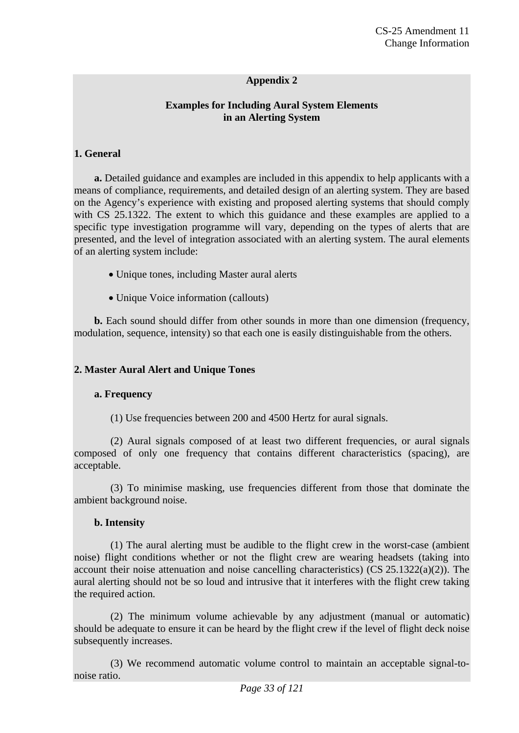#### **Appendix 2**

#### **Examples for Including Aural System Elements in an Alerting System**

#### **1. General**

**a.** Detailed guidance and examples are included in this appendix to help applicants with a means of compliance, requirements, and detailed design of an alerting system. They are based on the Agency's experience with existing and proposed alerting systems that should comply with CS 25.1322. The extent to which this guidance and these examples are applied to a specific type investigation programme will vary, depending on the types of alerts that are presented, and the level of integration associated with an alerting system. The aural elements of an alerting system include:

- Unique tones, including Master aural alerts
- Unique Voice information (callouts)

**b.** Each sound should differ from other sounds in more than one dimension (frequency, modulation, sequence, intensity) so that each one is easily distinguishable from the others.

#### **2. Master Aural Alert and Unique Tones**

#### **a. Frequency**

(1) Use frequencies between 200 and 4500 Hertz for aural signals.

(2) Aural signals composed of at least two different frequencies, or aural signals composed of only one frequency that contains different characteristics (spacing), are acceptable.

(3) To minimise masking, use frequencies different from those that dominate the ambient background noise.

#### **b. Intensity**

(1) The aural alerting must be audible to the flight crew in the worst-case (ambient noise) flight conditions whether or not the flight crew are wearing headsets (taking into account their noise attenuation and noise cancelling characteristics) (CS  $25.1322(a)(2)$ ). The aural alerting should not be so loud and intrusive that it interferes with the flight crew taking the required action.

(2) The minimum volume achievable by any adjustment (manual or automatic) should be adequate to ensure it can be heard by the flight crew if the level of flight deck noise subsequently increases.

(3) We recommend automatic volume control to maintain an acceptable signal-tonoise ratio.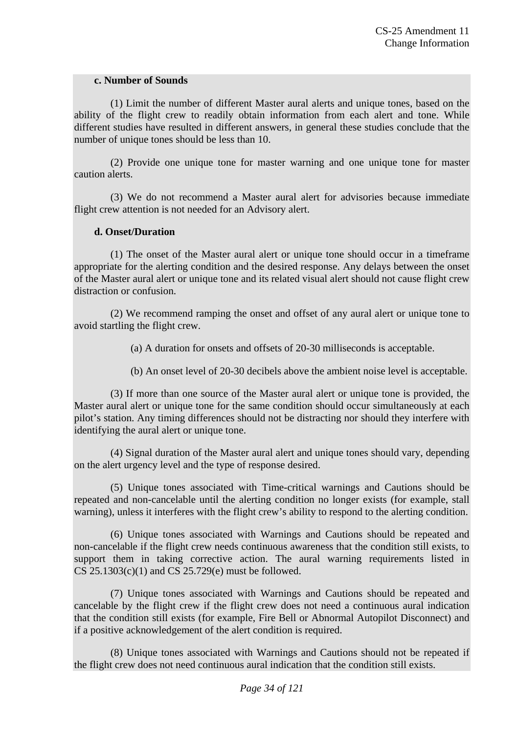#### **c. Number of Sounds**

(1) Limit the number of different Master aural alerts and unique tones, based on the ability of the flight crew to readily obtain information from each alert and tone. While different studies have resulted in different answers, in general these studies conclude that the number of unique tones should be less than 10.

(2) Provide one unique tone for master warning and one unique tone for master caution alerts.

(3) We do not recommend a Master aural alert for advisories because immediate flight crew attention is not needed for an Advisory alert.

#### **d. Onset/Duration**

(1) The onset of the Master aural alert or unique tone should occur in a timeframe appropriate for the alerting condition and the desired response. Any delays between the onset of the Master aural alert or unique tone and its related visual alert should not cause flight crew distraction or confusion.

(2) We recommend ramping the onset and offset of any aural alert or unique tone to avoid startling the flight crew.

(a) A duration for onsets and offsets of 20-30 milliseconds is acceptable.

(b) An onset level of 20-30 decibels above the ambient noise level is acceptable.

(3) If more than one source of the Master aural alert or unique tone is provided, the Master aural alert or unique tone for the same condition should occur simultaneously at each pilot's station. Any timing differences should not be distracting nor should they interfere with identifying the aural alert or unique tone.

(4) Signal duration of the Master aural alert and unique tones should vary, depending on the alert urgency level and the type of response desired.

(5) Unique tones associated with Time-critical warnings and Cautions should be repeated and non-cancelable until the alerting condition no longer exists (for example, stall warning), unless it interferes with the flight crew's ability to respond to the alerting condition.

(6) Unique tones associated with Warnings and Cautions should be repeated and non-cancelable if the flight crew needs continuous awareness that the condition still exists, to support them in taking corrective action. The aural warning requirements listed in CS 25.1303(c)(1) and CS 25.729(e) must be followed.

(7) Unique tones associated with Warnings and Cautions should be repeated and cancelable by the flight crew if the flight crew does not need a continuous aural indication that the condition still exists (for example, Fire Bell or Abnormal Autopilot Disconnect) and if a positive acknowledgement of the alert condition is required.

(8) Unique tones associated with Warnings and Cautions should not be repeated if the flight crew does not need continuous aural indication that the condition still exists.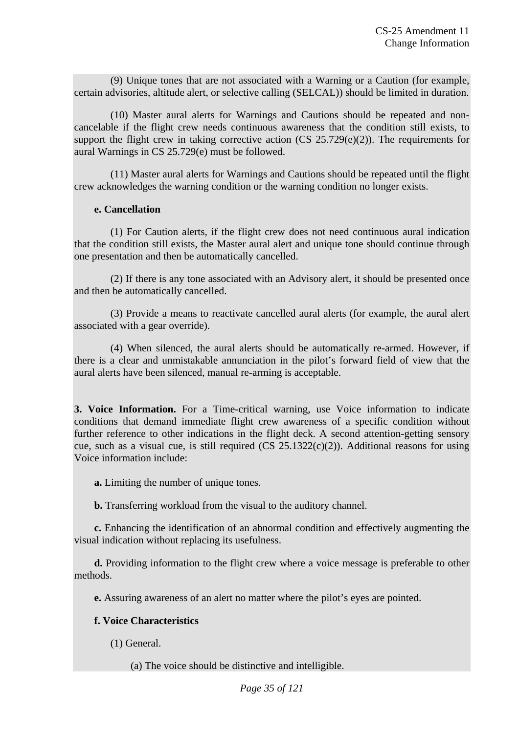(9) Unique tones that are not associated with a Warning or a Caution (for example, certain advisories, altitude alert, or selective calling (SELCAL)) should be limited in duration.

(10) Master aural alerts for Warnings and Cautions should be repeated and noncancelable if the flight crew needs continuous awareness that the condition still exists, to support the flight crew in taking corrective action  $(CS \t25.729(e)(2))$ . The requirements for aural Warnings in CS 25.729(e) must be followed.

(11) Master aural alerts for Warnings and Cautions should be repeated until the flight crew acknowledges the warning condition or the warning condition no longer exists.

#### **e. Cancellation**

(1) For Caution alerts, if the flight crew does not need continuous aural indication that the condition still exists, the Master aural alert and unique tone should continue through one presentation and then be automatically cancelled.

(2) If there is any tone associated with an Advisory alert, it should be presented once and then be automatically cancelled.

(3) Provide a means to reactivate cancelled aural alerts (for example, the aural alert associated with a gear override).

(4) When silenced, the aural alerts should be automatically re-armed. However, if there is a clear and unmistakable annunciation in the pilot's forward field of view that the aural alerts have been silenced, manual re-arming is acceptable.

**3. Voice Information.** For a Time-critical warning, use Voice information to indicate conditions that demand immediate flight crew awareness of a specific condition without further reference to other indications in the flight deck. A second attention-getting sensory cue, such as a visual cue, is still required  $(CS \t25.1322(c)(2))$ . Additional reasons for using Voice information include:

**a.** Limiting the number of unique tones.

**b.** Transferring workload from the visual to the auditory channel.

**c.** Enhancing the identification of an abnormal condition and effectively augmenting the visual indication without replacing its usefulness.

**d.** Providing information to the flight crew where a voice message is preferable to other methods.

**e.** Assuring awareness of an alert no matter where the pilot's eyes are pointed.

# **f. Voice Characteristics**

(1) General.

(a) The voice should be distinctive and intelligible.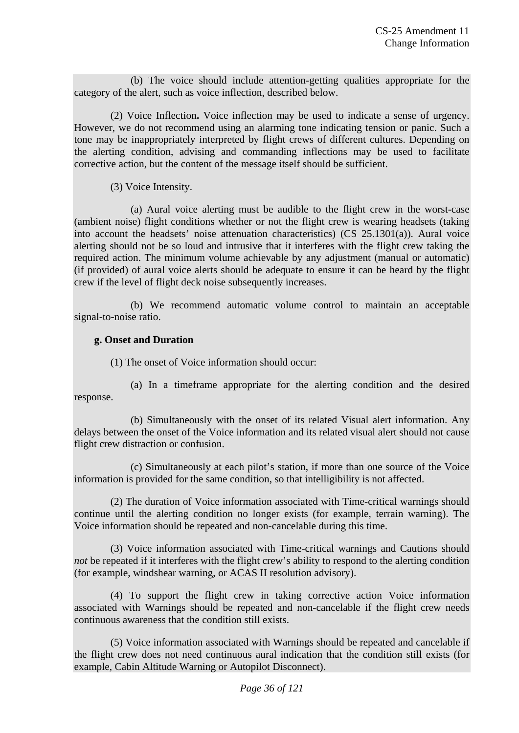(b) The voice should include attention-getting qualities appropriate for the category of the alert, such as voice inflection, described below.

(2) Voice Inflection**.** Voice inflection may be used to indicate a sense of urgency. However, we do not recommend using an alarming tone indicating tension or panic. Such a tone may be inappropriately interpreted by flight crews of different cultures. Depending on the alerting condition, advising and commanding inflections may be used to facilitate corrective action, but the content of the message itself should be sufficient.

(3) Voice Intensity.

(a) Aural voice alerting must be audible to the flight crew in the worst-case (ambient noise) flight conditions whether or not the flight crew is wearing headsets (taking into account the headsets' noise attenuation characteristics) (CS 25.1301(a)). Aural voice alerting should not be so loud and intrusive that it interferes with the flight crew taking the required action. The minimum volume achievable by any adjustment (manual or automatic) (if provided) of aural voice alerts should be adequate to ensure it can be heard by the flight crew if the level of flight deck noise subsequently increases.

(b) We recommend automatic volume control to maintain an acceptable signal-to-noise ratio.

# **g. Onset and Duration**

(1) The onset of Voice information should occur:

(a) In a timeframe appropriate for the alerting condition and the desired response.

(b) Simultaneously with the onset of its related Visual alert information. Any delays between the onset of the Voice information and its related visual alert should not cause flight crew distraction or confusion.

(c) Simultaneously at each pilot's station, if more than one source of the Voice information is provided for the same condition, so that intelligibility is not affected.

(2) The duration of Voice information associated with Time-critical warnings should continue until the alerting condition no longer exists (for example, terrain warning). The Voice information should be repeated and non-cancelable during this time.

(3) Voice information associated with Time-critical warnings and Cautions should *not* be repeated if it interferes with the flight crew's ability to respond to the alerting condition (for example, windshear warning, or ACAS II resolution advisory).

(4) To support the flight crew in taking corrective action Voice information associated with Warnings should be repeated and non-cancelable if the flight crew needs continuous awareness that the condition still exists.

(5) Voice information associated with Warnings should be repeated and cancelable if the flight crew does not need continuous aural indication that the condition still exists (for example, Cabin Altitude Warning or Autopilot Disconnect).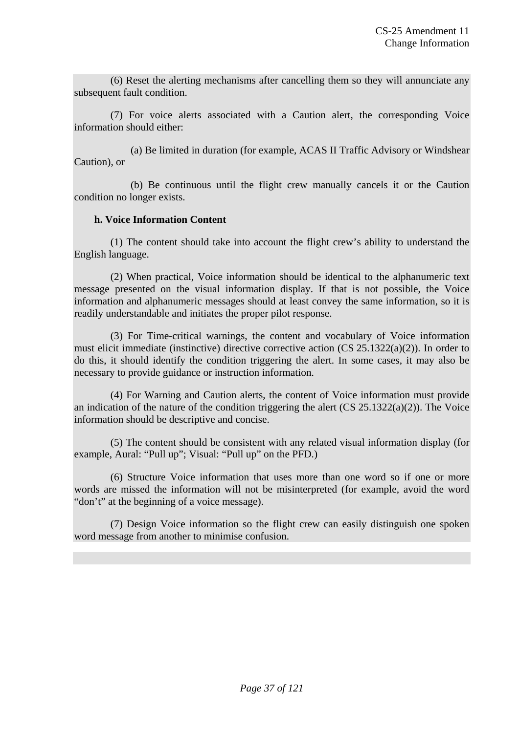(6) Reset the alerting mechanisms after cancelling them so they will annunciate any subsequent fault condition.

(7) For voice alerts associated with a Caution alert, the corresponding Voice information should either:

(a) Be limited in duration (for example, ACAS II Traffic Advisory or Windshear Caution), or

(b) Be continuous until the flight crew manually cancels it or the Caution condition no longer exists.

# **h. Voice Information Content**

(1) The content should take into account the flight crew's ability to understand the English language.

(2) When practical, Voice information should be identical to the alphanumeric text message presented on the visual information display. If that is not possible, the Voice information and alphanumeric messages should at least convey the same information, so it is readily understandable and initiates the proper pilot response.

(3) For Time-critical warnings, the content and vocabulary of Voice information must elicit immediate (instinctive) directive corrective action (CS 25.1322(a)(2)). In order to do this, it should identify the condition triggering the alert. In some cases, it may also be necessary to provide guidance or instruction information.

(4) For Warning and Caution alerts, the content of Voice information must provide an indication of the nature of the condition triggering the alert  $(CS 25.1322(a)(2))$ . The Voice information should be descriptive and concise.

(5) The content should be consistent with any related visual information display (for example, Aural: "Pull up"; Visual: "Pull up" on the PFD.)

(6) Structure Voice information that uses more than one word so if one or more words are missed the information will not be misinterpreted (for example, avoid the word "don't" at the beginning of a voice message).

(7) Design Voice information so the flight crew can easily distinguish one spoken word message from another to minimise confusion.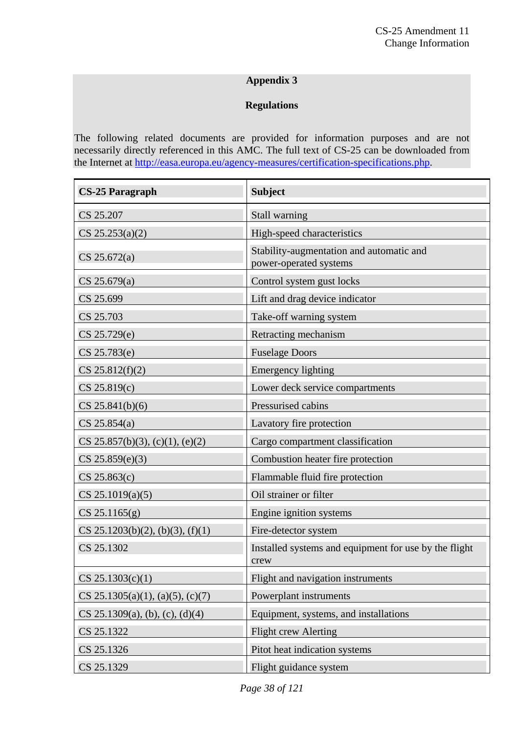# **Appendix 3**

# **Regulations**

The following related documents are provided for information purposes and are not necessarily directly referenced in this AMC. The full text of CS-25 can be downloaded from the Internet at <http://easa.europa.eu/agency-measures/certification-specifications.php>.

| <b>CS-25 Paragraph</b>           | <b>Subject</b>                                                     |
|----------------------------------|--------------------------------------------------------------------|
| CS 25.207                        | Stall warning                                                      |
| CS 25.253(a)(2)                  | High-speed characteristics                                         |
| CS 25.672(a)                     | Stability-augmentation and automatic and<br>power-operated systems |
| CS 25.679(a)                     | Control system gust locks                                          |
| CS 25.699                        | Lift and drag device indicator                                     |
| CS 25.703                        | Take-off warning system                                            |
| CS 25.729(e)                     | Retracting mechanism                                               |
| CS 25.783(e)                     | <b>Fuselage Doors</b>                                              |
| CS 25.812(f)(2)                  | <b>Emergency lighting</b>                                          |
| CS 25.819(c)                     | Lower deck service compartments                                    |
| CS 25.841(b)(6)                  | Pressurised cabins                                                 |
| $CS$ 25.854(a)                   | Lavatory fire protection                                           |
| CS 25.857(b)(3), (c)(1), (e)(2)  | Cargo compartment classification                                   |
| CS 25.859(e)(3)                  | Combustion heater fire protection                                  |
| CS 25.863(c)                     | Flammable fluid fire protection                                    |
| $CS$ 25.1019(a)(5)               | Oil strainer or filter                                             |
| $CS$ 25.1165 $(g)$               | Engine ignition systems                                            |
| CS 25.1203(b)(2), (b)(3), (f)(1) | Fire-detector system                                               |
| CS 25.1302                       | Installed systems and equipment for use by the flight<br>crew      |
| $CS$ 25.1303(c)(1)               | Flight and navigation instruments                                  |
| CS 25.1305(a)(1), (a)(5), (c)(7) | Powerplant instruments                                             |
| CS 25.1309(a), (b), (c), (d)(4)  | Equipment, systems, and installations                              |
| CS 25.1322                       | <b>Flight crew Alerting</b>                                        |
| CS 25.1326                       | Pitot heat indication systems                                      |
| CS 25.1329                       | Flight guidance system                                             |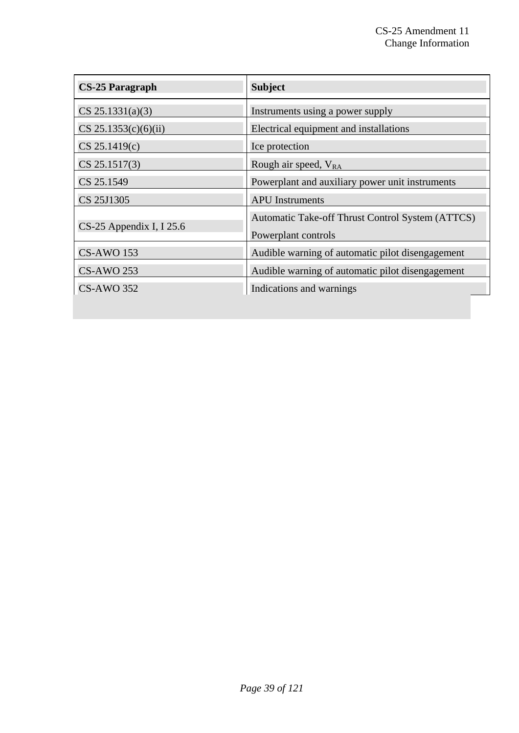| <b>CS-25 Paragraph</b>     | <b>Subject</b>                                                          |
|----------------------------|-------------------------------------------------------------------------|
| $CS$ 25.1331(a)(3)         | Instruments using a power supply                                        |
| $CS$ 25.1353(c)(6)(ii)     | Electrical equipment and installations                                  |
| CS 25.1419(c)              | Ice protection                                                          |
| CS 25.1517(3)              | Rough air speed, V <sub>RA</sub>                                        |
| CS 25.1549                 | Powerplant and auxiliary power unit instruments                         |
| CS 25J1305                 | <b>APU</b> Instruments                                                  |
| $CS-25$ Appendix I, I 25.6 | Automatic Take-off Thrust Control System (ATTCS)<br>Powerplant controls |
| <b>CS-AWO 153</b>          | Audible warning of automatic pilot disengagement                        |
| <b>CS-AWO 253</b>          | Audible warning of automatic pilot disengagement                        |
| <b>CS-AWO 352</b>          | Indications and warnings                                                |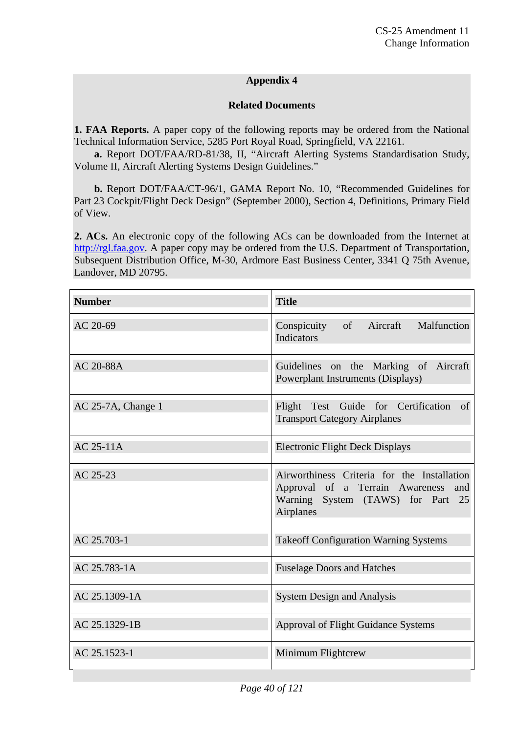# **Appendix 4**

# **Related Documents**

**1. FAA Reports.** A paper copy of the following reports may be ordered from the National Technical Information Service, 5285 Port Royal Road, Springfield, VA 22161.

**a.** Report DOT/FAA/RD-81/38, II, "Aircraft Alerting Systems Standardisation Study, Volume II, Aircraft Alerting Systems Design Guidelines."

**b.** Report DOT/FAA/CT-96/1, GAMA Report No. 10, "Recommended Guidelines for Part 23 Cockpit/Flight Deck Design" (September 2000), Section 4, Definitions, Primary Field of View.

**2. ACs.** An electronic copy of the following ACs can be downloaded from the Internet at [http://rgl.faa.gov.](http://rgl.faa.gov/) A paper copy may be ordered from the U.S. Department of Transportation, Subsequent Distribution Office, M-30, Ardmore East Business Center, 3341 Q 75th Avenue, Landover, MD 20795.

| <b>Number</b>      | <b>Title</b>                                                                                                                               |  |
|--------------------|--------------------------------------------------------------------------------------------------------------------------------------------|--|
| AC 20-69           | Malfunction<br>Conspicuity of Aircraft<br>Indicators                                                                                       |  |
| AC 20-88A          | Guidelines on the Marking of Aircraft<br>Powerplant Instruments (Displays)                                                                 |  |
| AC 25-7A, Change 1 | Flight Test Guide for Certification of<br><b>Transport Category Airplanes</b>                                                              |  |
| <b>AC 25-11A</b>   | <b>Electronic Flight Deck Displays</b>                                                                                                     |  |
| AC 25-23           | Airworthiness Criteria for the Installation<br>Approval of a Terrain Awareness<br>and<br>Warning System (TAWS) for Part<br>25<br>Airplanes |  |
| AC 25.703-1        | <b>Takeoff Configuration Warning Systems</b>                                                                                               |  |
| AC 25.783-1A       | <b>Fuselage Doors and Hatches</b>                                                                                                          |  |
| AC 25.1309-1A      | <b>System Design and Analysis</b>                                                                                                          |  |
| AC 25.1329-1B      | Approval of Flight Guidance Systems                                                                                                        |  |
| AC 25.1523-1       | Minimum Flightcrew                                                                                                                         |  |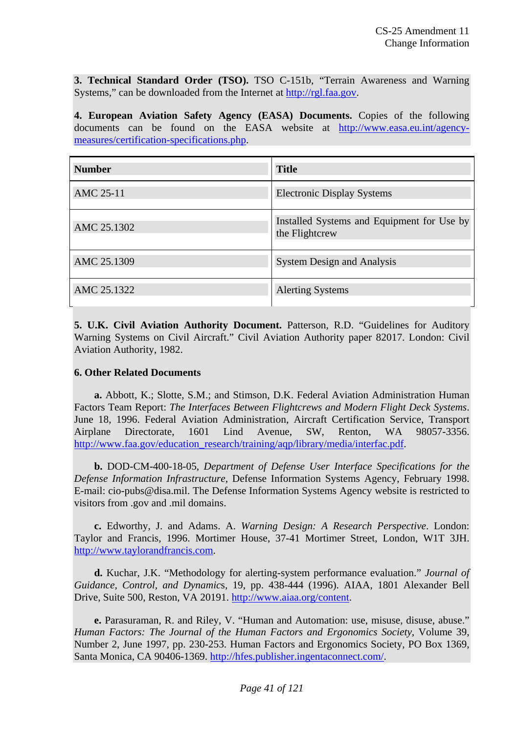**3. Technical Standard Order (TSO).** TSO C-151b, "Terrain Awareness and Warning Systems," can be downloaded from the Internet at [http://rgl.faa.gov.](http://rgl.faa.gov/)

**4. European Aviation Safety Agency (EASA) Documents.** Copies of the following documents can be found on the EASA website at [http://www.easa.eu.int/agency](http://www.easa.eu.int/agency-measures/certification-specifications.php)[measures/certification-specifications.php](http://www.easa.eu.int/agency-measures/certification-specifications.php).

| <b>Number</b> | <b>Title</b>                                                 |
|---------------|--------------------------------------------------------------|
| AMC 25-11     | <b>Electronic Display Systems</b>                            |
| AMC 25.1302   | Installed Systems and Equipment for Use by<br>the Flightcrew |
| AMC 25.1309   | <b>System Design and Analysis</b>                            |
| AMC 25.1322   | <b>Alerting Systems</b>                                      |

**5. U.K. Civil Aviation Authority Document.** Patterson, R.D. "Guidelines for Auditory Warning Systems on Civil Aircraft." Civil Aviation Authority paper 82017. London: Civil Aviation Authority, 1982.

# **6. Other Related Documents**

**a.** Abbott, K.; Slotte, S.M.; and Stimson, D.K. Federal Aviation Administration Human Factors Team Report: *The Interfaces Between Flightcrews and Modern Flight Deck Systems*. June 18, 1996. Federal Aviation Administration, Aircraft Certification Service, Transport Airplane Directorate, 1601 Lind Avenue, SW, Renton, WA 98057-3356. [http://www.faa.gov/education\\_research/training/aqp/library/media/interfac.pdf](http://www.faa.gov/education_research/training/aqp/library/media/interfac.pdf).

**b.** DOD-CM-400-18-05, *Department of Defense User Interface Specifications for the Defense Information Infrastructure*, Defense Information Systems Agency, February 1998. E-mail: cio-pubs@disa.mil. The Defense Information Systems Agency website is restricted to visitors from .gov and .mil domains.

**c.** Edworthy, J. and Adams. A. *Warning Design: A Research Perspective*. London: Taylor and Francis, 1996. Mortimer House, 37-41 Mortimer Street, London, W1T 3JH. [http://www.taylorandfrancis.com.](http://www.taylorandfrancis.com/)

**d.** Kuchar, J.K. "Methodology for alerting-system performance evaluation." *Journal of Guidance, Control, and Dynamic*s, 19, pp. 438-444 (1996). AIAA, 1801 Alexander Bell Drive, Suite 500, Reston, VA 20191. [http://www.aiaa.org/content.](http://www.aiaa.org/content)

**e.** Parasuraman, R. and Riley, V. "Human and Automation: use, misuse, disuse, abuse." *Human Factors: The Journal of the Human Factors and Ergonomics Society*, Volume 39, Number 2, June 1997, pp. 230-253. Human Factors and Ergonomics Society, PO Box 1369, Santa Monica, CA 90406-1369.<http://hfes.publisher.ingentaconnect.com/>.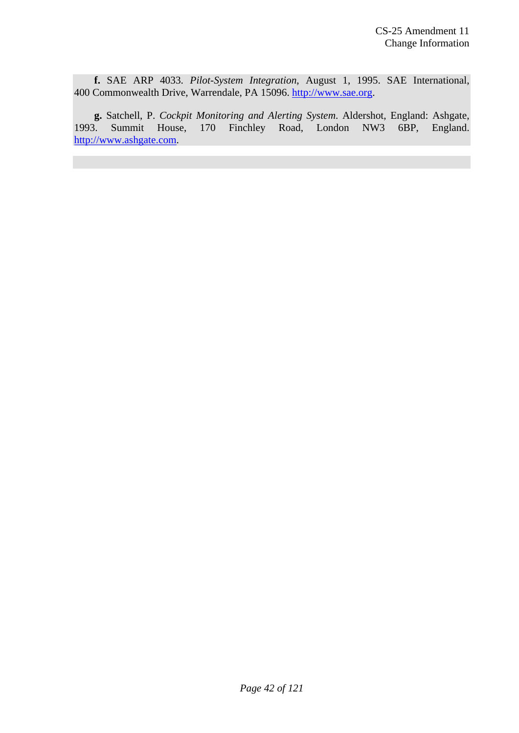**f.** SAE ARP 4033. *Pilot-System Integration*, August 1, 1995. SAE International, 400 Commonwealth Drive, Warrendale, PA 15096. [http://www.sae.org](http://www.sae.org/).

**g.** Satchell, P. *Cockpit Monitoring and Alerting System*. Aldershot, England: Ashgate, 1993. Summit House, 170 Finchley Road, London NW3 6BP, England. [http://www.ashgate.com.](http://www.ashgate.com/)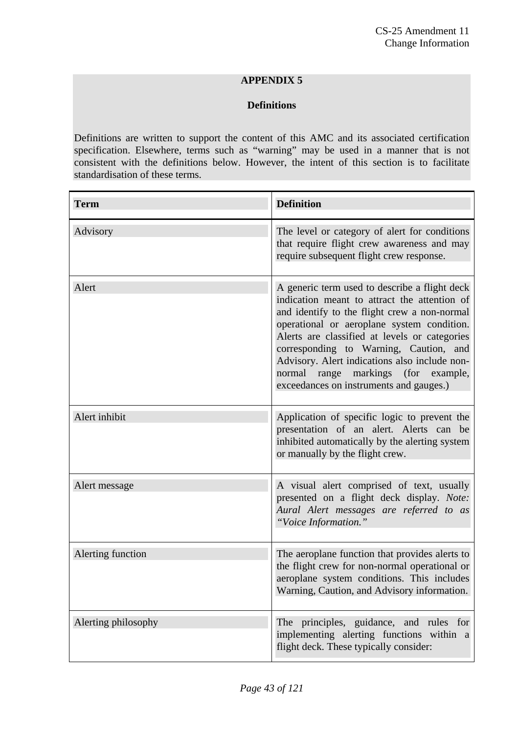# **APPENDIX 5**

# **Definitions**

Definitions are written to support the content of this AMC and its associated certification specification. Elsewhere, terms such as "warning" may be used in a manner that is not consistent with the definitions below. However, the intent of this section is to facilitate standardisation of these terms.

| <b>Term</b>         | <b>Definition</b>                                                                                                                                                                                                                                                                                                                                                                                                         |
|---------------------|---------------------------------------------------------------------------------------------------------------------------------------------------------------------------------------------------------------------------------------------------------------------------------------------------------------------------------------------------------------------------------------------------------------------------|
| Advisory            | The level or category of alert for conditions<br>that require flight crew awareness and may<br>require subsequent flight crew response.                                                                                                                                                                                                                                                                                   |
| Alert               | A generic term used to describe a flight deck<br>indication meant to attract the attention of<br>and identify to the flight crew a non-normal<br>operational or aeroplane system condition.<br>Alerts are classified at levels or categories<br>corresponding to Warning, Caution, and<br>Advisory. Alert indications also include non-<br>normal range markings (for example,<br>exceedances on instruments and gauges.) |
| Alert inhibit       | Application of specific logic to prevent the<br>presentation of an alert. Alerts can be<br>inhibited automatically by the alerting system<br>or manually by the flight crew.                                                                                                                                                                                                                                              |
| Alert message       | A visual alert comprised of text, usually<br>presented on a flight deck display. Note:<br>Aural Alert messages are referred to as<br>"Voice Information."                                                                                                                                                                                                                                                                 |
| Alerting function   | The aeroplane function that provides alerts to<br>the flight crew for non-normal operational or<br>aeroplane system conditions. This includes<br>Warning, Caution, and Advisory information.                                                                                                                                                                                                                              |
| Alerting philosophy | The principles, guidance, and rules for<br>implementing alerting functions within a<br>flight deck. These typically consider:                                                                                                                                                                                                                                                                                             |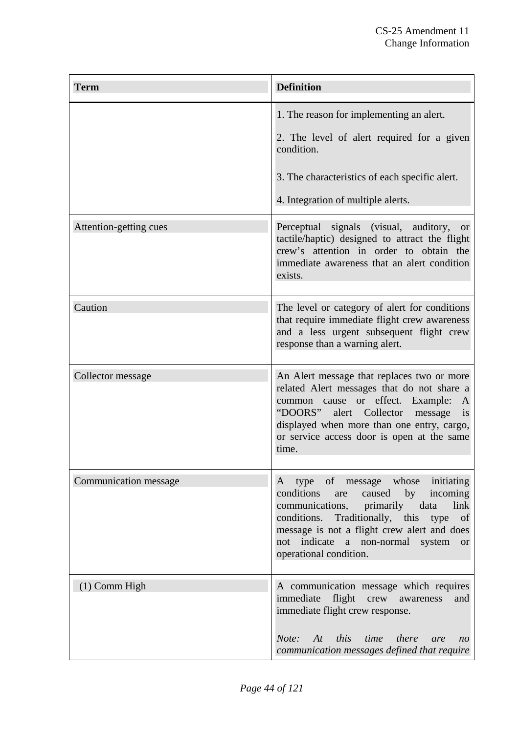| <b>Term</b>            | <b>Definition</b>                                                                                                                                                                                                                                                                            |
|------------------------|----------------------------------------------------------------------------------------------------------------------------------------------------------------------------------------------------------------------------------------------------------------------------------------------|
|                        | 1. The reason for implementing an alert.<br>2. The level of alert required for a given<br>condition.<br>3. The characteristics of each specific alert.<br>4. Integration of multiple alerts.                                                                                                 |
| Attention-getting cues | Perceptual signals (visual, auditory, or<br>tactile/haptic) designed to attract the flight<br>crew's attention in order to obtain the<br>immediate awareness that an alert condition<br>exists.                                                                                              |
| Caution                | The level or category of alert for conditions<br>that require immediate flight crew awareness<br>and a less urgent subsequent flight crew<br>response than a warning alert.                                                                                                                  |
| Collector message      | An Alert message that replaces two or more<br>related Alert messages that do not share a<br>common cause or effect. Example:<br>A<br>"DOORS" alert Collector message<br>$\overline{1}S$<br>displayed when more than one entry, cargo,<br>or service access door is open at the same<br>time. |
| Communication message  | A type of message whose initiating<br>caused by incoming<br>conditions<br>are<br>communications, primarily data<br>link<br>Traditionally, this type<br>conditions.<br>of<br>message is not a flight crew alert and does<br>not indicate a non-normal system or<br>operational condition.     |
| $(1)$ Comm High        | A communication message which requires<br>immediate flight crew awareness<br>and<br>immediate flight crew response.<br>Note: At this time there<br>are<br>n <sub>O</sub><br>communication messages defined that require                                                                      |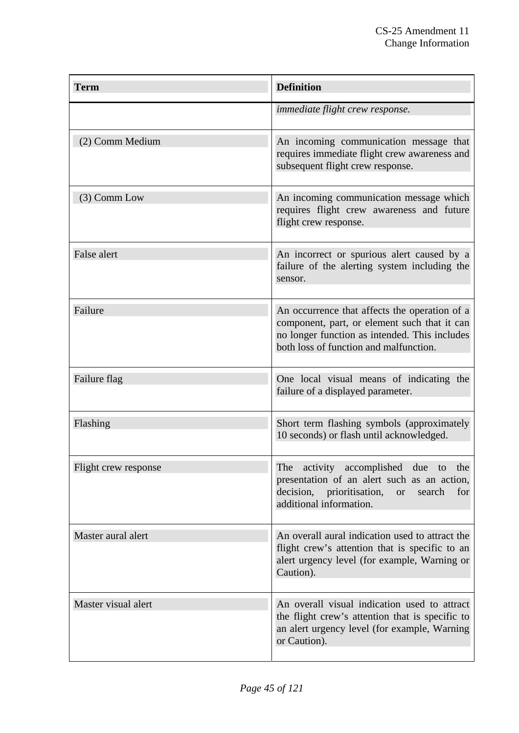| <b>Term</b>          | <b>Definition</b>                                                                                                                                                                        |
|----------------------|------------------------------------------------------------------------------------------------------------------------------------------------------------------------------------------|
|                      | <i>immediate flight crew response.</i>                                                                                                                                                   |
| (2) Comm Medium      | An incoming communication message that<br>requires immediate flight crew awareness and<br>subsequent flight crew response.                                                               |
| (3) Comm Low         | An incoming communication message which<br>requires flight crew awareness and future<br>flight crew response.                                                                            |
| <b>False alert</b>   | An incorrect or spurious alert caused by a<br>failure of the alerting system including the<br>sensor.                                                                                    |
| Failure              | An occurrence that affects the operation of a<br>component, part, or element such that it can<br>no longer function as intended. This includes<br>both loss of function and malfunction. |
| Failure flag         | One local visual means of indicating the<br>failure of a displayed parameter.                                                                                                            |
| Flashing             | Short term flashing symbols (approximately<br>10 seconds) or flash until acknowledged.                                                                                                   |
| Flight crew response | The activity accomplished due to<br>the<br>presentation of an alert such as an action,<br>prioritisation,<br>decision,<br>search<br><b>or</b><br>for<br>additional information.          |
| Master aural alert   | An overall aural indication used to attract the<br>flight crew's attention that is specific to an<br>alert urgency level (for example, Warning or<br>Caution).                           |
| Master visual alert  | An overall visual indication used to attract<br>the flight crew's attention that is specific to<br>an alert urgency level (for example, Warning<br>or Caution).                          |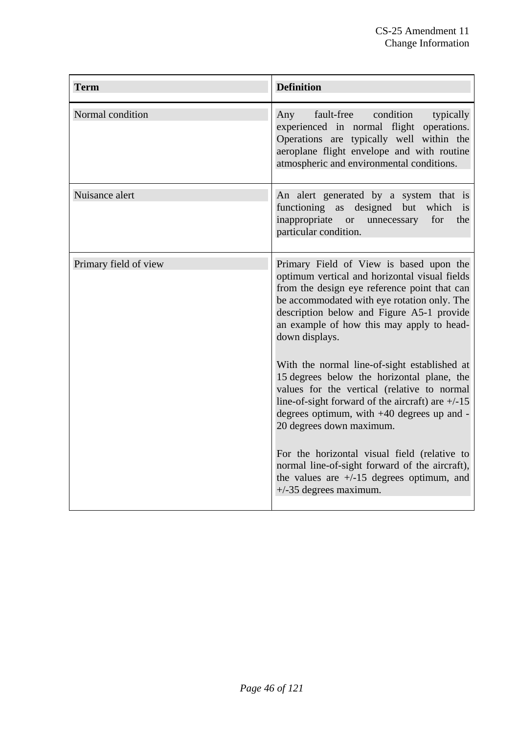| <b>Term</b>           | <b>Definition</b>                                                                                                                                                                                                                                                                                                                                                                                                                                                                                                                                                                                                                                                                                                                                               |
|-----------------------|-----------------------------------------------------------------------------------------------------------------------------------------------------------------------------------------------------------------------------------------------------------------------------------------------------------------------------------------------------------------------------------------------------------------------------------------------------------------------------------------------------------------------------------------------------------------------------------------------------------------------------------------------------------------------------------------------------------------------------------------------------------------|
| Normal condition      | fault-free condition<br>Any<br>typically<br>experienced in normal flight operations.<br>Operations are typically well within the<br>aeroplane flight envelope and with routine<br>atmospheric and environmental conditions.                                                                                                                                                                                                                                                                                                                                                                                                                                                                                                                                     |
| Nuisance alert        | An alert generated by a system that is<br>functioning as designed<br>which<br>but<br>is<br>inappropriate<br>for<br>the<br>or or<br>unnecessary<br>particular condition.                                                                                                                                                                                                                                                                                                                                                                                                                                                                                                                                                                                         |
| Primary field of view | Primary Field of View is based upon the<br>optimum vertical and horizontal visual fields<br>from the design eye reference point that can<br>be accommodated with eye rotation only. The<br>description below and Figure A5-1 provide<br>an example of how this may apply to head-<br>down displays.<br>With the normal line-of-sight established at<br>15 degrees below the horizontal plane, the<br>values for the vertical (relative to normal<br>line-of-sight forward of the aircraft) are $+/-15$<br>degrees optimum, with $+40$ degrees up and -<br>20 degrees down maximum.<br>For the horizontal visual field (relative to<br>normal line-of-sight forward of the aircraft),<br>the values are $+/-15$ degrees optimum, and<br>$+/-35$ degrees maximum. |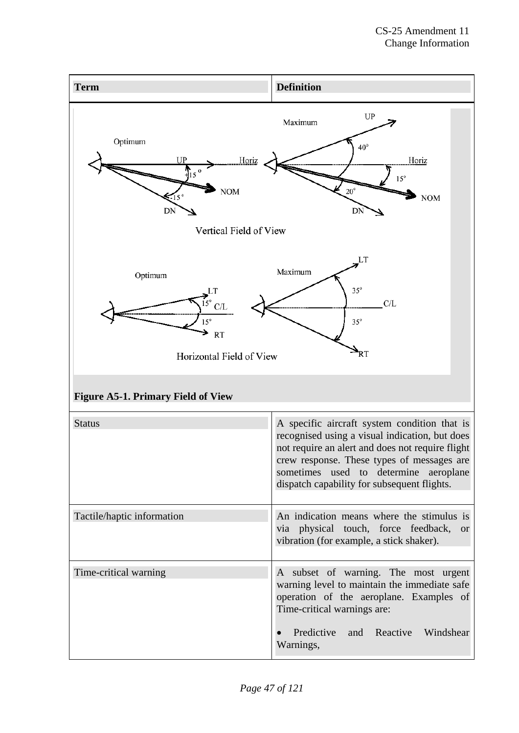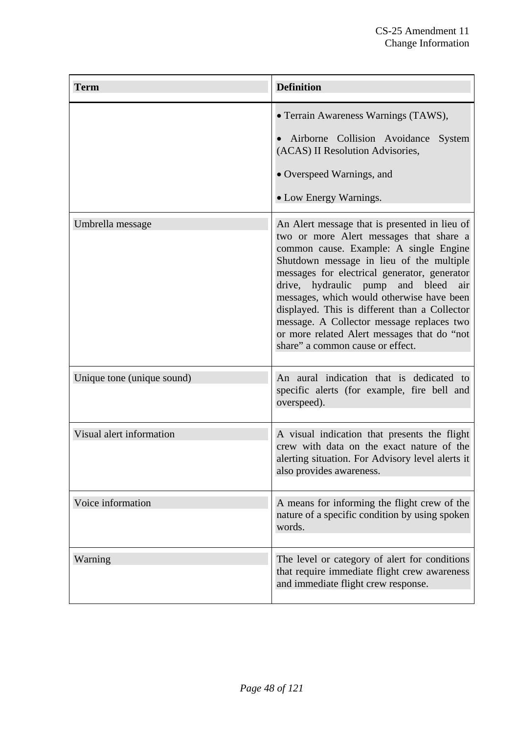| <b>Term</b>                | <b>Definition</b>                                                                                                                                                                                                                                                                                                                                                                                                                                                                                   |
|----------------------------|-----------------------------------------------------------------------------------------------------------------------------------------------------------------------------------------------------------------------------------------------------------------------------------------------------------------------------------------------------------------------------------------------------------------------------------------------------------------------------------------------------|
|                            | • Terrain Awareness Warnings (TAWS),<br>Airborne Collision Avoidance<br>System<br>(ACAS) II Resolution Advisories,<br>• Overspeed Warnings, and<br>• Low Energy Warnings.                                                                                                                                                                                                                                                                                                                           |
| Umbrella message           | An Alert message that is presented in lieu of<br>two or more Alert messages that share a<br>common cause. Example: A single Engine<br>Shutdown message in lieu of the multiple<br>messages for electrical generator, generator<br>drive, hydraulic pump and bleed air<br>messages, which would otherwise have been<br>displayed. This is different than a Collector<br>message. A Collector message replaces two<br>or more related Alert messages that do "not<br>share" a common cause or effect. |
| Unique tone (unique sound) | An aural indication that is dedicated to<br>specific alerts (for example, fire bell and<br>overspeed).                                                                                                                                                                                                                                                                                                                                                                                              |
| Visual alert information   | A visual indication that presents the flight<br>crew with data on the exact nature of the<br>alerting situation. For Advisory level alerts it<br>also provides awareness.                                                                                                                                                                                                                                                                                                                           |
| Voice information          | A means for informing the flight crew of the<br>nature of a specific condition by using spoken<br>words.                                                                                                                                                                                                                                                                                                                                                                                            |
| Warning                    | The level or category of alert for conditions<br>that require immediate flight crew awareness<br>and immediate flight crew response.                                                                                                                                                                                                                                                                                                                                                                |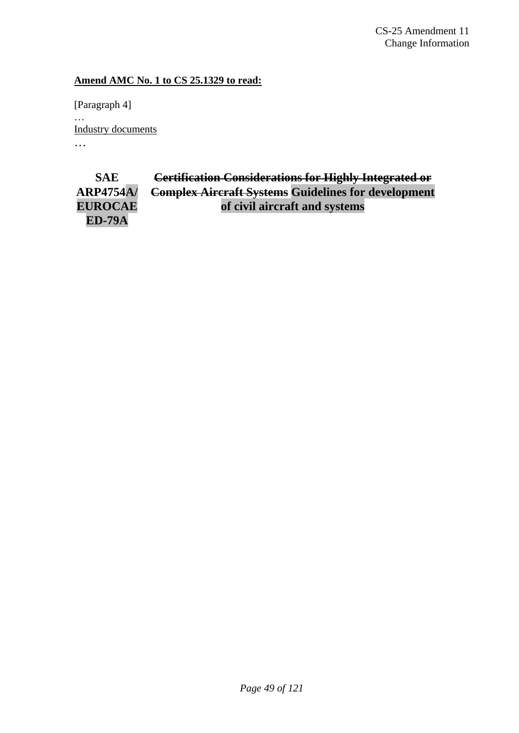CS-25 Amendment 11 Change Information

# **Amend AMC No. 1 to CS 25.1329 to read:**

[Paragraph 4] … Industry documents …

**SAE ARP4754A/ EUROCAE ED-79A Certification Considerations for Highly Integrated or Complex Aircraft Systems Guidelines for development of civil aircraft and systems**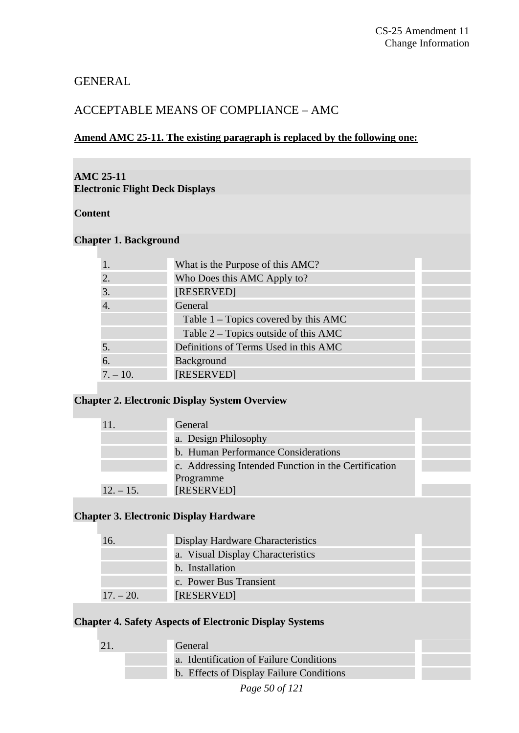# GENERAL

# ACCEPTABLE MEANS OF COMPLIANCE – AMC

# **Amend AMC 25-11. The existing paragraph is replaced by the following one:**

## **AMC 25-11 Electronic Flight Deck Displays**

# **Content**

# **Chapter 1. Background**

| 1.         | What is the Purpose of this AMC?       |
|------------|----------------------------------------|
| 2.         | Who Does this AMC Apply to?            |
| 3.         | [RESERVED]                             |
| 4.         | General                                |
|            | Table $1 -$ Topics covered by this AMC |
|            | Table 2 – Topics outside of this AMC   |
| 5.         | Definitions of Terms Used in this AMC  |
| 6.         | Background                             |
| $7. - 10.$ | [RESERVED]                             |
|            |                                        |

# **Chapter 2. Electronic Display System Overview**

| 11          | General                                              |  |
|-------------|------------------------------------------------------|--|
|             | a. Design Philosophy                                 |  |
|             | b. Human Performance Considerations                  |  |
|             | c. Addressing Intended Function in the Certification |  |
|             | Programme                                            |  |
| $12. - 15.$ | [RESERVED]                                           |  |

# **Chapter 3. Electronic Display Hardware**

| 16.         | Display Hardware Characteristics  |
|-------------|-----------------------------------|
|             | a. Visual Display Characteristics |
|             | b. Installation                   |
|             | c. Power Bus Transient            |
| $17. - 20.$ | [RESERVED]                        |

#### **Chapter 4. Safety Aspects of Electronic Display Systems**

| 21 | General                                  |  |
|----|------------------------------------------|--|
|    | a. Identification of Failure Conditions  |  |
|    | b. Effects of Display Failure Conditions |  |
|    | Page 50 of 121                           |  |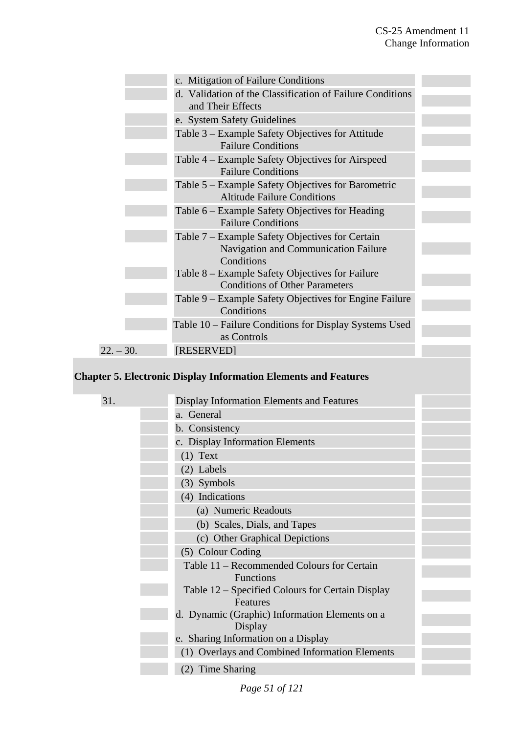|             | c. Mitigation of Failure Conditions                                                                   |  |
|-------------|-------------------------------------------------------------------------------------------------------|--|
|             | d. Validation of the Classification of Failure Conditions<br>and Their Effects                        |  |
|             | e. System Safety Guidelines                                                                           |  |
|             | Table 3 – Example Safety Objectives for Attitude<br><b>Failure Conditions</b>                         |  |
|             | Table 4 – Example Safety Objectives for Airspeed<br><b>Failure Conditions</b>                         |  |
|             | Table 5 – Example Safety Objectives for Barometric<br><b>Altitude Failure Conditions</b>              |  |
|             | Table 6 – Example Safety Objectives for Heading<br><b>Failure Conditions</b>                          |  |
|             | Table 7 – Example Safety Objectives for Certain<br>Navigation and Communication Failure<br>Conditions |  |
|             | Table 8 – Example Safety Objectives for Failure<br><b>Conditions of Other Parameters</b>              |  |
|             | Table 9 – Example Safety Objectives for Engine Failure<br>Conditions                                  |  |
|             | Table 10 – Failure Conditions for Display Systems Used<br>as Controls                                 |  |
| $22. - 30.$ | [RESERVED]                                                                                            |  |
|             |                                                                                                       |  |

# **Chapter 5. Electronic Display Information Elements and Features**

| 31. | Display Information Elements and Features        |  |
|-----|--------------------------------------------------|--|
|     | a. General                                       |  |
|     | b. Consistency                                   |  |
|     | c. Display Information Elements                  |  |
|     | $(1)$ Text                                       |  |
|     | (2) Labels                                       |  |
|     | (3) Symbols                                      |  |
|     | (4) Indications                                  |  |
|     | (a) Numeric Readouts                             |  |
|     | (b) Scales, Dials, and Tapes                     |  |
|     | (c) Other Graphical Depictions                   |  |
|     | (5) Colour Coding                                |  |
|     | Table 11 – Recommended Colours for Certain       |  |
|     | <b>Functions</b>                                 |  |
|     | Table 12 – Specified Colours for Certain Display |  |
|     | Features                                         |  |
|     | d. Dynamic (Graphic) Information Elements on a   |  |
|     | Display                                          |  |
|     | e. Sharing Information on a Display              |  |
|     | (1) Overlays and Combined Information Elements   |  |
|     | (2) Time Sharing                                 |  |
|     |                                                  |  |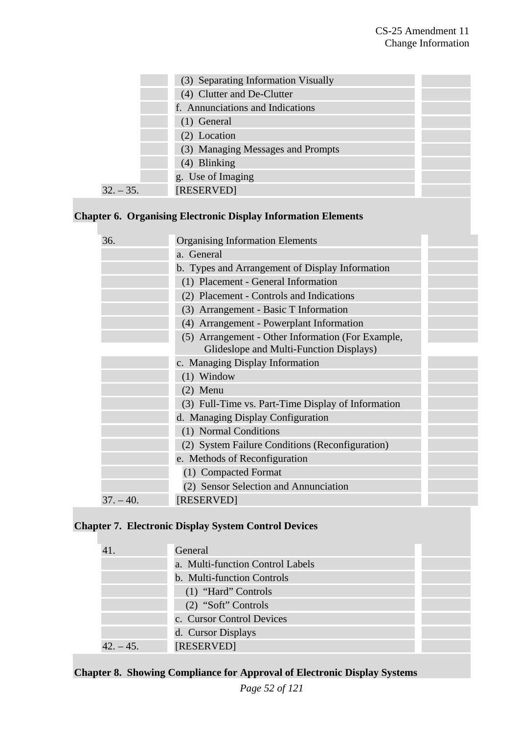|             | (3) Separating Information Visually |  |
|-------------|-------------------------------------|--|
|             | (4) Clutter and De-Clutter          |  |
|             | f. Annunciations and Indications    |  |
|             | $(1)$ General                       |  |
|             | (2) Location                        |  |
|             | (3) Managing Messages and Prompts   |  |
|             | (4) Blinking                        |  |
|             | g. Use of Imaging                   |  |
| $32. - 35.$ | [RESERVED]                          |  |

# **Chapter 6. Organising Electronic Display Information Elements**

| 36.         | <b>Organising Information Elements</b>             |  |
|-------------|----------------------------------------------------|--|
|             | a. General                                         |  |
|             | b. Types and Arrangement of Display Information    |  |
|             | (1) Placement - General Information                |  |
|             | (2) Placement - Controls and Indications           |  |
|             | (3) Arrangement - Basic T Information              |  |
|             | (4) Arrangement - Powerplant Information           |  |
|             | (5) Arrangement - Other Information (For Example,  |  |
|             | Glideslope and Multi-Function Displays)            |  |
|             | c. Managing Display Information                    |  |
|             | $(1)$ Window                                       |  |
|             | $(2)$ Menu                                         |  |
|             | (3) Full-Time vs. Part-Time Display of Information |  |
|             | d. Managing Display Configuration                  |  |
|             | (1) Normal Conditions                              |  |
|             | (2) System Failure Conditions (Reconfiguration)    |  |
|             | e. Methods of Reconfiguration                      |  |
|             | (1) Compacted Format                               |  |
|             | (2) Sensor Selection and Annunciation              |  |
| $37. - 40.$ | [RESERVED]                                         |  |

# **Chapter 7. Electronic Display System Control Devices**

| 41        | General                          |
|-----------|----------------------------------|
|           | a. Multi-function Control Labels |
|           | b. Multi-function Controls       |
|           | (1) "Hard" Controls              |
|           | (2) "Soft" Controls              |
|           | c. Cursor Control Devices        |
|           | d. Cursor Displays               |
| $42 - 45$ | [RESERVED]                       |

# **Chapter 8. Showing Compliance for Approval of Electronic Display Systems**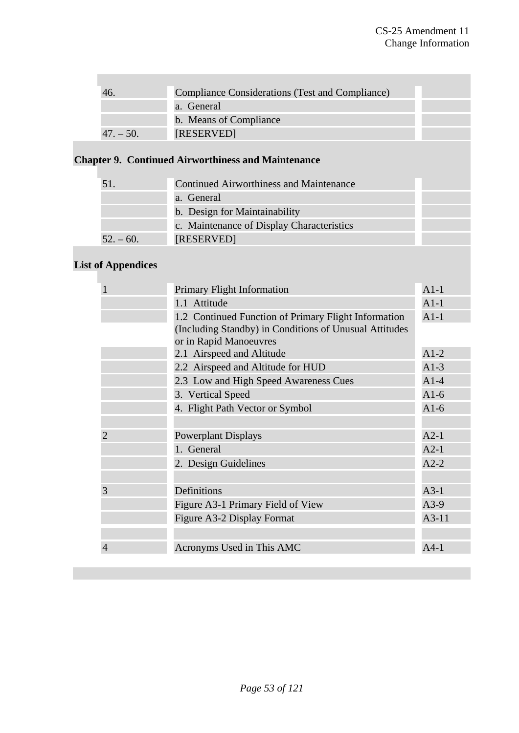|             | <b>Compliance Considerations (Test and Compliance)</b> |  |
|-------------|--------------------------------------------------------|--|
|             | a. General                                             |  |
|             | b. Means of Compliance                                 |  |
| $47. - 50.$ | [RESERVED]                                             |  |

# **Chapter 9. Continued Airworthiness and Maintenance**

|           | Continued Airworthiness and Maintenance   |
|-----------|-------------------------------------------|
|           | a. General                                |
|           | b. Design for Maintainability             |
|           | c. Maintenance of Display Characteristics |
| $52 - 60$ | [RESERVED]                                |

# **List of Appendices**

| $\mathbf{1}$   | <b>Primary Flight Information</b>                      | $A1-1$  |
|----------------|--------------------------------------------------------|---------|
|                | 1.1 Attitude                                           | $A1-1$  |
|                | 1.2 Continued Function of Primary Flight Information   | $A1-1$  |
|                | (Including Standby) in Conditions of Unusual Attitudes |         |
|                | or in Rapid Manoeuvres                                 |         |
|                | 2.1 Airspeed and Altitude                              | $A1-2$  |
|                | 2.2 Airspeed and Altitude for HUD                      | $A1-3$  |
|                | 2.3 Low and High Speed Awareness Cues                  | $A1-4$  |
|                | 3. Vertical Speed                                      | $A1-6$  |
|                | 4. Flight Path Vector or Symbol                        | $A1-6$  |
|                |                                                        |         |
| $\overline{2}$ | <b>Powerplant Displays</b>                             | $A2-1$  |
|                | 1. General                                             | $A2-1$  |
|                | 2. Design Guidelines                                   | $A2-2$  |
|                |                                                        |         |
| 3              | Definitions                                            | $A3-1$  |
|                | Figure A3-1 Primary Field of View                      | $A3-9$  |
|                | Figure A3-2 Display Format                             | $A3-11$ |
|                |                                                        |         |
| $\overline{4}$ | Acronyms Used in This AMC                              | $A4-1$  |
|                |                                                        |         |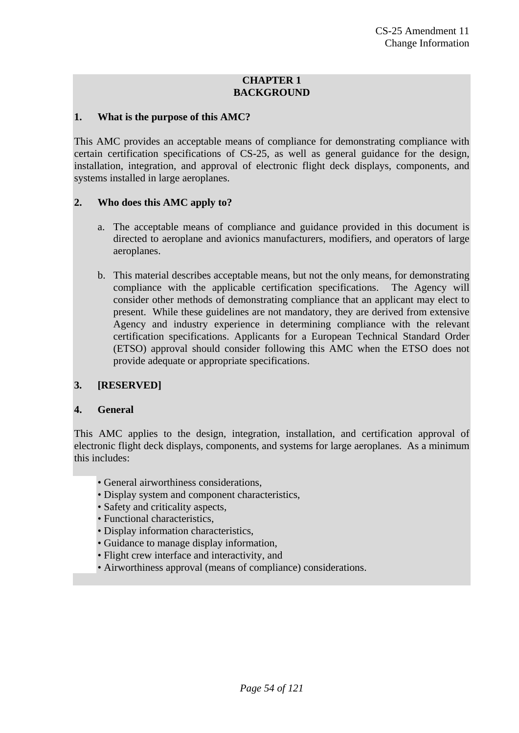#### **CHAPTER 1 BACKGROUND**

#### **1. What is the purpose of this AMC?**

This AMC provides an acceptable means of compliance for demonstrating compliance with certain certification specifications of CS-25, as well as general guidance for the design, installation, integration, and approval of electronic flight deck displays, components, and systems installed in large aeroplanes.

#### **2. Who does this AMC apply to?**

- a. The acceptable means of compliance and guidance provided in this document is directed to aeroplane and avionics manufacturers, modifiers, and operators of large aeroplanes.
- b. This material describes acceptable means, but not the only means, for demonstrating compliance with the applicable certification specifications. The Agency will consider other methods of demonstrating compliance that an applicant may elect to present. While these guidelines are not mandatory, they are derived from extensive Agency and industry experience in determining compliance with the relevant certification specifications. Applicants for a European Technical Standard Order (ETSO) approval should consider following this AMC when the ETSO does not provide adequate or appropriate specifications.

# **3. [RESERVED]**

#### **4. General**

This AMC applies to the design, integration, installation, and certification approval of electronic flight deck displays, components, and systems for large aeroplanes. As a minimum this includes:

- General airworthiness considerations,
- Display system and component characteristics,
- Safety and criticality aspects,
- Functional characteristics,
- Display information characteristics,
- Guidance to manage display information,
- Flight crew interface and interactivity, and
- Airworthiness approval (means of compliance) considerations.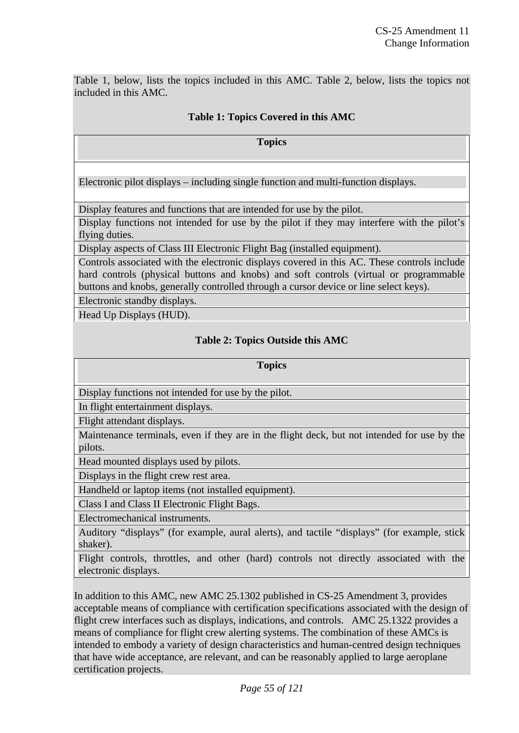Table 1, below, lists the topics included in this AMC. Table 2, below, lists the topics not included in this AMC.

# **Table 1: Topics Covered in this AMC**

**Topics** 

Electronic pilot displays – including single function and multi-function displays.

Display features and functions that are intended for use by the pilot.

Display functions not intended for use by the pilot if they may interfere with the pilot's flying duties.

Display aspects of Class III Electronic Flight Bag (installed equipment).

Controls associated with the electronic displays covered in this AC. These controls include hard controls (physical buttons and knobs) and soft controls (virtual or programmable buttons and knobs, generally controlled through a cursor device or line select keys).

Electronic standby displays.

Head Up Displays (HUD).

# **Table 2: Topics Outside this AMC**

#### **Topics**

Display functions not intended for use by the pilot.

In flight entertainment displays.

Flight attendant displays.

Maintenance terminals, even if they are in the flight deck, but not intended for use by the pilots.

Head mounted displays used by pilots.

Displays in the flight crew rest area.

Handheld or laptop items (not installed equipment).

Class I and Class II Electronic Flight Bags.

Electromechanical instruments.

Auditory "displays" (for example, aural alerts), and tactile "displays" (for example, stick shaker).

Flight controls, throttles, and other (hard) controls not directly associated with the electronic displays.

In addition to this AMC, new AMC 25.1302 published in CS-25 Amendment 3, provides acceptable means of compliance with certification specifications associated with the design of flight crew interfaces such as displays, indications, and controls. AMC 25.1322 provides a means of compliance for flight crew alerting systems. The combination of these AMCs is intended to embody a variety of design characteristics and human-centred design techniques that have wide acceptance, are relevant, and can be reasonably applied to large aeroplane certification projects.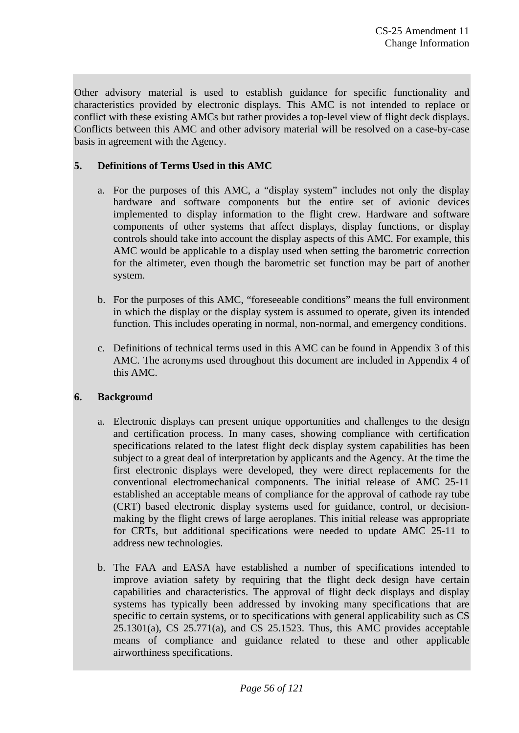Other advisory material is used to establish guidance for specific functionality and characteristics provided by electronic displays. This AMC is not intended to replace or conflict with these existing AMCs but rather provides a top-level view of flight deck displays. Conflicts between this AMC and other advisory material will be resolved on a case-by-case basis in agreement with the Agency.

# **5. Definitions of Terms Used in this AMC**

- a. For the purposes of this AMC, a "display system" includes not only the display hardware and software components but the entire set of avionic devices implemented to display information to the flight crew. Hardware and software components of other systems that affect displays, display functions, or display controls should take into account the display aspects of this AMC. For example, this AMC would be applicable to a display used when setting the barometric correction for the altimeter, even though the barometric set function may be part of another system.
- b. For the purposes of this AMC, "foreseeable conditions" means the full environment in which the display or the display system is assumed to operate, given its intended function. This includes operating in normal, non-normal, and emergency conditions.
- c. Definitions of technical terms used in this AMC can be found in Appendix 3 of this AMC. The acronyms used throughout this document are included in Appendix 4 of this AMC.

# **6. Background**

- a. Electronic displays can present unique opportunities and challenges to the design and certification process. In many cases, showing compliance with certification specifications related to the latest flight deck display system capabilities has been subject to a great deal of interpretation by applicants and the Agency. At the time the first electronic displays were developed, they were direct replacements for the conventional electromechanical components. The initial release of AMC 25-11 established an acceptable means of compliance for the approval of cathode ray tube (CRT) based electronic display systems used for guidance, control, or decisionmaking by the flight crews of large aeroplanes. This initial release was appropriate for CRTs, but additional specifications were needed to update AMC 25-11 to address new technologies.
- b. The FAA and EASA have established a number of specifications intended to improve aviation safety by requiring that the flight deck design have certain capabilities and characteristics. The approval of flight deck displays and display systems has typically been addressed by invoking many specifications that are specific to certain systems, or to specifications with general applicability such as CS 25.1301(a), CS 25.771(a), and CS 25.1523. Thus, this AMC provides acceptable means of compliance and guidance related to these and other applicable airworthiness specifications.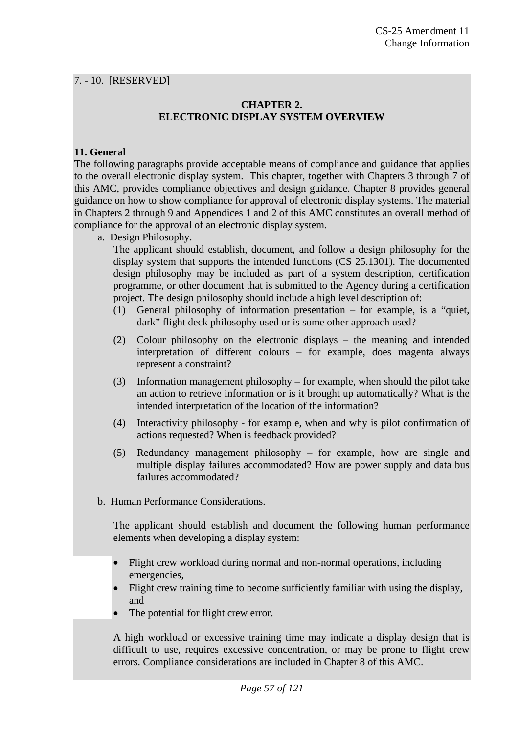### 7. - 10. [RESERVED]

## **CHAPTER 2. ELECTRONIC DISPLAY SYSTEM OVERVIEW**

# **11. General**

The following paragraphs provide acceptable means of compliance and guidance that applies to the overall electronic display system. This chapter, together with Chapters 3 through 7 of this AMC, provides compliance objectives and design guidance. Chapter 8 provides general guidance on how to show compliance for approval of electronic display systems. The material in Chapters 2 through 9 and Appendices 1 and 2 of this AMC constitutes an overall method of compliance for the approval of an electronic display system.

a. Design Philosophy.

 The applicant should establish, document, and follow a design philosophy for the display system that supports the intended functions (CS 25.1301). The documented design philosophy may be included as part of a system description, certification programme, or other document that is submitted to the Agency during a certification project. The design philosophy should include a high level description of:

- (1) General philosophy of information presentation for example, is a "quiet, dark" flight deck philosophy used or is some other approach used?
- (2) Colour philosophy on the electronic displays the meaning and intended interpretation of different colours – for example, does magenta always represent a constraint?
- (3) Information management philosophy for example, when should the pilot take an action to retrieve information or is it brought up automatically? What is the intended interpretation of the location of the information?
- (4) Interactivity philosophy for example, when and why is pilot confirmation of actions requested? When is feedback provided?
- (5) Redundancy management philosophy for example, how are single and multiple display failures accommodated? How are power supply and data bus failures accommodated?
- b. Human Performance Considerations.

 The applicant should establish and document the following human performance elements when developing a display system:

- Flight crew workload during normal and non-normal operations, including emergencies,
- Flight crew training time to become sufficiently familiar with using the display, and
- The potential for flight crew error.

 A high workload or excessive training time may indicate a display design that is difficult to use, requires excessive concentration, or may be prone to flight crew errors. Compliance considerations are included in Chapter 8 of this AMC.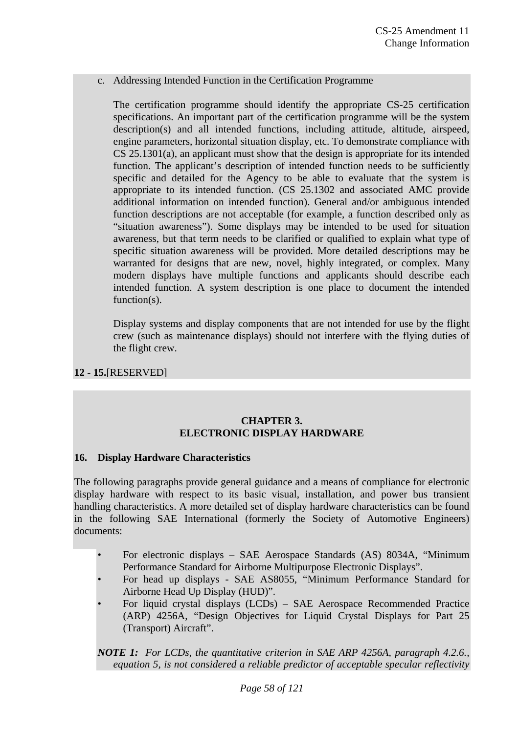#### c. Addressing Intended Function in the Certification Programme

 The certification programme should identify the appropriate CS-25 certification specifications. An important part of the certification programme will be the system description(s) and all intended functions, including attitude, altitude, airspeed, engine parameters, horizontal situation display, etc. To demonstrate compliance with CS 25.1301(a), an applicant must show that the design is appropriate for its intended function. The applicant's description of intended function needs to be sufficiently specific and detailed for the Agency to be able to evaluate that the system is appropriate to its intended function. (CS 25.1302 and associated AMC provide additional information on intended function). General and/or ambiguous intended function descriptions are not acceptable (for example, a function described only as "situation awareness"). Some displays may be intended to be used for situation awareness, but that term needs to be clarified or qualified to explain what type of specific situation awareness will be provided. More detailed descriptions may be warranted for designs that are new, novel, highly integrated, or complex. Many modern displays have multiple functions and applicants should describe each intended function. A system description is one place to document the intended function(s).

 Display systems and display components that are not intended for use by the flight crew (such as maintenance displays) should not interfere with the flying duties of the flight crew.

# **12 - 15.**[RESERVED]

# **CHAPTER 3. ELECTRONIC DISPLAY HARDWARE**

#### **16. Display Hardware Characteristics**

The following paragraphs provide general guidance and a means of compliance for electronic display hardware with respect to its basic visual, installation, and power bus transient handling characteristics. A more detailed set of display hardware characteristics can be found in the following SAE International (formerly the Society of Automotive Engineers) documents:

- For electronic displays SAE Aerospace Standards (AS) 8034A, "Minimum Performance Standard for Airborne Multipurpose Electronic Displays".
- For head up displays SAE AS8055, "Minimum Performance Standard for Airborne Head Up Display (HUD)".
- For liquid crystal displays (LCDs) SAE Aerospace Recommended Practice (ARP) 4256A, "Design Objectives for Liquid Crystal Displays for Part 25 (Transport) Aircraft".

*NOTE 1: For LCDs, the quantitative criterion in SAE ARP 4256A, paragraph 4.2.6., equation 5, is not considered a reliable predictor of acceptable specular reflectivity*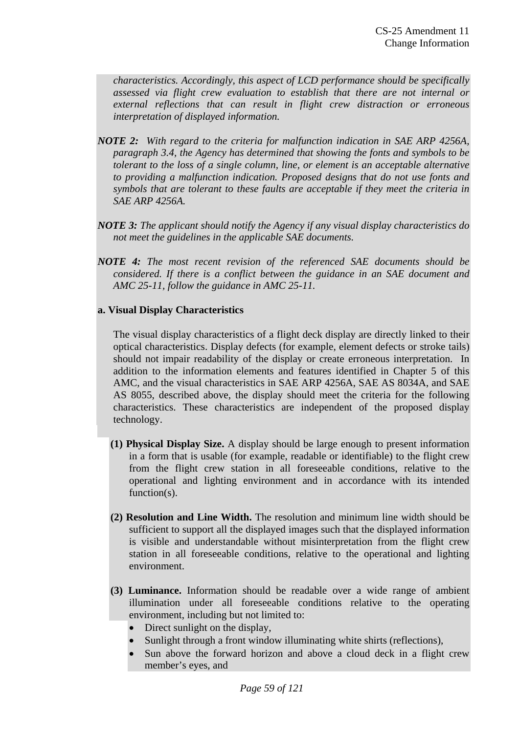*characteristics. Accordingly, this aspect of LCD performance should be specifically assessed via flight crew evaluation to establish that there are not internal or external reflections that can result in flight crew distraction or erroneous interpretation of displayed information.* 

- *NOTE 2: With regard to the criteria for malfunction indication in SAE ARP 4256A, paragraph 3.4, the Agency has determined that showing the fonts and symbols to be tolerant to the loss of a single column, line, or element is an acceptable alternative to providing a malfunction indication. Proposed designs that do not use fonts and symbols that are tolerant to these faults are acceptable if they meet the criteria in SAE ARP 4256A.*
- *NOTE 3: The applicant should notify the Agency if any visual display characteristics do not meet the guidelines in the applicable SAE documents.*
- *NOTE 4: The most recent revision of the referenced SAE documents should be considered. If there is a conflict between the guidance in an SAE document and AMC 25-11, follow the guidance in AMC 25-11.*

#### **a. Visual Display Characteristics**

 The visual display characteristics of a flight deck display are directly linked to their optical characteristics. Display defects (for example, element defects or stroke tails) should not impair readability of the display or create erroneous interpretation. In addition to the information elements and features identified in Chapter 5 of this AMC, and the visual characteristics in SAE ARP 4256A, SAE AS 8034A, and SAE AS 8055, described above, the display should meet the criteria for the following characteristics. These characteristics are independent of the proposed display technology.

- **(1) Physical Display Size.** A display should be large enough to present information in a form that is usable (for example, readable or identifiable) to the flight crew from the flight crew station in all foreseeable conditions, relative to the operational and lighting environment and in accordance with its intended function(s).
- **(2) Resolution and Line Width.** The resolution and minimum line width should be sufficient to support all the displayed images such that the displayed information is visible and understandable without misinterpretation from the flight crew station in all foreseeable conditions, relative to the operational and lighting environment.
- **(3) Luminance.** Information should be readable over a wide range of ambient illumination under all foreseeable conditions relative to the operating environment, including but not limited to:
	- Direct sunlight on the display,
	- Sunlight through a front window illuminating white shirts (reflections),
	- Sun above the forward horizon and above a cloud deck in a flight crew member's eyes, and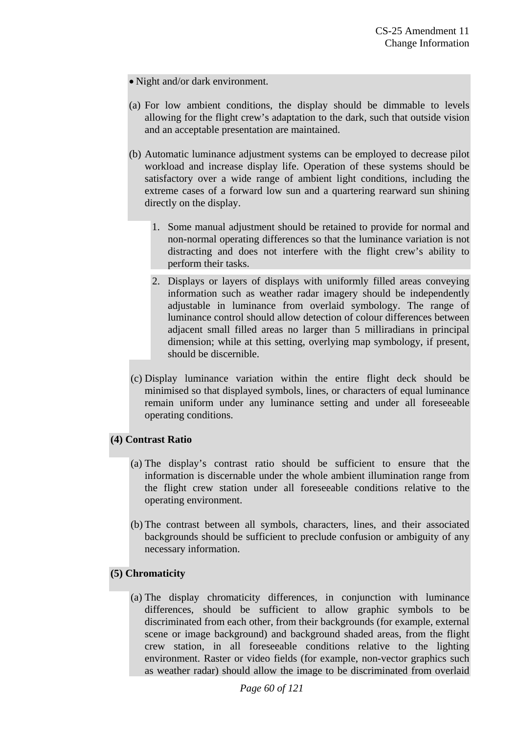- Night and/or dark environment.
- (a) For low ambient conditions, the display should be dimmable to levels allowing for the flight crew's adaptation to the dark, such that outside vision and an acceptable presentation are maintained.
- (b) Automatic luminance adjustment systems can be employed to decrease pilot workload and increase display life. Operation of these systems should be satisfactory over a wide range of ambient light conditions, including the extreme cases of a forward low sun and a quartering rearward sun shining directly on the display.
	- 1. Some manual adjustment should be retained to provide for normal and non-normal operating differences so that the luminance variation is not distracting and does not interfere with the flight crew's ability to perform their tasks.
	- 2. Displays or layers of displays with uniformly filled areas conveying information such as weather radar imagery should be independently adjustable in luminance from overlaid symbology. The range of luminance control should allow detection of colour differences between adjacent small filled areas no larger than 5 milliradians in principal dimension; while at this setting, overlying map symbology, if present, should be discernible.
- (c) Display luminance variation within the entire flight deck should be minimised so that displayed symbols, lines, or characters of equal luminance remain uniform under any luminance setting and under all foreseeable operating conditions.

# **(4) Contrast Ratio**

- (a) The display's contrast ratio should be sufficient to ensure that the information is discernable under the whole ambient illumination range from the flight crew station under all foreseeable conditions relative to the operating environment.
- (b) The contrast between all symbols, characters, lines, and their associated backgrounds should be sufficient to preclude confusion or ambiguity of any necessary information.

# **(5) Chromaticity**

(a) The display chromaticity differences, in conjunction with luminance differences, should be sufficient to allow graphic symbols to be discriminated from each other, from their backgrounds (for example, external scene or image background) and background shaded areas, from the flight crew station, in all foreseeable conditions relative to the lighting environment. Raster or video fields (for example, non-vector graphics such as weather radar) should allow the image to be discriminated from overlaid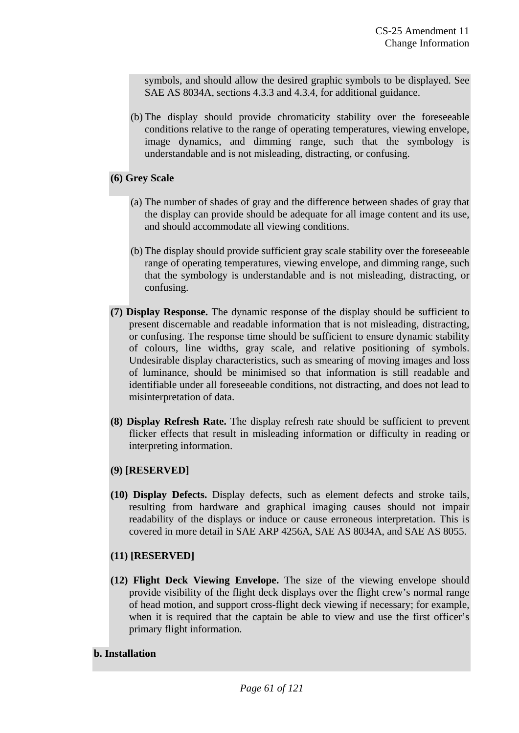symbols, and should allow the desired graphic symbols to be displayed. See SAE AS 8034A, sections 4.3.3 and 4.3.4, for additional guidance.

(b) The display should provide chromaticity stability over the foreseeable conditions relative to the range of operating temperatures, viewing envelope, image dynamics, and dimming range, such that the symbology is understandable and is not misleading, distracting, or confusing.

# **(6) Grey Scale**

- (a) The number of shades of gray and the difference between shades of gray that the display can provide should be adequate for all image content and its use, and should accommodate all viewing conditions.
- (b) The display should provide sufficient gray scale stability over the foreseeable range of operating temperatures, viewing envelope, and dimming range, such that the symbology is understandable and is not misleading, distracting, or confusing.
- **(7) Display Response.** The dynamic response of the display should be sufficient to present discernable and readable information that is not misleading, distracting, or confusing. The response time should be sufficient to ensure dynamic stability of colours, line widths, gray scale, and relative positioning of symbols. Undesirable display characteristics, such as smearing of moving images and loss of luminance, should be minimised so that information is still readable and identifiable under all foreseeable conditions, not distracting, and does not lead to misinterpretation of data.
- **(8) Display Refresh Rate.** The display refresh rate should be sufficient to prevent flicker effects that result in misleading information or difficulty in reading or interpreting information.

# **(9) [RESERVED]**

**(10) Display Defects.** Display defects, such as element defects and stroke tails, resulting from hardware and graphical imaging causes should not impair readability of the displays or induce or cause erroneous interpretation. This is covered in more detail in SAE ARP 4256A, SAE AS 8034A, and SAE AS 8055.

# **(11) [RESERVED]**

**(12) Flight Deck Viewing Envelope.** The size of the viewing envelope should provide visibility of the flight deck displays over the flight crew's normal range of head motion, and support cross-flight deck viewing if necessary; for example, when it is required that the captain be able to view and use the first officer's primary flight information.

# **b. Installation**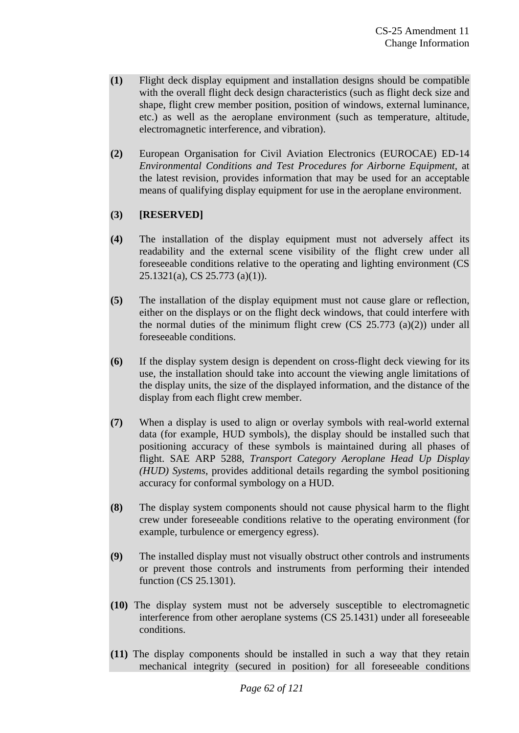- **(1)** Flight deck display equipment and installation designs should be compatible with the overall flight deck design characteristics (such as flight deck size and shape, flight crew member position, position of windows, external luminance, etc.) as well as the aeroplane environment (such as temperature, altitude, electromagnetic interference, and vibration).
- **(2)** European Organisation for Civil Aviation Electronics (EUROCAE) ED-14 *Environmental Conditions and Test Procedures for Airborne Equipment*, at the latest revision, provides information that may be used for an acceptable means of qualifying display equipment for use in the aeroplane environment.

# **(3) [RESERVED]**

- **(4)** The installation of the display equipment must not adversely affect its readability and the external scene visibility of the flight crew under all foreseeable conditions relative to the operating and lighting environment (CS 25.1321(a), CS 25.773 (a)(1)).
- **(5)** The installation of the display equipment must not cause glare or reflection, either on the displays or on the flight deck windows, that could interfere with the normal duties of the minimum flight crew  $(CS 25.773$  (a)(2)) under all foreseeable conditions.
- **(6)** If the display system design is dependent on cross-flight deck viewing for its use, the installation should take into account the viewing angle limitations of the display units, the size of the displayed information, and the distance of the display from each flight crew member.
- **(7)** When a display is used to align or overlay symbols with real-world external data (for example, HUD symbols), the display should be installed such that positioning accuracy of these symbols is maintained during all phases of flight. SAE ARP 5288, *Transport Category Aeroplane Head Up Display (HUD) Systems*, provides additional details regarding the symbol positioning accuracy for conformal symbology on a HUD.
- **(8)** The display system components should not cause physical harm to the flight crew under foreseeable conditions relative to the operating environment (for example, turbulence or emergency egress).
- **(9)** The installed display must not visually obstruct other controls and instruments or prevent those controls and instruments from performing their intended function (CS 25.1301).
- **(10)** The display system must not be adversely susceptible to electromagnetic interference from other aeroplane systems (CS 25.1431) under all foreseeable conditions.
- **(11)** The display components should be installed in such a way that they retain mechanical integrity (secured in position) for all foreseeable conditions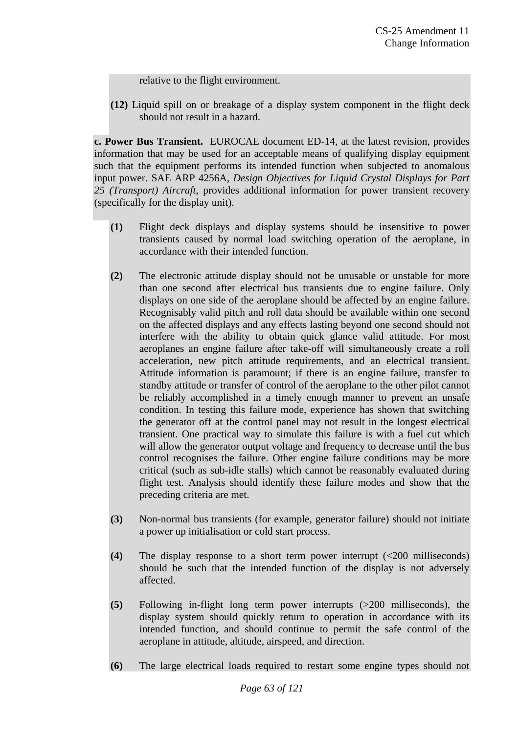relative to the flight environment.

**(12)** Liquid spill on or breakage of a display system component in the flight deck should not result in a hazard.

**c. Power Bus Transient.** EUROCAE document ED-14, at the latest revision, provides information that may be used for an acceptable means of qualifying display equipment such that the equipment performs its intended function when subjected to anomalous input power. SAE ARP 4256A, *Design Objectives for Liquid Crystal Displays for Part 25 (Transport) Aircraft*, provides additional information for power transient recovery (specifically for the display unit).

- **(1)** Flight deck displays and display systems should be insensitive to power transients caused by normal load switching operation of the aeroplane, in accordance with their intended function.
- **(2)** The electronic attitude display should not be unusable or unstable for more than one second after electrical bus transients due to engine failure. Only displays on one side of the aeroplane should be affected by an engine failure. Recognisably valid pitch and roll data should be available within one second on the affected displays and any effects lasting beyond one second should not interfere with the ability to obtain quick glance valid attitude. For most aeroplanes an engine failure after take-off will simultaneously create a roll acceleration, new pitch attitude requirements, and an electrical transient. Attitude information is paramount; if there is an engine failure, transfer to standby attitude or transfer of control of the aeroplane to the other pilot cannot be reliably accomplished in a timely enough manner to prevent an unsafe condition. In testing this failure mode, experience has shown that switching the generator off at the control panel may not result in the longest electrical transient. One practical way to simulate this failure is with a fuel cut which will allow the generator output voltage and frequency to decrease until the bus control recognises the failure. Other engine failure conditions may be more critical (such as sub-idle stalls) which cannot be reasonably evaluated during flight test. Analysis should identify these failure modes and show that the preceding criteria are met.
- **(3)** Non-normal bus transients (for example, generator failure) should not initiate a power up initialisation or cold start process.
- **(4)** The display response to a short term power interrupt (<200 milliseconds) should be such that the intended function of the display is not adversely affected.
- **(5)** Following in-flight long term power interrupts (>200 milliseconds), the display system should quickly return to operation in accordance with its intended function, and should continue to permit the safe control of the aeroplane in attitude, altitude, airspeed, and direction.
- **(6)** The large electrical loads required to restart some engine types should not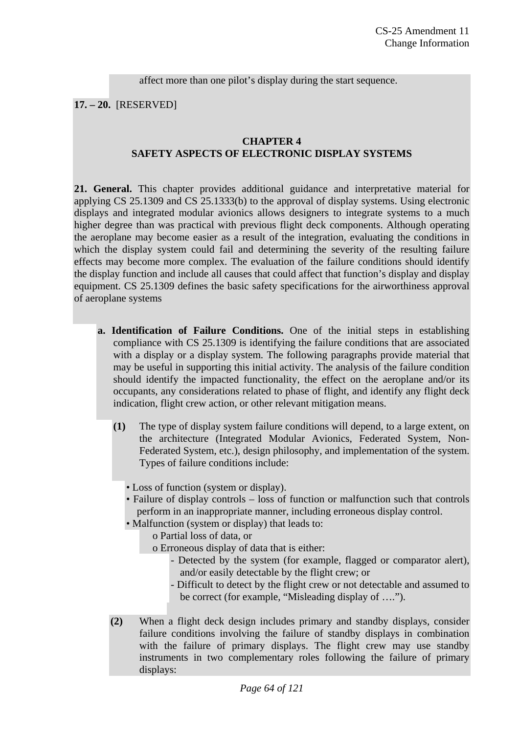affect more than one pilot's display during the start sequence.

**17. – 20.** [RESERVED]

## **CHAPTER 4 SAFETY ASPECTS OF ELECTRONIC DISPLAY SYSTEMS**

**21. General.** This chapter provides additional guidance and interpretative material for applying CS 25.1309 and CS 25.1333(b) to the approval of display systems. Using electronic displays and integrated modular avionics allows designers to integrate systems to a much higher degree than was practical with previous flight deck components. Although operating the aeroplane may become easier as a result of the integration, evaluating the conditions in which the display system could fail and determining the severity of the resulting failure effects may become more complex. The evaluation of the failure conditions should identify the display function and include all causes that could affect that function's display and display equipment. CS 25.1309 defines the basic safety specifications for the airworthiness approval of aeroplane systems

- **a. Identification of Failure Conditions.** One of the initial steps in establishing compliance with CS 25.1309 is identifying the failure conditions that are associated with a display or a display system. The following paragraphs provide material that may be useful in supporting this initial activity. The analysis of the failure condition should identify the impacted functionality, the effect on the aeroplane and/or its occupants, any considerations related to phase of flight, and identify any flight deck indication, flight crew action, or other relevant mitigation means.
	- **(1)** The type of display system failure conditions will depend, to a large extent, on the architecture (Integrated Modular Avionics, Federated System, Non-Federated System, etc.), design philosophy, and implementation of the system. Types of failure conditions include:
		- Loss of function (system or display).
		- Failure of display controls loss of function or malfunction such that controls perform in an inappropriate manner, including erroneous display control.
		- Malfunction (system or display) that leads to:
			- o Partial loss of data, or
			- o Erroneous display of data that is either:
				- Detected by the system (for example, flagged or comparator alert), and/or easily detectable by the flight crew; or
				- Difficult to detect by the flight crew or not detectable and assumed to be correct (for example, "Misleading display of ….").
	- **(2)** When a flight deck design includes primary and standby displays, consider failure conditions involving the failure of standby displays in combination with the failure of primary displays. The flight crew may use standby instruments in two complementary roles following the failure of primary displays: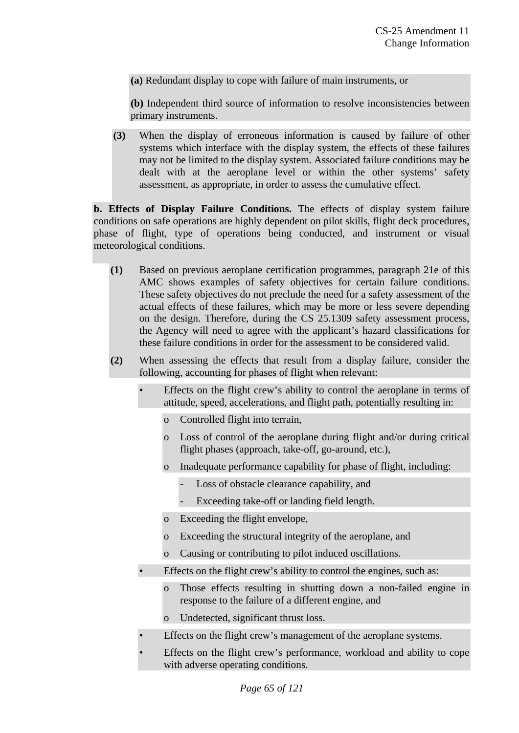**(a)** Redundant display to cope with failure of main instruments, or

**(b)** Independent third source of information to resolve inconsistencies between primary instruments.

**(3)** When the display of erroneous information is caused by failure of other systems which interface with the display system, the effects of these failures may not be limited to the display system. Associated failure conditions may be dealt with at the aeroplane level or within the other systems' safety assessment, as appropriate, in order to assess the cumulative effect.

**b. Effects of Display Failure Conditions.** The effects of display system failure conditions on safe operations are highly dependent on pilot skills, flight deck procedures, phase of flight, type of operations being conducted, and instrument or visual meteorological conditions.

- **(1)** Based on previous aeroplane certification programmes, paragraph 21e of this AMC shows examples of safety objectives for certain failure conditions. These safety objectives do not preclude the need for a safety assessment of the actual effects of these failures, which may be more or less severe depending on the design. Therefore, during the CS 25.1309 safety assessment process, the Agency will need to agree with the applicant's hazard classifications for these failure conditions in order for the assessment to be considered valid.
- **(2)** When assessing the effects that result from a display failure, consider the following, accounting for phases of flight when relevant:
	- Effects on the flight crew's ability to control the aeroplane in terms of attitude, speed, accelerations, and flight path, potentially resulting in:
		- o Controlled flight into terrain,
		- o Loss of control of the aeroplane during flight and/or during critical flight phases (approach, take-off, go-around, etc.),
		- o Inadequate performance capability for phase of flight, including:
			- Loss of obstacle clearance capability, and
			- Exceeding take-off or landing field length.
		- o Exceeding the flight envelope,
		- o Exceeding the structural integrity of the aeroplane, and
		- o Causing or contributing to pilot induced oscillations.
	- Effects on the flight crew's ability to control the engines, such as:
		- o Those effects resulting in shutting down a non-failed engine in response to the failure of a different engine, and
		- o Undetected, significant thrust loss.
	- Effects on the flight crew's management of the aeroplane systems.
	- Effects on the flight crew's performance, workload and ability to cope with adverse operating conditions.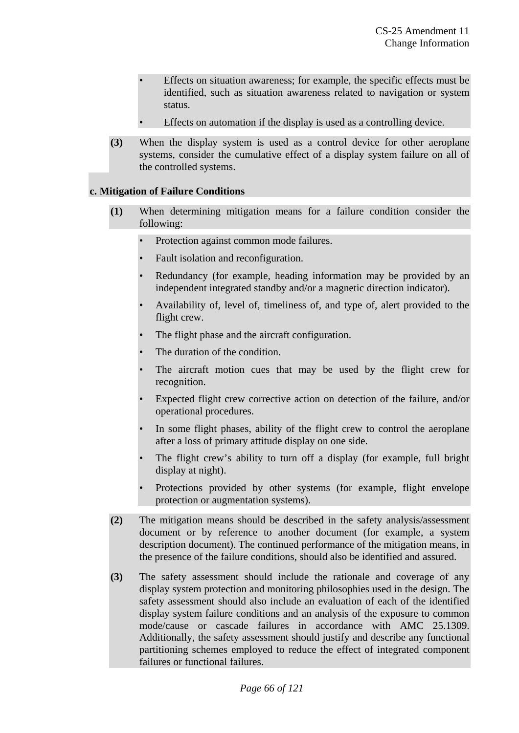- Effects on situation awareness; for example, the specific effects must be identified, such as situation awareness related to navigation or system status.
- Effects on automation if the display is used as a controlling device.
- **(3)** When the display system is used as a control device for other aeroplane systems, consider the cumulative effect of a display system failure on all of the controlled systems.

#### **c. Mitigation of Failure Conditions**

- **(1)** When determining mitigation means for a failure condition consider the following:
	- Protection against common mode failures.
	- Fault isolation and reconfiguration.
	- Redundancy (for example, heading information may be provided by an independent integrated standby and/or a magnetic direction indicator).
	- Availability of, level of, timeliness of, and type of, alert provided to the flight crew.
	- The flight phase and the aircraft configuration.
	- The duration of the condition.
	- The aircraft motion cues that may be used by the flight crew for recognition.
	- Expected flight crew corrective action on detection of the failure, and/or operational procedures.
	- In some flight phases, ability of the flight crew to control the aeroplane after a loss of primary attitude display on one side.
	- The flight crew's ability to turn off a display (for example, full bright display at night).
	- Protections provided by other systems (for example, flight envelope protection or augmentation systems).
- **(2)** The mitigation means should be described in the safety analysis/assessment document or by reference to another document (for example, a system description document). The continued performance of the mitigation means, in the presence of the failure conditions, should also be identified and assured.
- **(3)** The safety assessment should include the rationale and coverage of any display system protection and monitoring philosophies used in the design. The safety assessment should also include an evaluation of each of the identified display system failure conditions and an analysis of the exposure to common mode/cause or cascade failures in accordance with AMC 25.1309. Additionally, the safety assessment should justify and describe any functional partitioning schemes employed to reduce the effect of integrated component failures or functional failures.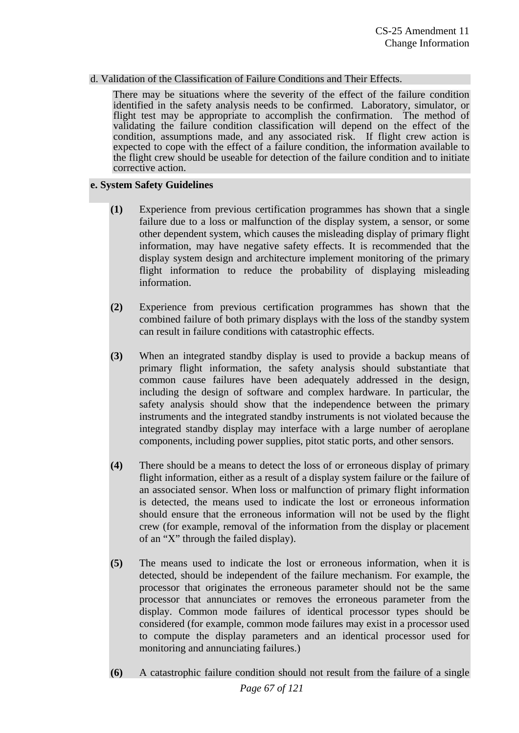#### d. Validation of the Classification of Failure Conditions and Their Effects.

There may be situations where the severity of the effect of the failure condition identified in the safety analysis needs to be confirmed. Laboratory, simulator, or flight test may be appropriate to accomplish the confirmation. The method of validating the failure condition classification will depend on the effect of the condition, assumptions made, and any associated risk. If flight crew action is expected to cope with the effect of a failure condition, the information available to the flight crew should be useable for detection of the failure condition and to initiate corrective action.

#### **e. System Safety Guidelines**

- **(1)** Experience from previous certification programmes has shown that a single failure due to a loss or malfunction of the display system, a sensor, or some other dependent system, which causes the misleading display of primary flight information, may have negative safety effects. It is recommended that the display system design and architecture implement monitoring of the primary flight information to reduce the probability of displaying misleading information.
- **(2)** Experience from previous certification programmes has shown that the combined failure of both primary displays with the loss of the standby system can result in failure conditions with catastrophic effects.
- **(3)** When an integrated standby display is used to provide a backup means of primary flight information, the safety analysis should substantiate that common cause failures have been adequately addressed in the design, including the design of software and complex hardware. In particular, the safety analysis should show that the independence between the primary instruments and the integrated standby instruments is not violated because the integrated standby display may interface with a large number of aeroplane components, including power supplies, pitot static ports, and other sensors.
- **(4)** There should be a means to detect the loss of or erroneous display of primary flight information, either as a result of a display system failure or the failure of an associated sensor. When loss or malfunction of primary flight information is detected, the means used to indicate the lost or erroneous information should ensure that the erroneous information will not be used by the flight crew (for example, removal of the information from the display or placement of an "X" through the failed display).
- **(5)** The means used to indicate the lost or erroneous information, when it is detected, should be independent of the failure mechanism. For example, the processor that originates the erroneous parameter should not be the same processor that annunciates or removes the erroneous parameter from the display. Common mode failures of identical processor types should be considered (for example, common mode failures may exist in a processor used to compute the display parameters and an identical processor used for monitoring and annunciating failures.)
- *Page 67 of 121*  **(6)** A catastrophic failure condition should not result from the failure of a single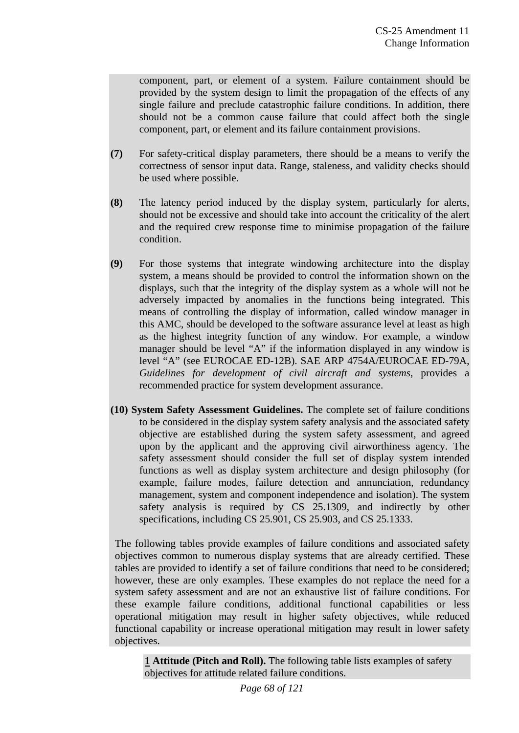component, part, or element of a system. Failure containment should be provided by the system design to limit the propagation of the effects of any single failure and preclude catastrophic failure conditions. In addition, there should not be a common cause failure that could affect both the single component, part, or element and its failure containment provisions.

- **(7)** For safety-critical display parameters, there should be a means to verify the correctness of sensor input data. Range, staleness, and validity checks should be used where possible.
- **(8)** The latency period induced by the display system, particularly for alerts, should not be excessive and should take into account the criticality of the alert and the required crew response time to minimise propagation of the failure condition.
- **(9)** For those systems that integrate windowing architecture into the display system, a means should be provided to control the information shown on the displays, such that the integrity of the display system as a whole will not be adversely impacted by anomalies in the functions being integrated. This means of controlling the display of information, called window manager in this AMC, should be developed to the software assurance level at least as high as the highest integrity function of any window. For example, a window manager should be level "A" if the information displayed in any window is level "A" (see EUROCAE ED-12B). SAE ARP 4754A/EUROCAE ED-79A, *Guidelines for development of civil aircraft and systems*, provides a recommended practice for system development assurance.
- **(10) System Safety Assessment Guidelines.** The complete set of failure conditions to be considered in the display system safety analysis and the associated safety objective are established during the system safety assessment, and agreed upon by the applicant and the approving civil airworthiness agency. The safety assessment should consider the full set of display system intended functions as well as display system architecture and design philosophy (for example, failure modes, failure detection and annunciation, redundancy management, system and component independence and isolation). The system safety analysis is required by CS 25.1309, and indirectly by other specifications, including CS 25.901, CS 25.903, and CS 25.1333.

 The following tables provide examples of failure conditions and associated safety objectives common to numerous display systems that are already certified. These tables are provided to identify a set of failure conditions that need to be considered; however, these are only examples. These examples do not replace the need for a system safety assessment and are not an exhaustive list of failure conditions. For these example failure conditions, additional functional capabilities or less operational mitigation may result in higher safety objectives, while reduced functional capability or increase operational mitigation may result in lower safety objectives.

**1 Attitude (Pitch and Roll).** The following table lists examples of safety objectives for attitude related failure conditions.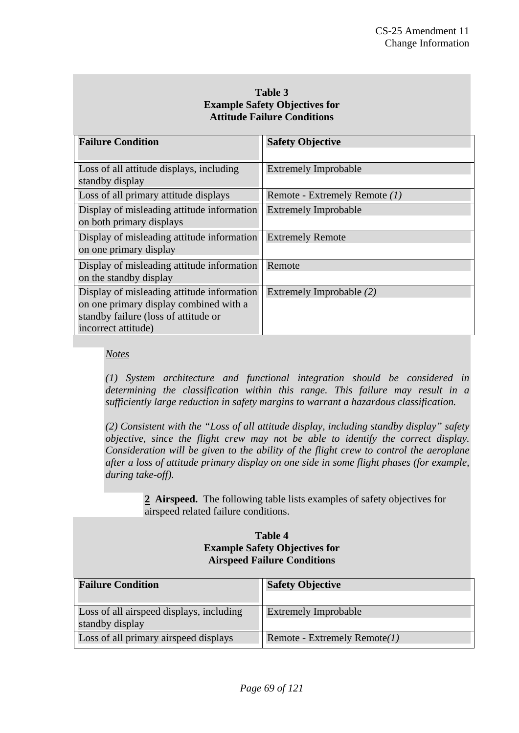# **Table 3 Example Safety Objectives for Attitude Failure Conditions**

| <b>Failure Condition</b>                                                                                                                            | <b>Safety Objective</b>       |
|-----------------------------------------------------------------------------------------------------------------------------------------------------|-------------------------------|
|                                                                                                                                                     |                               |
| Loss of all attitude displays, including<br>standby display                                                                                         | <b>Extremely Improbable</b>   |
| Loss of all primary attitude displays                                                                                                               | Remote - Extremely Remote (1) |
| Display of misleading attitude information<br>on both primary displays                                                                              | <b>Extremely Improbable</b>   |
| Display of misleading attitude information<br>on one primary display                                                                                | <b>Extremely Remote</b>       |
| Display of misleading attitude information<br>on the standby display                                                                                | Remote                        |
| Display of misleading attitude information<br>on one primary display combined with a<br>standby failure (loss of attitude or<br>incorrect attitude) | Extremely Improbable (2)      |

# *Notes*

*(1) System architecture and functional integration should be considered in determining the classification within this range. This failure may result in a sufficiently large reduction in safety margins to warrant a hazardous classification.* 

*(2) Consistent with the "Loss of all attitude display, including standby display" safety objective, since the flight crew may not be able to identify the correct display. Consideration will be given to the ability of the flight crew to control the aeroplane after a loss of attitude primary display on one side in some flight phases (for example, during take-off).* 

> **2 Airspeed.** The following table lists examples of safety objectives for airspeed related failure conditions.

# **Table 4 Example Safety Objectives for Airspeed Failure Conditions**

| <b>Failure Condition</b>                                    | <b>Safety Objective</b>         |
|-------------------------------------------------------------|---------------------------------|
| Loss of all airspeed displays, including<br>standby display | <b>Extremely Improbable</b>     |
| Loss of all primary airspeed displays                       | Remote - Extremely Remote $(1)$ |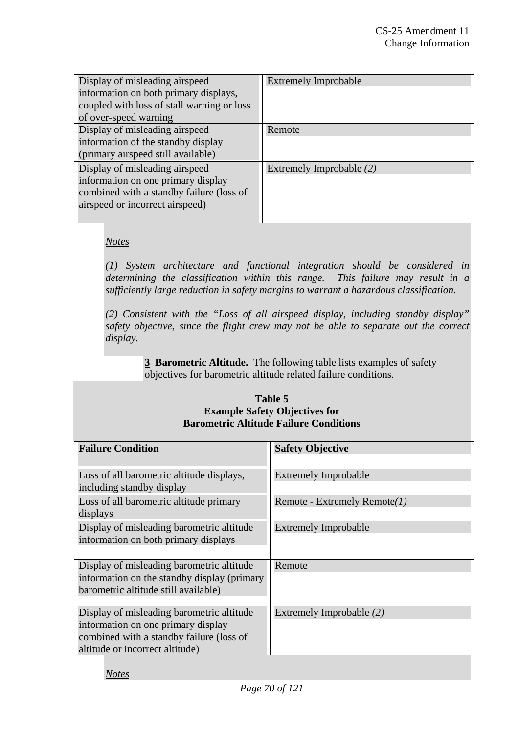| Display of misleading airspeed             | <b>Extremely Improbable</b> |
|--------------------------------------------|-----------------------------|
| information on both primary displays,      |                             |
| coupled with loss of stall warning or loss |                             |
| of over-speed warning                      |                             |
| Display of misleading airspeed             | Remote                      |
| information of the standby display         |                             |
| (primary airspeed still available)         |                             |
| Display of misleading airspeed             | Extremely Improbable (2)    |
| information on one primary display         |                             |
| combined with a standby failure (loss of   |                             |
| airspeed or incorrect airspeed)            |                             |
|                                            |                             |

# *Notes*

*(1) System architecture and functional integration should be considered in determining the classification within this range. This failure may result in a sufficiently large reduction in safety margins to warrant a hazardous classification.* 

*(2) Consistent with the "Loss of all airspeed display, including standby display" safety objective, since the flight crew may not be able to separate out the correct display.* 

> **3 Barometric Altitude.** The following table lists examples of safety objectives for barometric altitude related failure conditions.

### **Table 5 Example Safety Objectives for Barometric Altitude Failure Conditions**

| <b>Failure Condition</b>                                                                                                                                       | <b>Safety Objective</b>         |
|----------------------------------------------------------------------------------------------------------------------------------------------------------------|---------------------------------|
| Loss of all barometric altitude displays,<br>including standby display                                                                                         | Extremely Improbable            |
| Loss of all barometric altitude primary<br>displays                                                                                                            | Remote - Extremely Remote $(1)$ |
| Display of misleading barometric altitude<br>information on both primary displays                                                                              | Extremely Improbable            |
| Display of misleading barometric altitude<br>information on the standby display (primary)<br>barometric altitude still available)                              | Remote                          |
| Display of misleading barometric altitude<br>information on one primary display<br>combined with a standby failure (loss of<br>altitude or incorrect altitude) | Extremely Improbable (2)        |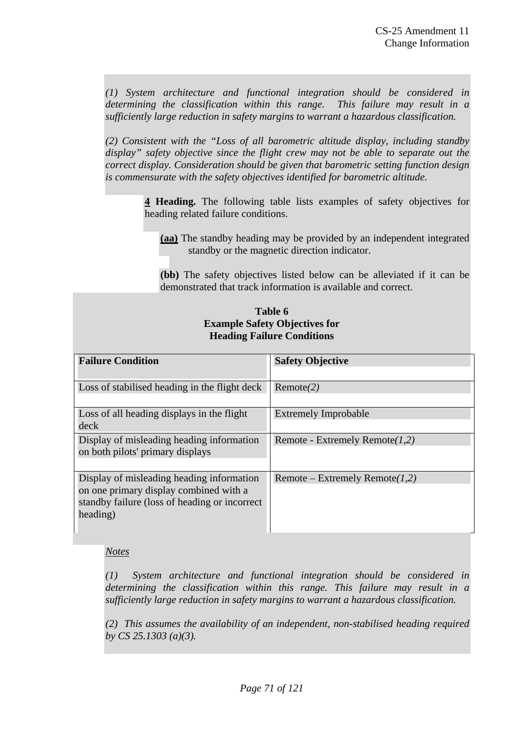*(1) System architecture and functional integration should be considered in determining the classification within this range. This failure may result in a sufficiently large reduction in safety margins to warrant a hazardous classification.* 

*(2) Consistent with the "Loss of all barometric altitude display, including standby display" safety objective since the flight crew may not be able to separate out the correct display. Consideration should be given that barometric setting function design is commensurate with the safety objectives identified for barometric altitude.* 

> **4 Heading.** The following table lists examples of safety objectives for heading related failure conditions.

**(aa)** The standby heading may be provided by an independent integrated standby or the magnetic direction indicator.

**(bb)** The safety objectives listed below can be alleviated if it can be demonstrated that track information is available and correct.

## **Table 6 Example Safety Objectives for Heading Failure Conditions**

| <b>Failure Condition</b>                                                                                                                          | <b>Safety Objective</b>           |
|---------------------------------------------------------------------------------------------------------------------------------------------------|-----------------------------------|
| Loss of stabilised heading in the flight deck                                                                                                     | Remote(2)                         |
| Loss of all heading displays in the flight<br>deck                                                                                                | <b>Extremely Improbable</b>       |
| Display of misleading heading information<br>on both pilots' primary displays                                                                     | Remote - Extremely Remote $(1,2)$ |
| Display of misleading heading information<br>on one primary display combined with a<br>standby failure (loss of heading or incorrect)<br>heading) | Remote – Extremely Remote $(1,2)$ |

# *Notes*

*(1) System architecture and functional integration should be considered in determining the classification within this range. This failure may result in a sufficiently large reduction in safety margins to warrant a hazardous classification.* 

*(2) This assumes the availability of an independent, non-stabilised heading required by CS 25.1303 (a)(3).*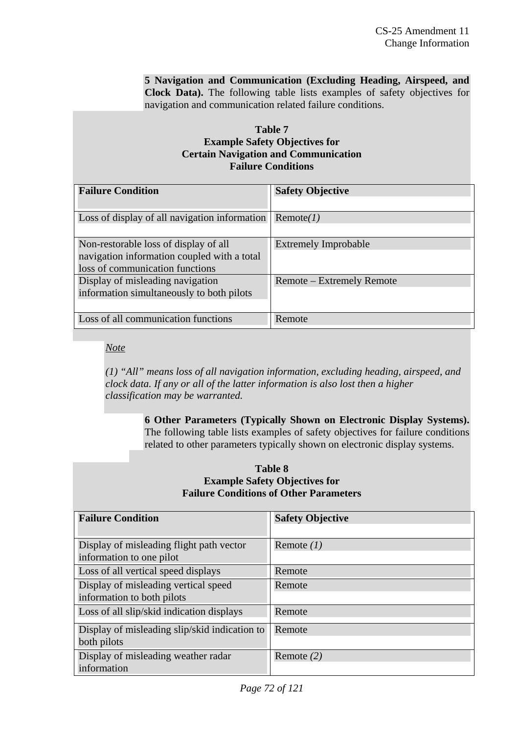**5 Navigation and Communication (Excluding Heading, Airspeed, and Clock Data).** The following table lists examples of safety objectives for navigation and communication related failure conditions.

# **Table 7 Example Safety Objectives for Certain Navigation and Communication Failure Conditions**

| <b>Failure Condition</b>                                                                                                | <b>Safety Objective</b>     |
|-------------------------------------------------------------------------------------------------------------------------|-----------------------------|
| Loss of display of all navigation information                                                                           | Remote(I)                   |
| Non-restorable loss of display of all<br>navigation information coupled with a total<br>loss of communication functions | <b>Extremely Improbable</b> |
| Display of misleading navigation<br>information simultaneously to both pilots                                           | Remote – Extremely Remote   |
| Loss of all communication functions                                                                                     | Remote                      |

*Note*

*(1) "All" means loss of all navigation information, excluding heading, airspeed, and clock data. If any or all of the latter information is also lost then a higher classification may be warranted.* 

> **6 Other Parameters (Typically Shown on Electronic Display Systems).**  The following table lists examples of safety objectives for failure conditions related to other parameters typically shown on electronic display systems.

#### **Table 8 Example Safety Objectives for Failure Conditions of Other Parameters**

| <b>Failure Condition</b>                                             | <b>Safety Objective</b> |
|----------------------------------------------------------------------|-------------------------|
|                                                                      |                         |
| Display of misleading flight path vector<br>information to one pilot | Remote $(1)$            |
|                                                                      |                         |
| Loss of all vertical speed displays                                  | Remote                  |
| Display of misleading vertical speed                                 | Remote                  |
| information to both pilots                                           |                         |
| Loss of all slip/skid indication displays                            | Remote                  |
| Display of misleading slip/skid indication to                        | Remote                  |
| both pilots                                                          |                         |
| Display of misleading weather radar                                  | Remote $(2)$            |
| information                                                          |                         |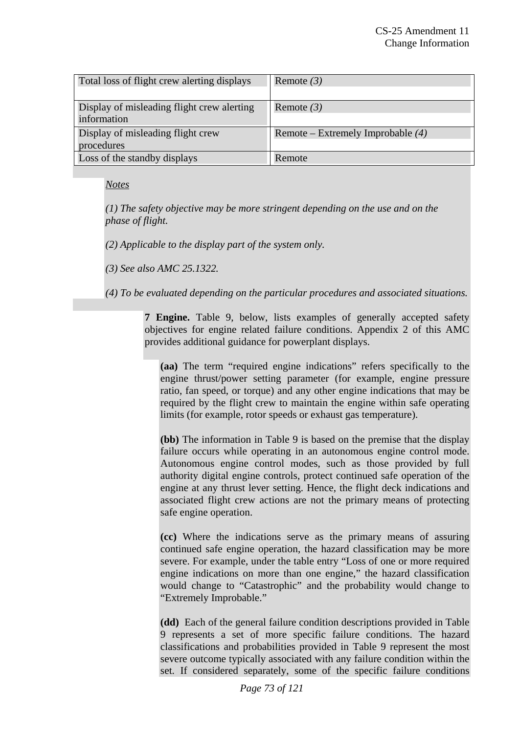| Total loss of flight crew alerting displays | Remote $(3)$                        |
|---------------------------------------------|-------------------------------------|
|                                             |                                     |
| Display of misleading flight crew alerting  | Remote $(3)$                        |
| information                                 |                                     |
| Display of misleading flight crew           | Remote – Extremely Improbable $(4)$ |
| procedures                                  |                                     |
| Loss of the standby displays                | Remote                              |

### *Notes*

*(1) The safety objective may be more stringent depending on the use and on the phase of flight.* 

*(2) Applicable to the display part of the system only.* 

*(3) See also AMC 25.1322.* 

*(4) To be evaluated depending on the particular procedures and associated situations.* 

**7 Engine.** Table 9, below, lists examples of generally accepted safety objectives for engine related failure conditions. Appendix 2 of this AMC provides additional guidance for powerplant displays.

**(aa)** The term "required engine indications" refers specifically to the engine thrust/power setting parameter (for example, engine pressure ratio, fan speed, or torque) and any other engine indications that may be required by the flight crew to maintain the engine within safe operating limits (for example, rotor speeds or exhaust gas temperature).

**(bb)** The information in Table 9 is based on the premise that the display failure occurs while operating in an autonomous engine control mode. Autonomous engine control modes, such as those provided by full authority digital engine controls, protect continued safe operation of the engine at any thrust lever setting. Hence, the flight deck indications and associated flight crew actions are not the primary means of protecting safe engine operation.

**(cc)** Where the indications serve as the primary means of assuring continued safe engine operation, the hazard classification may be more severe. For example, under the table entry "Loss of one or more required engine indications on more than one engine," the hazard classification would change to "Catastrophic" and the probability would change to "Extremely Improbable."

**(dd)** Each of the general failure condition descriptions provided in Table 9 represents a set of more specific failure conditions. The hazard classifications and probabilities provided in Table 9 represent the most severe outcome typically associated with any failure condition within the set. If considered separately, some of the specific failure conditions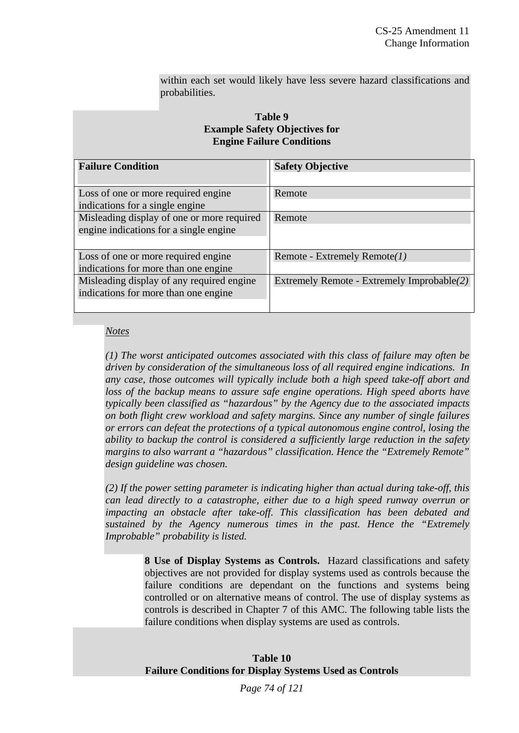within each set would likely have less severe hazard classifications and probabilities.

#### **Table 9 Example Safety Objectives for Engine Failure Conditions**

| <b>Failure Condition</b>                   | <b>Safety Objective</b>                    |  |
|--------------------------------------------|--------------------------------------------|--|
|                                            |                                            |  |
| Loss of one or more required engine        | Remote                                     |  |
| indications for a single engine.           |                                            |  |
| Misleading display of one or more required | Remote                                     |  |
| engine indications for a single engine     |                                            |  |
|                                            |                                            |  |
| Loss of one or more required engine        | Remote - Extremely Remote $(1)$            |  |
| indications for more than one engine       |                                            |  |
| Misleading display of any required engine  | Extremely Remote - Extremely Improbable(2) |  |
| indications for more than one engine       |                                            |  |
|                                            |                                            |  |

#### *Notes*

*(1) The worst anticipated outcomes associated with this class of failure may often be driven by consideration of the simultaneous loss of all required engine indications. In any case, those outcomes will typically include both a high speed take-off abort and loss of the backup means to assure safe engine operations. High speed aborts have typically been classified as "hazardous" by the Agency due to the associated impacts on both flight crew workload and safety margins. Since any number of single failures or errors can defeat the protections of a typical autonomous engine control, losing the ability to backup the control is considered a sufficiently large reduction in the safety margins to also warrant a "hazardous" classification. Hence the "Extremely Remote" design guideline was chosen.*

*(2) If the power setting parameter is indicating higher than actual during take-off, this can lead directly to a catastrophe, either due to a high speed runway overrun or impacting an obstacle after take-off. This classification has been debated and sustained by the Agency numerous times in the past. Hence the "Extremely Improbable" probability is listed.*

> **8 Use of Display Systems as Controls.** Hazard classifications and safety objectives are not provided for display systems used as controls because the failure conditions are dependant on the functions and systems being controlled or on alternative means of control. The use of display systems as controls is described in Chapter 7 of this AMC. The following table lists the failure conditions when display systems are used as controls.

#### **Table 10 Failure Conditions for Display Systems Used as Controls**

*Page 74 of 121*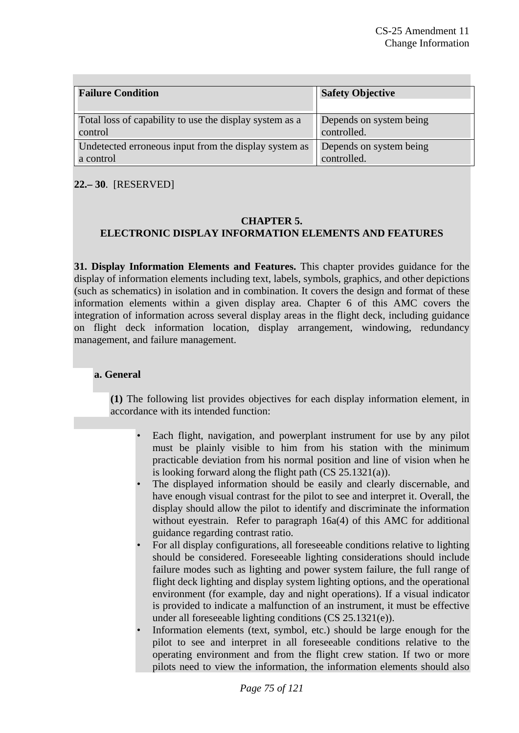| <b>Failure Condition</b>                                | <b>Safety Objective</b> |
|---------------------------------------------------------|-------------------------|
| Total loss of capability to use the display system as a | Depends on system being |
| control                                                 | controlled.             |
| Undetected erroneous input from the display system as   | Depends on system being |
| a control                                               | controlled.             |

**22.– 30**. [RESERVED]

### **CHAPTER 5. ELECTRONIC DISPLAY INFORMATION ELEMENTS AND FEATURES**

**31. Display Information Elements and Features.** This chapter provides guidance for the display of information elements including text, labels, symbols, graphics, and other depictions (such as schematics) in isolation and in combination. It covers the design and format of these information elements within a given display area. Chapter 6 of this AMC covers the integration of information across several display areas in the flight deck, including guidance on flight deck information location, display arrangement, windowing, redundancy management, and failure management.

# **a. General**

**(1)** The following list provides objectives for each display information element, in accordance with its intended function:

- Each flight, navigation, and powerplant instrument for use by any pilot must be plainly visible to him from his station with the minimum practicable deviation from his normal position and line of vision when he is looking forward along the flight path (CS 25.1321(a)).
- The displayed information should be easily and clearly discernable, and have enough visual contrast for the pilot to see and interpret it. Overall, the display should allow the pilot to identify and discriminate the information without eyestrain. Refer to paragraph 16a(4) of this AMC for additional guidance regarding contrast ratio.
- For all display configurations, all foreseeable conditions relative to lighting should be considered. Foreseeable lighting considerations should include failure modes such as lighting and power system failure, the full range of flight deck lighting and display system lighting options, and the operational environment (for example, day and night operations). If a visual indicator is provided to indicate a malfunction of an instrument, it must be effective under all foreseeable lighting conditions (CS 25.1321(e)).
- Information elements (text, symbol, etc.) should be large enough for the pilot to see and interpret in all foreseeable conditions relative to the operating environment and from the flight crew station. If two or more pilots need to view the information, the information elements should also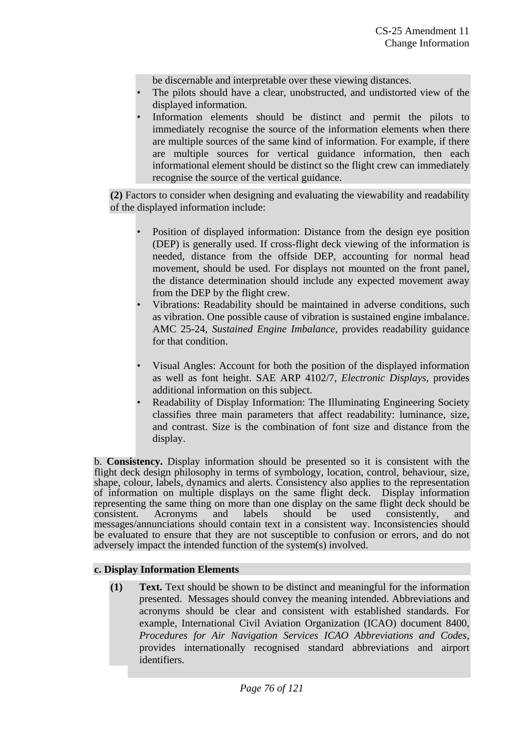be discernable and interpretable over these viewing distances.

- The pilots should have a clear, unobstructed, and undistorted view of the displayed information.
- Information elements should be distinct and permit the pilots to immediately recognise the source of the information elements when there are multiple sources of the same kind of information. For example, if there are multiple sources for vertical guidance information, then each informational element should be distinct so the flight crew can immediately recognise the source of the vertical guidance.

**(2)** Factors to consider when designing and evaluating the viewability and readability of the displayed information include:

- Position of displayed information: Distance from the design eye position (DEP) is generally used. If cross-flight deck viewing of the information is needed, distance from the offside DEP, accounting for normal head movement, should be used. For displays not mounted on the front panel, the distance determination should include any expected movement away from the DEP by the flight crew.
- Vibrations: Readability should be maintained in adverse conditions, such as vibration. One possible cause of vibration is sustained engine imbalance. AMC 25-24, *Sustained Engine Imbalance*, provides readability guidance for that condition.
- Visual Angles: Account for both the position of the displayed information as well as font height. SAE ARP 4102/7, *Electronic Displays,* provides additional information on this subject.
- Readability of Display Information: The Illuminating Engineering Society classifies three main parameters that affect readability: luminance, size, and contrast. Size is the combination of font size and distance from the display.

b. **Consistency.** Display information should be presented so it is consistent with the flight deck design philosophy in terms of symbology, location, control, behaviour, size, shape, colour, labels, dynamics and alerts. Consistency also applies to the representation of information on multiple displays on the same flight deck. Display information representing the same thing on more than one display on the same flight deck should be consistent. Acronyms and labels should be used consistently, and messages/annunciations should contain text in a consistent way. Inconsistencies should be evaluated to ensure that they are not susceptible to confusion or errors, and do not adversely impact the intended function of the system(s) involved.

### **c. Display Information Elements**

**(1) Text.** Text should be shown to be distinct and meaningful for the information presented. Messages should convey the meaning intended. Abbreviations and acronyms should be clear and consistent with established standards. For example, International Civil Aviation Organization (ICAO) document 8400, *Procedures for Air Navigation Services ICAO Abbreviations and Codes*, provides internationally recognised standard abbreviations and airport identifiers.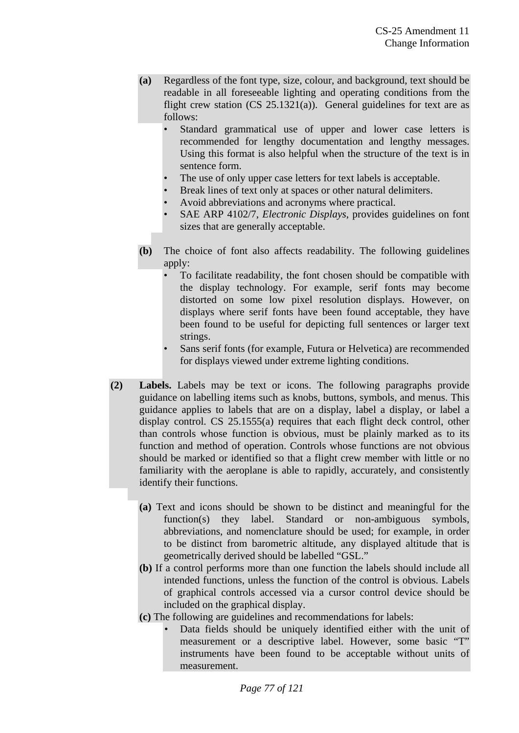- **(a)** Regardless of the font type, size, colour, and background, text should be readable in all foreseeable lighting and operating conditions from the flight crew station  $(CS \ 25.1321(a))$ . General guidelines for text are as follows:
	- Standard grammatical use of upper and lower case letters is recommended for lengthy documentation and lengthy messages. Using this format is also helpful when the structure of the text is in sentence form.
	- The use of only upper case letters for text labels is acceptable.
	- Break lines of text only at spaces or other natural delimiters.
	- Avoid abbreviations and acronyms where practical.
	- SAE ARP 4102/7, *Electronic Displays*, provides guidelines on font sizes that are generally acceptable.
- **(b)** The choice of font also affects readability. The following guidelines apply:
	- To facilitate readability, the font chosen should be compatible with the display technology. For example, serif fonts may become distorted on some low pixel resolution displays. However, on displays where serif fonts have been found acceptable, they have been found to be useful for depicting full sentences or larger text strings.
	- Sans serif fonts (for example, Futura or Helvetica) are recommended for displays viewed under extreme lighting conditions.
- **(2) Labels.** Labels may be text or icons. The following paragraphs provide guidance on labelling items such as knobs, buttons, symbols, and menus. This guidance applies to labels that are on a display, label a display, or label a display control. CS 25.1555(a) requires that each flight deck control, other than controls whose function is obvious, must be plainly marked as to its function and method of operation. Controls whose functions are not obvious should be marked or identified so that a flight crew member with little or no familiarity with the aeroplane is able to rapidly, accurately, and consistently identify their functions.
	- **(a)** Text and icons should be shown to be distinct and meaningful for the function(s) they label. Standard or non-ambiguous symbols, abbreviations, and nomenclature should be used; for example, in order to be distinct from barometric altitude, any displayed altitude that is geometrically derived should be labelled "GSL."
	- **(b)** If a control performs more than one function the labels should include all intended functions, unless the function of the control is obvious. Labels of graphical controls accessed via a cursor control device should be included on the graphical display.
	- **(c)** The following are guidelines and recommendations for labels:
		- Data fields should be uniquely identified either with the unit of measurement or a descriptive label. However, some basic "T" instruments have been found to be acceptable without units of measurement.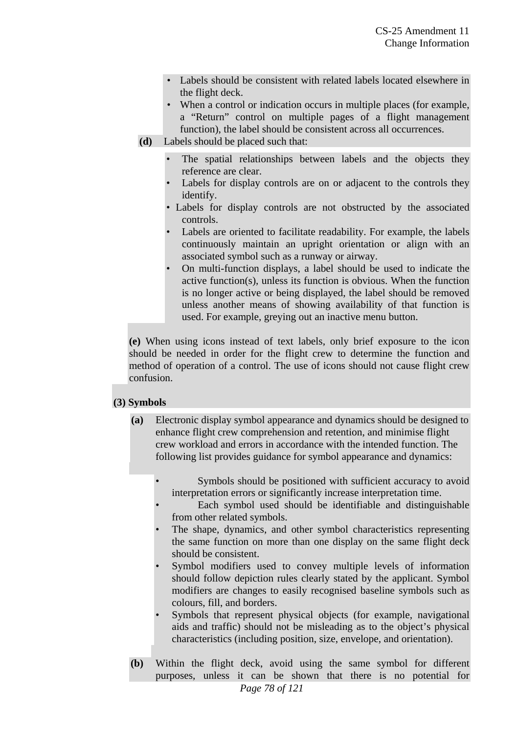- Labels should be consistent with related labels located elsewhere in the flight deck.
- When a control or indication occurs in multiple places (for example, a "Return" control on multiple pages of a flight management function), the label should be consistent across all occurrences.
- **(d)** Labels should be placed such that:
	- The spatial relationships between labels and the objects they reference are clear.
	- Labels for display controls are on or adjacent to the controls they identify.
	- Labels for display controls are not obstructed by the associated controls.
	- Labels are oriented to facilitate readability. For example, the labels continuously maintain an upright orientation or align with an associated symbol such as a runway or airway.
	- On multi-function displays, a label should be used to indicate the active function(s), unless its function is obvious. When the function is no longer active or being displayed, the label should be removed unless another means of showing availability of that function is used. For example, greying out an inactive menu button.

**(e)** When using icons instead of text labels, only brief exposure to the icon should be needed in order for the flight crew to determine the function and method of operation of a control. The use of icons should not cause flight crew confusion.

### **(3) Symbols**

- **(a)** Electronic display symbol appearance and dynamics should be designed to enhance flight crew comprehension and retention, and minimise flight crew workload and errors in accordance with the intended function. The following list provides guidance for symbol appearance and dynamics:
	- Symbols should be positioned with sufficient accuracy to avoid interpretation errors or significantly increase interpretation time.
	- Each symbol used should be identifiable and distinguishable from other related symbols.
	- The shape, dynamics, and other symbol characteristics representing the same function on more than one display on the same flight deck should be consistent.
	- Symbol modifiers used to convey multiple levels of information should follow depiction rules clearly stated by the applicant. Symbol modifiers are changes to easily recognised baseline symbols such as colours, fill, and borders.
	- Symbols that represent physical objects (for example, navigational aids and traffic) should not be misleading as to the object's physical characteristics (including position, size, envelope, and orientation).
- **(b)** Within the flight deck, avoid using the same symbol for different purposes, unless it can be shown that there is no potential for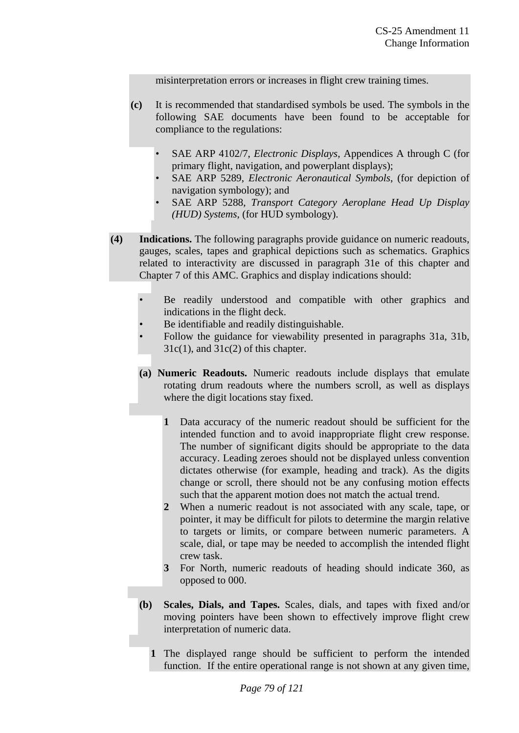misinterpretation errors or increases in flight crew training times.

- **(c)** It is recommended that standardised symbols be used. The symbols in the following SAE documents have been found to be acceptable for compliance to the regulations:
	- SAE ARP 4102/7, *Electronic Displays*, Appendices A through C (for primary flight, navigation, and powerplant displays);
	- SAE ARP 5289, *Electronic Aeronautical Symbols*, (for depiction of navigation symbology); and
	- SAE ARP 5288, *Transport Category Aeroplane Head Up Display (HUD) Systems*, (for HUD symbology).
- **(4) Indications.** The following paragraphs provide guidance on numeric readouts, gauges, scales, tapes and graphical depictions such as schematics. Graphics related to interactivity are discussed in paragraph 31e of this chapter and Chapter 7 of this AMC. Graphics and display indications should:
	- Be readily understood and compatible with other graphics and indications in the flight deck.
	- Be identifiable and readily distinguishable.
	- Follow the guidance for viewability presented in paragraphs 31a, 31b,  $31c(1)$ , and  $31c(2)$  of this chapter.
	- **(a) Numeric Readouts.** Numeric readouts include displays that emulate rotating drum readouts where the numbers scroll, as well as displays where the digit locations stay fixed.
		- **1** Data accuracy of the numeric readout should be sufficient for the intended function and to avoid inappropriate flight crew response. The number of significant digits should be appropriate to the data accuracy. Leading zeroes should not be displayed unless convention dictates otherwise (for example, heading and track). As the digits change or scroll, there should not be any confusing motion effects such that the apparent motion does not match the actual trend.
		- **2** When a numeric readout is not associated with any scale, tape, or pointer, it may be difficult for pilots to determine the margin relative to targets or limits, or compare between numeric parameters. A scale, dial, or tape may be needed to accomplish the intended flight crew task.
		- **3** For North, numeric readouts of heading should indicate 360, as opposed to 000.
	- **(b) Scales, Dials, and Tapes.** Scales, dials, and tapes with fixed and/or moving pointers have been shown to effectively improve flight crew interpretation of numeric data.
		- **1** The displayed range should be sufficient to perform the intended function. If the entire operational range is not shown at any given time,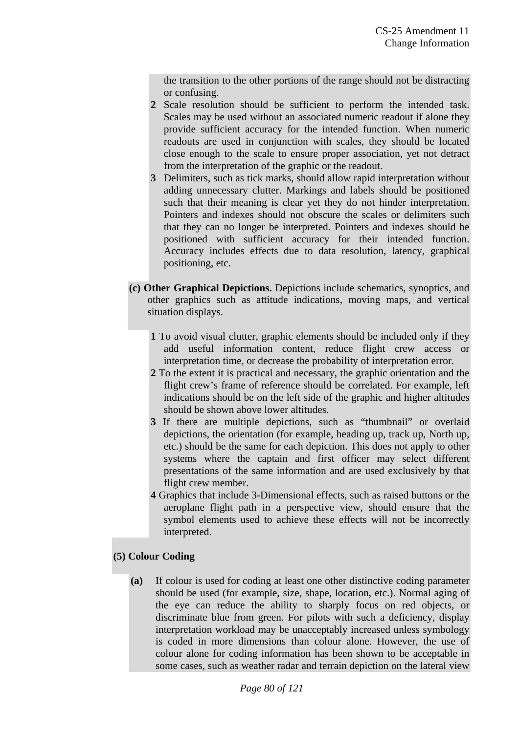the transition to the other portions of the range should not be distracting or confusing.

- **2** Scale resolution should be sufficient to perform the intended task. Scales may be used without an associated numeric readout if alone they provide sufficient accuracy for the intended function. When numeric readouts are used in conjunction with scales, they should be located close enough to the scale to ensure proper association, yet not detract from the interpretation of the graphic or the readout.
- **3** Delimiters, such as tick marks, should allow rapid interpretation without adding unnecessary clutter. Markings and labels should be positioned such that their meaning is clear yet they do not hinder interpretation. Pointers and indexes should not obscure the scales or delimiters such that they can no longer be interpreted. Pointers and indexes should be positioned with sufficient accuracy for their intended function. Accuracy includes effects due to data resolution, latency, graphical positioning, etc.
- **(c) Other Graphical Depictions.** Depictions include schematics, synoptics, and other graphics such as attitude indications, moving maps, and vertical situation displays.
	- **1** To avoid visual clutter, graphic elements should be included only if they add useful information content, reduce flight crew access or interpretation time, or decrease the probability of interpretation error.
	- **2** To the extent it is practical and necessary, the graphic orientation and the flight crew's frame of reference should be correlated. For example, left indications should be on the left side of the graphic and higher altitudes should be shown above lower altitudes.
	- **3** If there are multiple depictions, such as "thumbnail" or overlaid depictions, the orientation (for example, heading up, track up, North up, etc.) should be the same for each depiction. This does not apply to other systems where the captain and first officer may select different presentations of the same information and are used exclusively by that flight crew member.
	- **4** Graphics that include 3-Dimensional effects, such as raised buttons or the aeroplane flight path in a perspective view, should ensure that the symbol elements used to achieve these effects will not be incorrectly interpreted.

# **(5) Colour Coding**

**(a)** If colour is used for coding at least one other distinctive coding parameter should be used (for example, size, shape, location, etc.). Normal aging of the eye can reduce the ability to sharply focus on red objects, or discriminate blue from green. For pilots with such a deficiency, display interpretation workload may be unacceptably increased unless symbology is coded in more dimensions than colour alone. However, the use of colour alone for coding information has been shown to be acceptable in some cases, such as weather radar and terrain depiction on the lateral view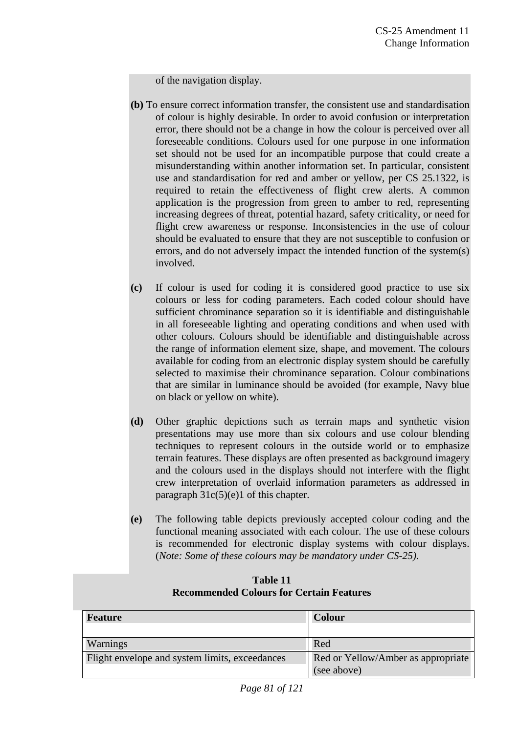of the navigation display.

- **(b)** To ensure correct information transfer, the consistent use and standardisation of colour is highly desirable. In order to avoid confusion or interpretation error, there should not be a change in how the colour is perceived over all foreseeable conditions. Colours used for one purpose in one information set should not be used for an incompatible purpose that could create a misunderstanding within another information set. In particular, consistent use and standardisation for red and amber or yellow, per CS 25.1322, is required to retain the effectiveness of flight crew alerts. A common application is the progression from green to amber to red, representing increasing degrees of threat, potential hazard, safety criticality, or need for flight crew awareness or response. Inconsistencies in the use of colour should be evaluated to ensure that they are not susceptible to confusion or errors, and do not adversely impact the intended function of the system(s) involved.
- **(c)** If colour is used for coding it is considered good practice to use six colours or less for coding parameters. Each coded colour should have sufficient chrominance separation so it is identifiable and distinguishable in all foreseeable lighting and operating conditions and when used with other colours. Colours should be identifiable and distinguishable across the range of information element size, shape, and movement. The colours available for coding from an electronic display system should be carefully selected to maximise their chrominance separation. Colour combinations that are similar in luminance should be avoided (for example, Navy blue on black or yellow on white).
- **(d)** Other graphic depictions such as terrain maps and synthetic vision presentations may use more than six colours and use colour blending techniques to represent colours in the outside world or to emphasize terrain features. These displays are often presented as background imagery and the colours used in the displays should not interfere with the flight crew interpretation of overlaid information parameters as addressed in paragraph  $31c(5)(e)1$  of this chapter.
- **(e)** The following table depicts previously accepted colour coding and the functional meaning associated with each colour. The use of these colours is recommended for electronic display systems with colour displays. (*Note: Some of these colours may be mandatory under CS-25).*

| <b>Feature</b>                                 | <b>Colour</b>                      |
|------------------------------------------------|------------------------------------|
|                                                |                                    |
|                                                |                                    |
| Warnings                                       | Red                                |
| Flight envelope and system limits, exceedances | Red or Yellow/Amber as appropriate |
|                                                |                                    |
|                                                | (see above)                        |
|                                                |                                    |

#### **Table 11 Recommended Colours for Certain Features**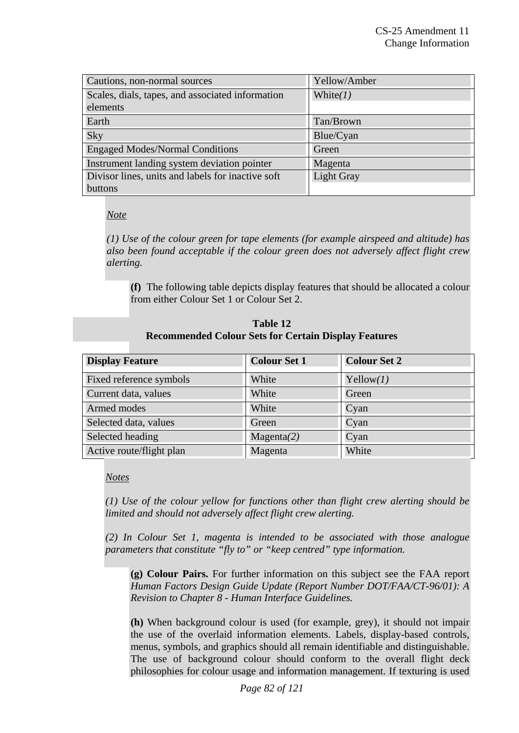| Cautions, non-normal sources                      | Yellow/Amber      |  |
|---------------------------------------------------|-------------------|--|
| Scales, dials, tapes, and associated information  | White $(1)$       |  |
| elements                                          |                   |  |
| Earth                                             | Tan/Brown         |  |
| Sky                                               | Blue/Cyan         |  |
| <b>Engaged Modes/Normal Conditions</b>            | Green             |  |
| Instrument landing system deviation pointer       | Magenta           |  |
| Divisor lines, units and labels for inactive soft | <b>Light Gray</b> |  |
| buttons                                           |                   |  |

### *Note*

*(1) Use of the colour green for tape elements (for example airspeed and altitude) has also been found acceptable if the colour green does not adversely affect flight crew alerting.* 

**(f)** The following table depicts display features that should be allocated a colour from either Colour Set 1 or Colour Set 2.

| Table 12                                                    |  |  |
|-------------------------------------------------------------|--|--|
| <b>Recommended Colour Sets for Certain Display Features</b> |  |  |

| <b>Display Feature</b>   | <b>Colour Set 1</b> | <b>Colour Set 2</b> |
|--------------------------|---------------------|---------------------|
| Fixed reference symbols  | White               | Yellow(I)           |
| Current data, values     | White               | Green               |
| Armed modes              | White               | Cyan                |
| Selected data, values    | Green               | Cyan                |
| Selected heading         | Magenta(2)          | Cyan                |
| Active route/flight plan | Magenta             | White               |

### *Notes*

*(1) Use of the colour yellow for functions other than flight crew alerting should be limited and should not adversely affect flight crew alerting.* 

*(2) In Colour Set 1, magenta is intended to be associated with those analogue parameters that constitute "fly to" or "keep centred" type information.* 

**(g) Colour Pairs.** For further information on this subject see the FAA report *Human Factors Design Guide Update (Report Number DOT/FAA/CT-96/01): A Revision to Chapter 8 - Human Interface Guidelines.* 

**(h)** When background colour is used (for example, grey), it should not impair the use of the overlaid information elements. Labels, display-based controls, menus, symbols, and graphics should all remain identifiable and distinguishable. The use of background colour should conform to the overall flight deck philosophies for colour usage and information management. If texturing is used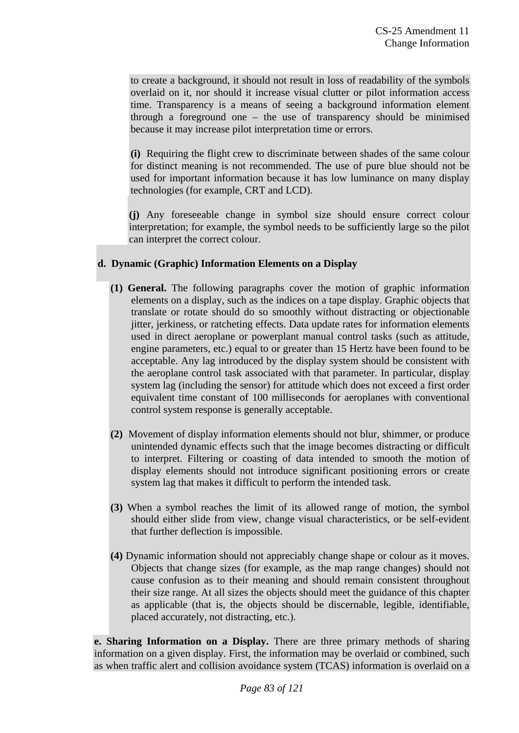to create a background, it should not result in loss of readability of the symbols overlaid on it, nor should it increase visual clutter or pilot information access time. Transparency is a means of seeing a background information element through a foreground one – the use of transparency should be minimised because it may increase pilot interpretation time or errors.

**(i)** Requiring the flight crew to discriminate between shades of the same colour for distinct meaning is not recommended. The use of pure blue should not be used for important information because it has low luminance on many display technologies (for example, CRT and LCD).

**(j)** Any foreseeable change in symbol size should ensure correct colour interpretation; for example, the symbol needs to be sufficiently large so the pilot can interpret the correct colour.

### **d. Dynamic (Graphic) Information Elements on a Display**

- **(1) General.** The following paragraphs cover the motion of graphic information elements on a display, such as the indices on a tape display. Graphic objects that translate or rotate should do so smoothly without distracting or objectionable jitter, jerkiness, or ratcheting effects. Data update rates for information elements used in direct aeroplane or powerplant manual control tasks (such as attitude, engine parameters, etc.) equal to or greater than 15 Hertz have been found to be acceptable. Any lag introduced by the display system should be consistent with the aeroplane control task associated with that parameter. In particular, display system lag (including the sensor) for attitude which does not exceed a first order equivalent time constant of 100 milliseconds for aeroplanes with conventional control system response is generally acceptable.
- **(2)** Movement of display information elements should not blur, shimmer, or produce unintended dynamic effects such that the image becomes distracting or difficult to interpret. Filtering or coasting of data intended to smooth the motion of display elements should not introduce significant positioning errors or create system lag that makes it difficult to perform the intended task.
- **(3)** When a symbol reaches the limit of its allowed range of motion, the symbol should either slide from view, change visual characteristics, or be self-evident that further deflection is impossible.
- **(4)** Dynamic information should not appreciably change shape or colour as it moves. Objects that change sizes (for example, as the map range changes) should not cause confusion as to their meaning and should remain consistent throughout their size range. At all sizes the objects should meet the guidance of this chapter as applicable (that is, the objects should be discernable, legible, identifiable, placed accurately, not distracting, etc.).

**e. Sharing Information on a Display.** There are three primary methods of sharing information on a given display. First, the information may be overlaid or combined, such as when traffic alert and collision avoidance system (TCAS) information is overlaid on a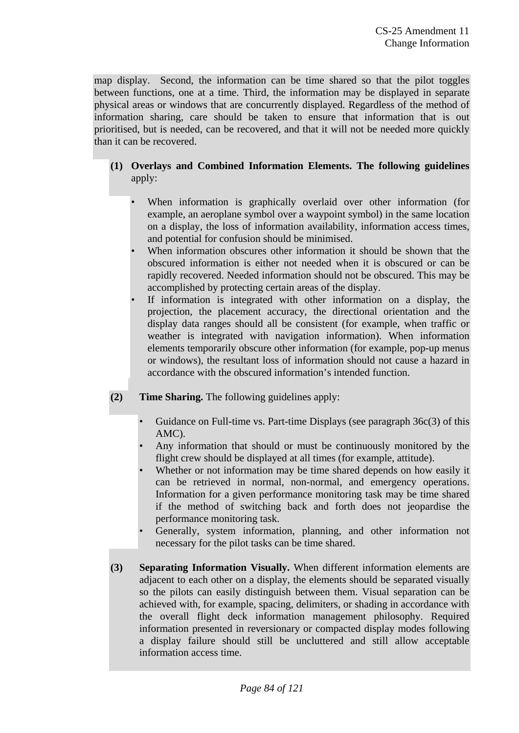map display. Second, the information can be time shared so that the pilot toggles between functions, one at a time. Third, the information may be displayed in separate physical areas or windows that are concurrently displayed. Regardless of the method of information sharing, care should be taken to ensure that information that is out prioritised, but is needed, can be recovered, and that it will not be needed more quickly than it can be recovered.

# **(1) Overlays and Combined Information Elements. The following guidelines** apply:

- When information is graphically overlaid over other information (for example, an aeroplane symbol over a waypoint symbol) in the same location on a display, the loss of information availability, information access times, and potential for confusion should be minimised.
- When information obscures other information it should be shown that the obscured information is either not needed when it is obscured or can be rapidly recovered. Needed information should not be obscured. This may be accomplished by protecting certain areas of the display.
- If information is integrated with other information on a display, the projection, the placement accuracy, the directional orientation and the display data ranges should all be consistent (for example, when traffic or weather is integrated with navigation information). When information elements temporarily obscure other information (for example, pop-up menus or windows), the resultant loss of information should not cause a hazard in accordance with the obscured information's intended function.
- **(2) Time Sharing.** The following guidelines apply:
	- Guidance on Full-time vs. Part-time Displays (see paragraph 36c(3) of this AMC).
	- Any information that should or must be continuously monitored by the flight crew should be displayed at all times (for example, attitude).
	- Whether or not information may be time shared depends on how easily it can be retrieved in normal, non-normal, and emergency operations. Information for a given performance monitoring task may be time shared if the method of switching back and forth does not jeopardise the performance monitoring task.
	- Generally, system information, planning, and other information not necessary for the pilot tasks can be time shared.
- **(3) Separating Information Visually.** When different information elements are adjacent to each other on a display, the elements should be separated visually so the pilots can easily distinguish between them. Visual separation can be achieved with, for example, spacing, delimiters, or shading in accordance with the overall flight deck information management philosophy. Required information presented in reversionary or compacted display modes following a display failure should still be uncluttered and still allow acceptable information access time.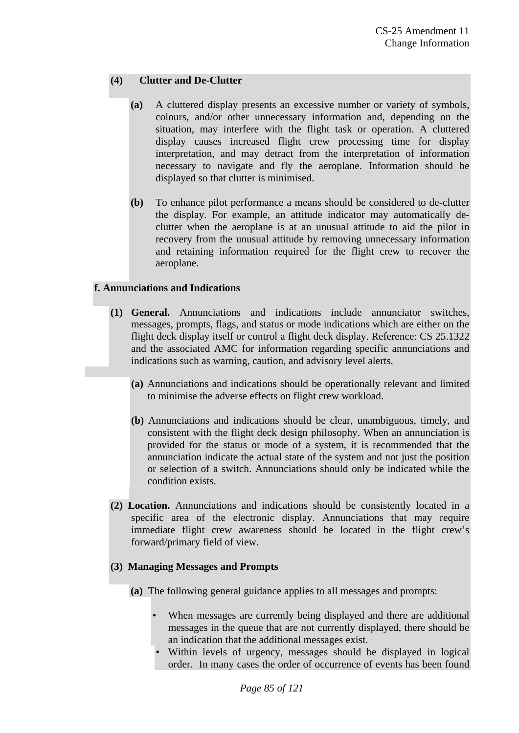### **(4) Clutter and De-Clutter**

- **(a)** A cluttered display presents an excessive number or variety of symbols, colours, and/or other unnecessary information and, depending on the situation, may interfere with the flight task or operation. A cluttered display causes increased flight crew processing time for display interpretation, and may detract from the interpretation of information necessary to navigate and fly the aeroplane. Information should be displayed so that clutter is minimised.
- **(b)** To enhance pilot performance a means should be considered to de-clutter the display. For example, an attitude indicator may automatically declutter when the aeroplane is at an unusual attitude to aid the pilot in recovery from the unusual attitude by removing unnecessary information and retaining information required for the flight crew to recover the aeroplane.

### **f. Annunciations and Indications**

- **(1) General.** Annunciations and indications include annunciator switches, messages, prompts, flags, and status or mode indications which are either on the flight deck display itself or control a flight deck display. Reference: CS 25.1322 and the associated AMC for information regarding specific annunciations and indications such as warning, caution, and advisory level alerts.
	- **(a)** Annunciations and indications should be operationally relevant and limited to minimise the adverse effects on flight crew workload.
	- **(b)** Annunciations and indications should be clear, unambiguous, timely, and consistent with the flight deck design philosophy. When an annunciation is provided for the status or mode of a system, it is recommended that the annunciation indicate the actual state of the system and not just the position or selection of a switch. Annunciations should only be indicated while the condition exists.
- **(2) Location.** Annunciations and indications should be consistently located in a specific area of the electronic display. Annunciations that may require immediate flight crew awareness should be located in the flight crew's forward/primary field of view.

#### **(3) Managing Messages and Prompts**

- **(a)** The following general guidance applies to all messages and prompts:
	- When messages are currently being displayed and there are additional messages in the queue that are not currently displayed, there should be an indication that the additional messages exist.
	- Within levels of urgency, messages should be displayed in logical order. In many cases the order of occurrence of events has been found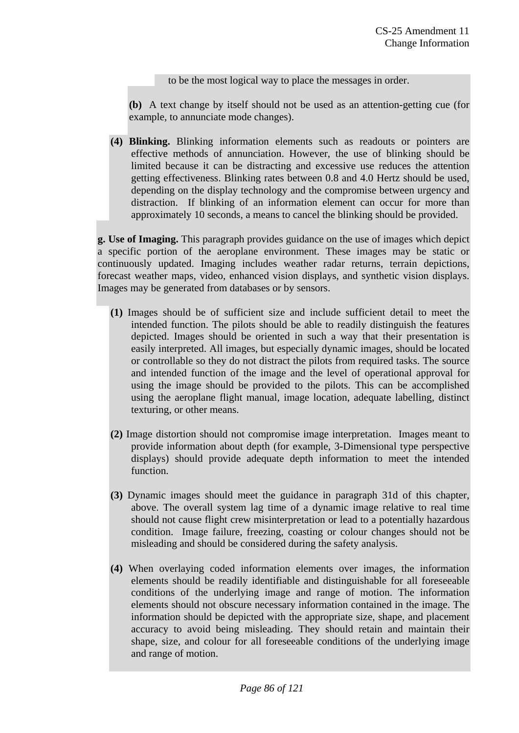to be the most logical way to place the messages in order.

**(b)** A text change by itself should not be used as an attention-getting cue (for example, to annunciate mode changes).

**(4) Blinking.** Blinking information elements such as readouts or pointers are effective methods of annunciation. However, the use of blinking should be limited because it can be distracting and excessive use reduces the attention getting effectiveness. Blinking rates between 0.8 and 4.0 Hertz should be used, depending on the display technology and the compromise between urgency and distraction. If blinking of an information element can occur for more than approximately 10 seconds, a means to cancel the blinking should be provided.

**g. Use of Imaging.** This paragraph provides guidance on the use of images which depict a specific portion of the aeroplane environment. These images may be static or continuously updated. Imaging includes weather radar returns, terrain depictions, forecast weather maps, video, enhanced vision displays, and synthetic vision displays. Images may be generated from databases or by sensors.

- **(1)** Images should be of sufficient size and include sufficient detail to meet the intended function. The pilots should be able to readily distinguish the features depicted. Images should be oriented in such a way that their presentation is easily interpreted. All images, but especially dynamic images, should be located or controllable so they do not distract the pilots from required tasks. The source and intended function of the image and the level of operational approval for using the image should be provided to the pilots. This can be accomplished using the aeroplane flight manual, image location, adequate labelling, distinct texturing, or other means.
- **(2)** Image distortion should not compromise image interpretation. Images meant to provide information about depth (for example, 3-Dimensional type perspective displays) should provide adequate depth information to meet the intended function.
- **(3)** Dynamic images should meet the guidance in paragraph 31d of this chapter, above. The overall system lag time of a dynamic image relative to real time should not cause flight crew misinterpretation or lead to a potentially hazardous condition. Image failure, freezing, coasting or colour changes should not be misleading and should be considered during the safety analysis.
- **(4)** When overlaying coded information elements over images, the information elements should be readily identifiable and distinguishable for all foreseeable conditions of the underlying image and range of motion. The information elements should not obscure necessary information contained in the image. The information should be depicted with the appropriate size, shape, and placement accuracy to avoid being misleading. They should retain and maintain their shape, size, and colour for all foreseeable conditions of the underlying image and range of motion.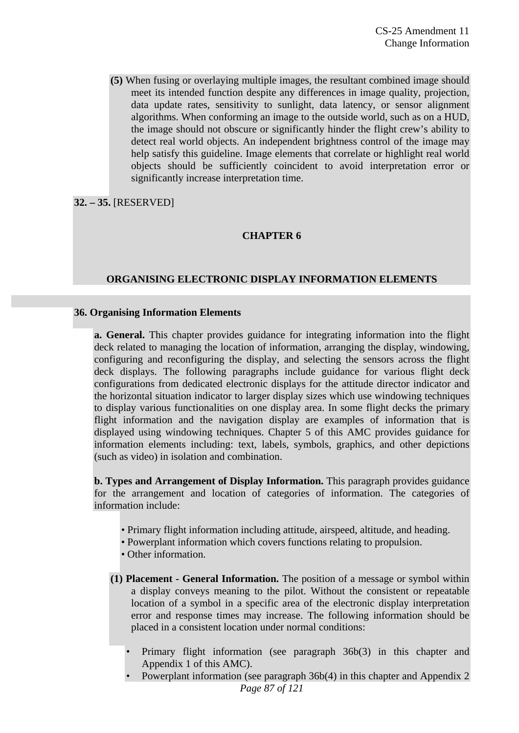**(5)** When fusing or overlaying multiple images, the resultant combined image should meet its intended function despite any differences in image quality, projection, data update rates, sensitivity to sunlight, data latency, or sensor alignment algorithms. When conforming an image to the outside world, such as on a HUD, the image should not obscure or significantly hinder the flight crew's ability to detect real world objects. An independent brightness control of the image may help satisfy this guideline. Image elements that correlate or highlight real world objects should be sufficiently coincident to avoid interpretation error or significantly increase interpretation time.

**32. – 35.** [RESERVED]

#### **CHAPTER 6**

#### **ORGANISING ELECTRONIC DISPLAY INFORMATION ELEMENTS**

#### **36. Organising Information Elements**

**a. General.** This chapter provides guidance for integrating information into the flight deck related to managing the location of information, arranging the display, windowing, configuring and reconfiguring the display, and selecting the sensors across the flight deck displays. The following paragraphs include guidance for various flight deck configurations from dedicated electronic displays for the attitude director indicator and the horizontal situation indicator to larger display sizes which use windowing techniques to display various functionalities on one display area. In some flight decks the primary flight information and the navigation display are examples of information that is displayed using windowing techniques. Chapter 5 of this AMC provides guidance for information elements including: text, labels, symbols, graphics, and other depictions (such as video) in isolation and combination.

**b. Types and Arrangement of Display Information.** This paragraph provides guidance for the arrangement and location of categories of information. The categories of information include:

- Primary flight information including attitude, airspeed, altitude, and heading.
- Powerplant information which covers functions relating to propulsion.
- Other information.
- **(1) Placement General Information.** The position of a message or symbol within a display conveys meaning to the pilot. Without the consistent or repeatable location of a symbol in a specific area of the electronic display interpretation error and response times may increase. The following information should be placed in a consistent location under normal conditions:
	- Primary flight information (see paragraph 36b(3) in this chapter and Appendix 1 of this AMC).
	- Powerplant information (see paragraph 36b(4) in this chapter and Appendix 2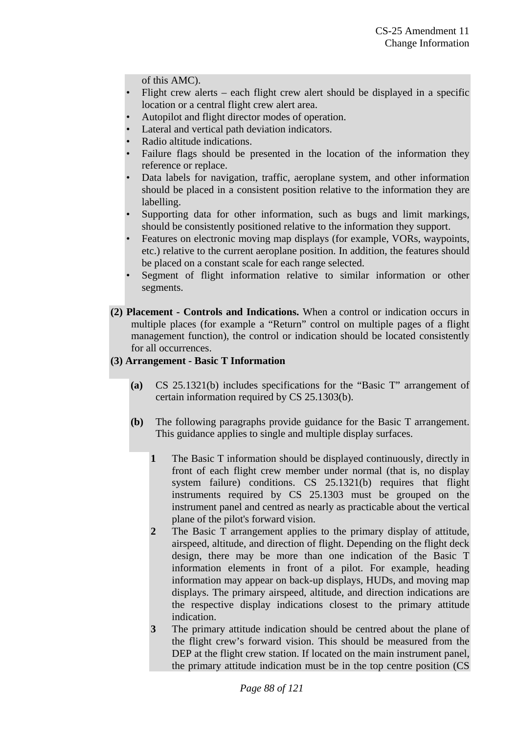of this AMC).

- Flight crew alerts each flight crew alert should be displayed in a specific location or a central flight crew alert area.
- Autopilot and flight director modes of operation.
- Lateral and vertical path deviation indicators.
- Radio altitude indications.
- Failure flags should be presented in the location of the information they reference or replace.
- Data labels for navigation, traffic, aeroplane system, and other information should be placed in a consistent position relative to the information they are labelling.
- Supporting data for other information, such as bugs and limit markings, should be consistently positioned relative to the information they support.
- Features on electronic moving map displays (for example, VORs, waypoints, etc.) relative to the current aeroplane position. In addition, the features should be placed on a constant scale for each range selected.
- Segment of flight information relative to similar information or other segments.
- **(2) Placement Controls and Indications.** When a control or indication occurs in multiple places (for example a "Return" control on multiple pages of a flight management function), the control or indication should be located consistently for all occurrences.

### **(3) Arrangement - Basic T Information**

- **(a)** CS 25.1321(b) includes specifications for the "Basic T" arrangement of certain information required by CS 25.1303(b).
- **(b)** The following paragraphs provide guidance for the Basic T arrangement. This guidance applies to single and multiple display surfaces.
	- **1** The Basic T information should be displayed continuously, directly in front of each flight crew member under normal (that is, no display system failure) conditions. CS 25.1321(b) requires that flight instruments required by CS 25.1303 must be grouped on the instrument panel and centred as nearly as practicable about the vertical plane of the pilot's forward vision.
	- **2** The Basic T arrangement applies to the primary display of attitude, airspeed, altitude, and direction of flight. Depending on the flight deck design, there may be more than one indication of the Basic T information elements in front of a pilot. For example, heading information may appear on back-up displays, HUDs, and moving map displays. The primary airspeed, altitude, and direction indications are the respective display indications closest to the primary attitude indication.
	- **3** The primary attitude indication should be centred about the plane of the flight crew's forward vision. This should be measured from the DEP at the flight crew station. If located on the main instrument panel, the primary attitude indication must be in the top centre position (CS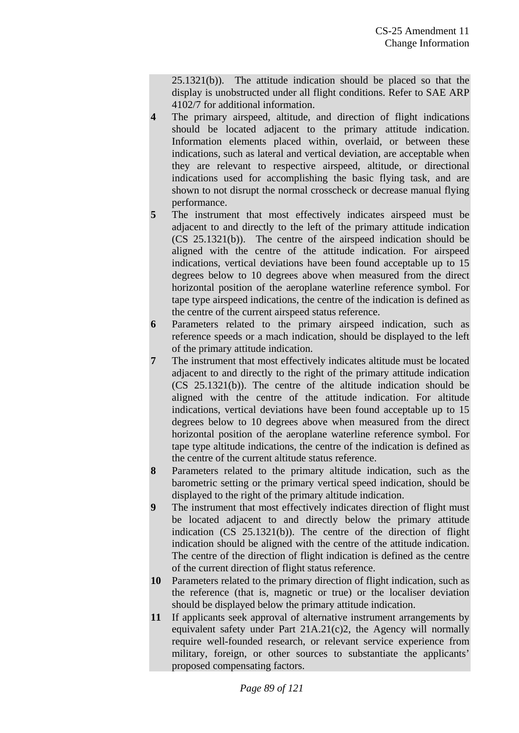25.1321(b)). The attitude indication should be placed so that the display is unobstructed under all flight conditions. Refer to SAE ARP 4102/7 for additional information.

- **4** The primary airspeed, altitude, and direction of flight indications should be located adjacent to the primary attitude indication. Information elements placed within, overlaid, or between these indications, such as lateral and vertical deviation, are acceptable when they are relevant to respective airspeed, altitude, or directional indications used for accomplishing the basic flying task, and are shown to not disrupt the normal crosscheck or decrease manual flying performance.
- **5** The instrument that most effectively indicates airspeed must be adjacent to and directly to the left of the primary attitude indication (CS 25.1321(b)). The centre of the airspeed indication should be aligned with the centre of the attitude indication. For airspeed indications, vertical deviations have been found acceptable up to 15 degrees below to 10 degrees above when measured from the direct horizontal position of the aeroplane waterline reference symbol. For tape type airspeed indications, the centre of the indication is defined as the centre of the current airspeed status reference.
- **6** Parameters related to the primary airspeed indication, such as reference speeds or a mach indication, should be displayed to the left of the primary attitude indication.
- **7** The instrument that most effectively indicates altitude must be located adjacent to and directly to the right of the primary attitude indication (CS 25.1321(b)). The centre of the altitude indication should be aligned with the centre of the attitude indication. For altitude indications, vertical deviations have been found acceptable up to 15 degrees below to 10 degrees above when measured from the direct horizontal position of the aeroplane waterline reference symbol. For tape type altitude indications, the centre of the indication is defined as the centre of the current altitude status reference.
- **8** Parameters related to the primary altitude indication, such as the barometric setting or the primary vertical speed indication, should be displayed to the right of the primary altitude indication.
- **9** The instrument that most effectively indicates direction of flight must be located adjacent to and directly below the primary attitude indication (CS 25.1321(b)). The centre of the direction of flight indication should be aligned with the centre of the attitude indication. The centre of the direction of flight indication is defined as the centre of the current direction of flight status reference.
- **10** Parameters related to the primary direction of flight indication, such as the reference (that is, magnetic or true) or the localiser deviation should be displayed below the primary attitude indication.
- **11** If applicants seek approval of alternative instrument arrangements by equivalent safety under Part 21A.21(c)2, the Agency will normally require well-founded research, or relevant service experience from military, foreign, or other sources to substantiate the applicants' proposed compensating factors.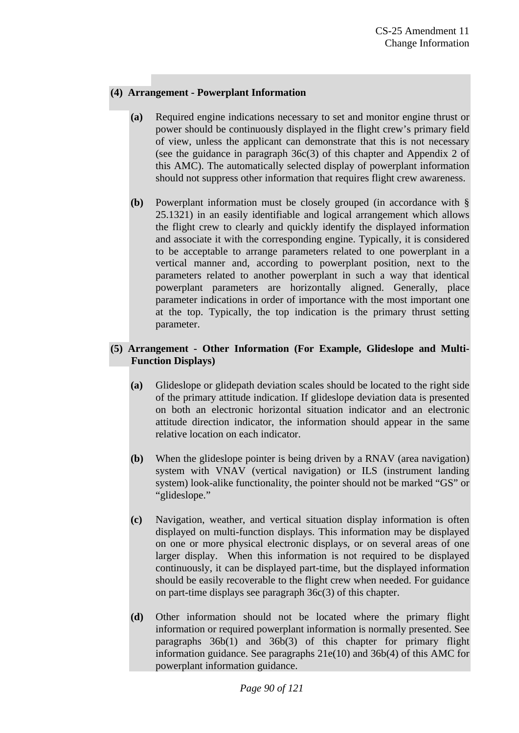# **(4) Arrangement - Powerplant Information**

- **(a)** Required engine indications necessary to set and monitor engine thrust or power should be continuously displayed in the flight crew's primary field of view, unless the applicant can demonstrate that this is not necessary (see the guidance in paragraph 36c(3) of this chapter and Appendix 2 of this AMC). The automatically selected display of powerplant information should not suppress other information that requires flight crew awareness.
- **(b)** Powerplant information must be closely grouped (in accordance with § 25.1321) in an easily identifiable and logical arrangement which allows the flight crew to clearly and quickly identify the displayed information and associate it with the corresponding engine. Typically, it is considered to be acceptable to arrange parameters related to one powerplant in a vertical manner and, according to powerplant position, next to the parameters related to another powerplant in such a way that identical powerplant parameters are horizontally aligned. Generally, place parameter indications in order of importance with the most important one at the top. Typically, the top indication is the primary thrust setting parameter.

### **(5) Arrangement - Other Information (For Example, Glideslope and Multi-Function Displays)**

- **(a)** Glideslope or glidepath deviation scales should be located to the right side of the primary attitude indication. If glideslope deviation data is presented on both an electronic horizontal situation indicator and an electronic attitude direction indicator, the information should appear in the same relative location on each indicator.
- **(b)** When the glideslope pointer is being driven by a RNAV (area navigation) system with VNAV (vertical navigation) or ILS (instrument landing system) look-alike functionality, the pointer should not be marked "GS" or "glideslope."
- **(c)** Navigation, weather, and vertical situation display information is often displayed on multi-function displays. This information may be displayed on one or more physical electronic displays, or on several areas of one larger display. When this information is not required to be displayed continuously, it can be displayed part-time, but the displayed information should be easily recoverable to the flight crew when needed. For guidance on part-time displays see paragraph 36c(3) of this chapter.
- **(d)** Other information should not be located where the primary flight information or required powerplant information is normally presented. See paragraphs 36b(1) and 36b(3) of this chapter for primary flight information guidance. See paragraphs 21e(10) and 36b(4) of this AMC for powerplant information guidance.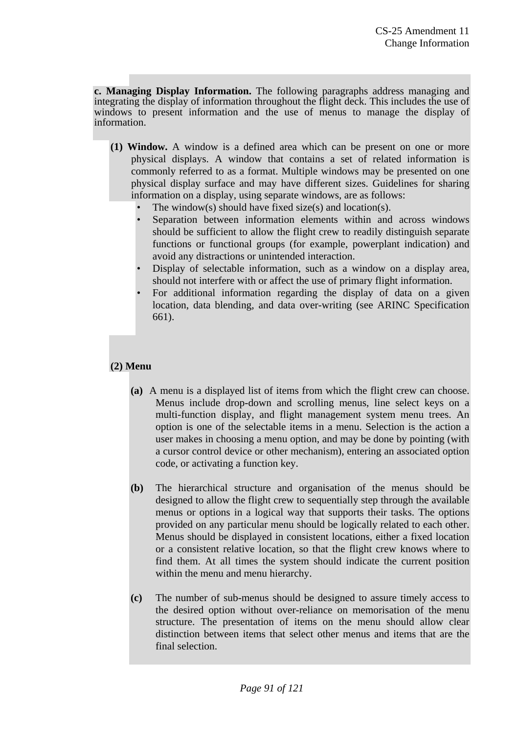**c. Managing Display Information.** The following paragraphs address managing and integrating the display of information throughout the flight deck. This includes the use of windows to present information and the use of menus to manage the display of information.

- **(1) Window.** A window is a defined area which can be present on one or more physical displays. A window that contains a set of related information is commonly referred to as a format. Multiple windows may be presented on one physical display surface and may have different sizes. Guidelines for sharing information on a display, using separate windows, are as follows:
	- The window(s) should have fixed size(s) and location(s).
	- Separation between information elements within and across windows should be sufficient to allow the flight crew to readily distinguish separate functions or functional groups (for example, powerplant indication) and avoid any distractions or unintended interaction.
	- Display of selectable information, such as a window on a display area, should not interfere with or affect the use of primary flight information.
	- For additional information regarding the display of data on a given location, data blending, and data over-writing (see ARINC Specification 661).

# **(2) Menu**

- **(a)** A menu is a displayed list of items from which the flight crew can choose. Menus include drop-down and scrolling menus, line select keys on a multi-function display, and flight management system menu trees. An option is one of the selectable items in a menu. Selection is the action a user makes in choosing a menu option, and may be done by pointing (with a cursor control device or other mechanism), entering an associated option code, or activating a function key.
- **(b)** The hierarchical structure and organisation of the menus should be designed to allow the flight crew to sequentially step through the available menus or options in a logical way that supports their tasks. The options provided on any particular menu should be logically related to each other. Menus should be displayed in consistent locations, either a fixed location or a consistent relative location, so that the flight crew knows where to find them. At all times the system should indicate the current position within the menu and menu hierarchy.
- **(c)** The number of sub-menus should be designed to assure timely access to the desired option without over-reliance on memorisation of the menu structure. The presentation of items on the menu should allow clear distinction between items that select other menus and items that are the final selection.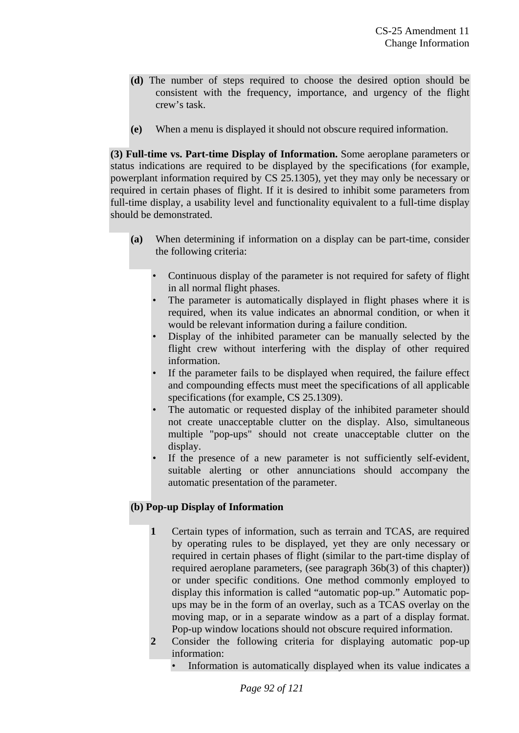- **(d)** The number of steps required to choose the desired option should be consistent with the frequency, importance, and urgency of the flight crew's task.
- **(e)** When a menu is displayed it should not obscure required information.

**(3) Full-time vs. Part-time Display of Information.** Some aeroplane parameters or status indications are required to be displayed by the specifications (for example, powerplant information required by CS 25.1305), yet they may only be necessary or required in certain phases of flight. If it is desired to inhibit some parameters from full-time display, a usability level and functionality equivalent to a full-time display should be demonstrated.

- **(a)** When determining if information on a display can be part-time, consider the following criteria:
	- Continuous display of the parameter is not required for safety of flight in all normal flight phases.
	- The parameter is automatically displayed in flight phases where it is required, when its value indicates an abnormal condition, or when it would be relevant information during a failure condition.
	- Display of the inhibited parameter can be manually selected by the flight crew without interfering with the display of other required information.
	- If the parameter fails to be displayed when required, the failure effect and compounding effects must meet the specifications of all applicable specifications (for example, CS 25.1309).
	- The automatic or requested display of the inhibited parameter should not create unacceptable clutter on the display. Also, simultaneous multiple "pop-ups" should not create unacceptable clutter on the display.
	- If the presence of a new parameter is not sufficiently self-evident, suitable alerting or other annunciations should accompany the automatic presentation of the parameter.

# **(b) Pop-up Display of Information**

- **1** Certain types of information, such as terrain and TCAS, are required by operating rules to be displayed, yet they are only necessary or required in certain phases of flight (similar to the part-time display of required aeroplane parameters, (see paragraph 36b(3) of this chapter)) or under specific conditions. One method commonly employed to display this information is called "automatic pop-up." Automatic popups may be in the form of an overlay, such as a TCAS overlay on the moving map, or in a separate window as a part of a display format. Pop-up window locations should not obscure required information.
- **2** Consider the following criteria for displaying automatic pop-up information:
	- Information is automatically displayed when its value indicates a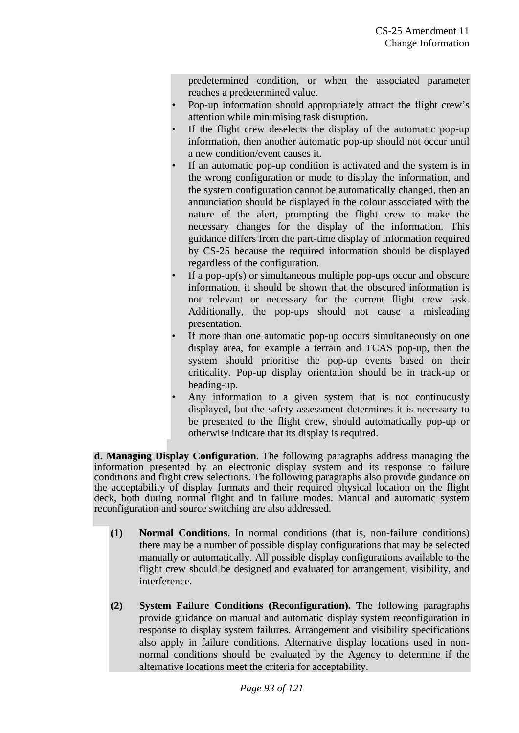predetermined condition, or when the associated parameter reaches a predetermined value.

- Pop-up information should appropriately attract the flight crew's attention while minimising task disruption.
- If the flight crew deselects the display of the automatic pop-up information, then another automatic pop-up should not occur until a new condition/event causes it.
- If an automatic pop-up condition is activated and the system is in the wrong configuration or mode to display the information, and the system configuration cannot be automatically changed, then an annunciation should be displayed in the colour associated with the nature of the alert, prompting the flight crew to make the necessary changes for the display of the information. This guidance differs from the part-time display of information required by CS-25 because the required information should be displayed regardless of the configuration.
- If a pop-up(s) or simultaneous multiple pop-ups occur and obscure information, it should be shown that the obscured information is not relevant or necessary for the current flight crew task. Additionally, the pop-ups should not cause a misleading presentation.
- If more than one automatic pop-up occurs simultaneously on one display area, for example a terrain and TCAS pop-up, then the system should prioritise the pop-up events based on their criticality. Pop-up display orientation should be in track-up or heading-up.
- Any information to a given system that is not continuously displayed, but the safety assessment determines it is necessary to be presented to the flight crew, should automatically pop-up or otherwise indicate that its display is required.

**d. Managing Display Configuration.** The following paragraphs address managing the information presented by an electronic display system and its response to failure conditions and flight crew selections. The following paragraphs also provide guidance on the acceptability of display formats and their required physical location on the flight deck, both during normal flight and in failure modes. Manual and automatic system reconfiguration and source switching are also addressed.

- **(1) Normal Conditions.** In normal conditions (that is, non-failure conditions) there may be a number of possible display configurations that may be selected manually or automatically. All possible display configurations available to the flight crew should be designed and evaluated for arrangement, visibility, and interference.
- **(2) System Failure Conditions (Reconfiguration).** The following paragraphs provide guidance on manual and automatic display system reconfiguration in response to display system failures. Arrangement and visibility specifications also apply in failure conditions. Alternative display locations used in nonnormal conditions should be evaluated by the Agency to determine if the alternative locations meet the criteria for acceptability.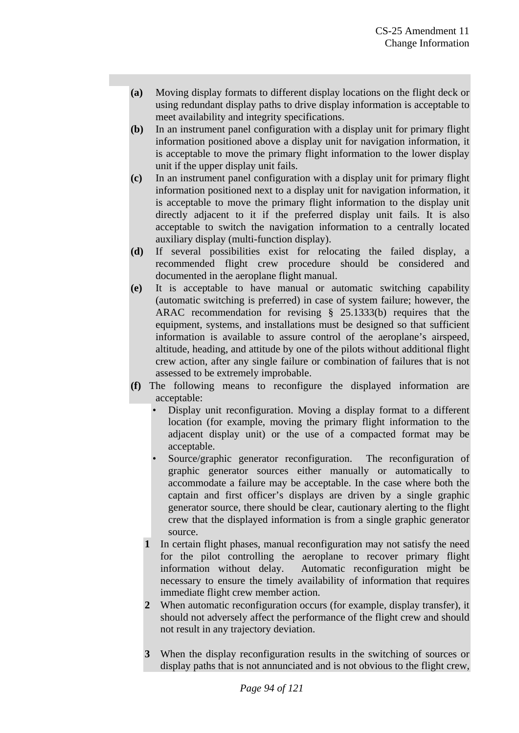- **(a)** Moving display formats to different display locations on the flight deck or using redundant display paths to drive display information is acceptable to meet availability and integrity specifications.
- **(b)** In an instrument panel configuration with a display unit for primary flight information positioned above a display unit for navigation information, it is acceptable to move the primary flight information to the lower display unit if the upper display unit fails.
- **(c)** In an instrument panel configuration with a display unit for primary flight information positioned next to a display unit for navigation information, it is acceptable to move the primary flight information to the display unit directly adjacent to it if the preferred display unit fails. It is also acceptable to switch the navigation information to a centrally located auxiliary display (multi-function display).
- **(d)** If several possibilities exist for relocating the failed display, a recommended flight crew procedure should be considered and documented in the aeroplane flight manual.
- **(e)** It is acceptable to have manual or automatic switching capability (automatic switching is preferred) in case of system failure; however, the ARAC recommendation for revising § 25.1333(b) requires that the equipment, systems, and installations must be designed so that sufficient information is available to assure control of the aeroplane's airspeed, altitude, heading, and attitude by one of the pilots without additional flight crew action, after any single failure or combination of failures that is not assessed to be extremely improbable.
- **(f)** The following means to reconfigure the displayed information are acceptable:
	- Display unit reconfiguration. Moving a display format to a different location (for example, moving the primary flight information to the adjacent display unit) or the use of a compacted format may be acceptable.
	- Source/graphic generator reconfiguration. The reconfiguration of graphic generator sources either manually or automatically to accommodate a failure may be acceptable. In the case where both the captain and first officer's displays are driven by a single graphic generator source, there should be clear, cautionary alerting to the flight crew that the displayed information is from a single graphic generator source.
	- **1** In certain flight phases, manual reconfiguration may not satisfy the need for the pilot controlling the aeroplane to recover primary flight information without delay. Automatic reconfiguration might be necessary to ensure the timely availability of information that requires immediate flight crew member action.
	- **2** When automatic reconfiguration occurs (for example, display transfer), it should not adversely affect the performance of the flight crew and should not result in any trajectory deviation.
	- **3** When the display reconfiguration results in the switching of sources or display paths that is not annunciated and is not obvious to the flight crew,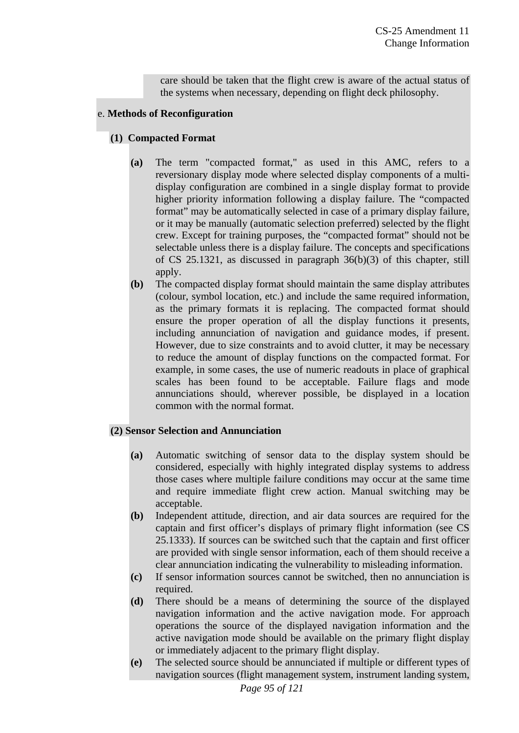care should be taken that the flight crew is aware of the actual status of the systems when necessary, depending on flight deck philosophy.

### e. **Methods of Reconfiguration**

# **(1) Compacted Format**

- **(a)** The term "compacted format," as used in this AMC, refers to a reversionary display mode where selected display components of a multidisplay configuration are combined in a single display format to provide higher priority information following a display failure. The "compacted format" may be automatically selected in case of a primary display failure, or it may be manually (automatic selection preferred) selected by the flight crew. Except for training purposes, the "compacted format" should not be selectable unless there is a display failure. The concepts and specifications of CS 25.1321, as discussed in paragraph 36(b)(3) of this chapter, still apply.
- **(b)** The compacted display format should maintain the same display attributes (colour, symbol location, etc.) and include the same required information, as the primary formats it is replacing. The compacted format should ensure the proper operation of all the display functions it presents, including annunciation of navigation and guidance modes, if present. However, due to size constraints and to avoid clutter, it may be necessary to reduce the amount of display functions on the compacted format. For example, in some cases, the use of numeric readouts in place of graphical scales has been found to be acceptable. Failure flags and mode annunciations should, wherever possible, be displayed in a location common with the normal format.

# **(2) Sensor Selection and Annunciation**

- **(a)** Automatic switching of sensor data to the display system should be considered, especially with highly integrated display systems to address those cases where multiple failure conditions may occur at the same time and require immediate flight crew action. Manual switching may be acceptable.
- **(b)** Independent attitude, direction, and air data sources are required for the captain and first officer's displays of primary flight information (see CS 25.1333). If sources can be switched such that the captain and first officer are provided with single sensor information, each of them should receive a clear annunciation indicating the vulnerability to misleading information.
- **(c)** If sensor information sources cannot be switched, then no annunciation is required.
- **(d)** There should be a means of determining the source of the displayed navigation information and the active navigation mode. For approach operations the source of the displayed navigation information and the active navigation mode should be available on the primary flight display or immediately adjacent to the primary flight display.
- **(e)** The selected source should be annunciated if multiple or different types of navigation sources (flight management system, instrument landing system,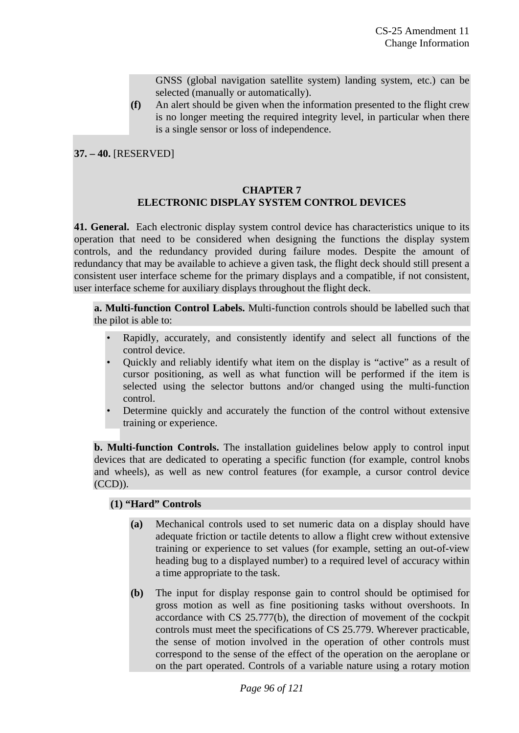GNSS (global navigation satellite system) landing system, etc.) can be selected (manually or automatically).

**(f)** An alert should be given when the information presented to the flight crew is no longer meeting the required integrity level, in particular when there is a single sensor or loss of independence.

**37. – 40.** [RESERVED]

#### **CHAPTER 7 ELECTRONIC DISPLAY SYSTEM CONTROL DEVICES**

**41. General.** Each electronic display system control device has characteristics unique to its operation that need to be considered when designing the functions the display system controls, and the redundancy provided during failure modes. Despite the amount of redundancy that may be available to achieve a given task, the flight deck should still present a consistent user interface scheme for the primary displays and a compatible, if not consistent, user interface scheme for auxiliary displays throughout the flight deck.

**a. Multi-function Control Labels.** Multi-function controls should be labelled such that the pilot is able to:

- Rapidly, accurately, and consistently identify and select all functions of the control device.
- Quickly and reliably identify what item on the display is "active" as a result of cursor positioning, as well as what function will be performed if the item is selected using the selector buttons and/or changed using the multi-function control.
- Determine quickly and accurately the function of the control without extensive training or experience.

**b. Multi-function Controls.** The installation guidelines below apply to control input devices that are dedicated to operating a specific function (for example, control knobs and wheels), as well as new control features (for example, a cursor control device (CCD)).

### **(1) "Hard" Controls**

- **(a)** Mechanical controls used to set numeric data on a display should have adequate friction or tactile detents to allow a flight crew without extensive training or experience to set values (for example, setting an out-of-view heading bug to a displayed number) to a required level of accuracy within a time appropriate to the task.
- **(b)** The input for display response gain to control should be optimised for gross motion as well as fine positioning tasks without overshoots. In accordance with CS 25.777(b), the direction of movement of the cockpit controls must meet the specifications of CS 25.779. Wherever practicable, the sense of motion involved in the operation of other controls must correspond to the sense of the effect of the operation on the aeroplane or on the part operated. Controls of a variable nature using a rotary motion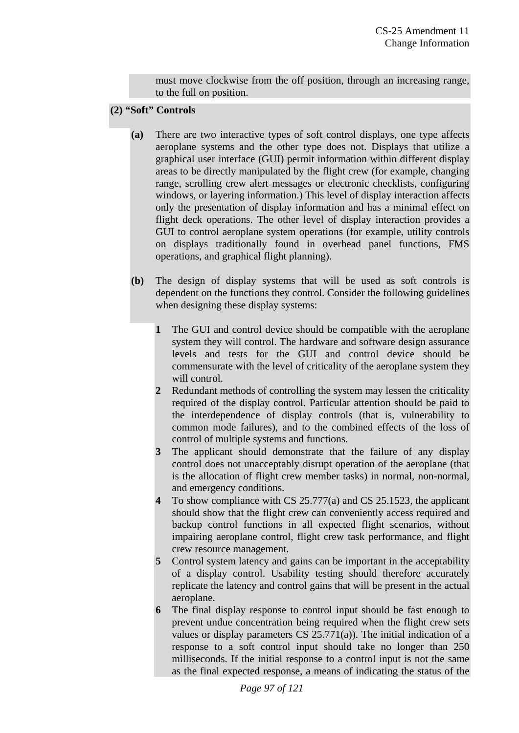must move clockwise from the off position, through an increasing range, to the full on position.

### **(2) "Soft" Controls**

- **(a)** There are two interactive types of soft control displays, one type affects aeroplane systems and the other type does not. Displays that utilize a graphical user interface (GUI) permit information within different display areas to be directly manipulated by the flight crew (for example, changing range, scrolling crew alert messages or electronic checklists, configuring windows, or layering information.) This level of display interaction affects only the presentation of display information and has a minimal effect on flight deck operations. The other level of display interaction provides a GUI to control aeroplane system operations (for example, utility controls on displays traditionally found in overhead panel functions, FMS operations, and graphical flight planning).
- **(b)** The design of display systems that will be used as soft controls is dependent on the functions they control. Consider the following guidelines when designing these display systems:
	- **1** The GUI and control device should be compatible with the aeroplane system they will control. The hardware and software design assurance levels and tests for the GUI and control device should be commensurate with the level of criticality of the aeroplane system they will control.
	- **2** Redundant methods of controlling the system may lessen the criticality required of the display control. Particular attention should be paid to the interdependence of display controls (that is, vulnerability to common mode failures), and to the combined effects of the loss of control of multiple systems and functions.
	- **3** The applicant should demonstrate that the failure of any display control does not unacceptably disrupt operation of the aeroplane (that is the allocation of flight crew member tasks) in normal, non-normal, and emergency conditions.
	- **4** To show compliance with CS 25.777(a) and CS 25.1523, the applicant should show that the flight crew can conveniently access required and backup control functions in all expected flight scenarios, without impairing aeroplane control, flight crew task performance, and flight crew resource management.
	- **5** Control system latency and gains can be important in the acceptability of a display control. Usability testing should therefore accurately replicate the latency and control gains that will be present in the actual aeroplane.
	- **6** The final display response to control input should be fast enough to prevent undue concentration being required when the flight crew sets values or display parameters CS 25.771(a)). The initial indication of a response to a soft control input should take no longer than 250 milliseconds. If the initial response to a control input is not the same as the final expected response, a means of indicating the status of the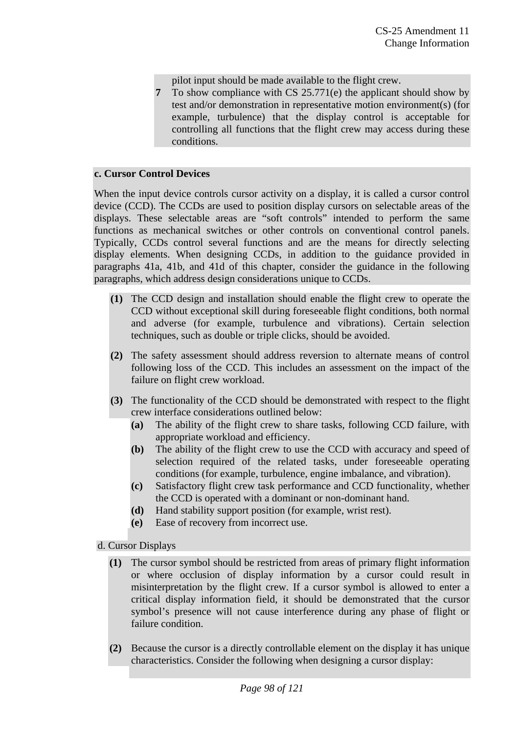pilot input should be made available to the flight crew.

**7** To show compliance with CS 25.771(e) the applicant should show by test and/or demonstration in representative motion environment(s) (for example, turbulence) that the display control is acceptable for controlling all functions that the flight crew may access during these conditions.

#### **c. Cursor Control Devices**

When the input device controls cursor activity on a display, it is called a cursor control device (CCD). The CCDs are used to position display cursors on selectable areas of the displays. These selectable areas are "soft controls" intended to perform the same functions as mechanical switches or other controls on conventional control panels. Typically, CCDs control several functions and are the means for directly selecting display elements. When designing CCDs, in addition to the guidance provided in paragraphs 41a, 41b, and 41d of this chapter, consider the guidance in the following paragraphs, which address design considerations unique to CCDs.

- **(1)** The CCD design and installation should enable the flight crew to operate the CCD without exceptional skill during foreseeable flight conditions, both normal and adverse (for example, turbulence and vibrations). Certain selection techniques, such as double or triple clicks, should be avoided.
- **(2)** The safety assessment should address reversion to alternate means of control following loss of the CCD. This includes an assessment on the impact of the failure on flight crew workload.
- **(3)** The functionality of the CCD should be demonstrated with respect to the flight crew interface considerations outlined below:
	- **(a)** The ability of the flight crew to share tasks, following CCD failure, with appropriate workload and efficiency.
	- **(b)** The ability of the flight crew to use the CCD with accuracy and speed of selection required of the related tasks, under foreseeable operating conditions (for example, turbulence, engine imbalance, and vibration).
	- **(c)** Satisfactory flight crew task performance and CCD functionality, whether the CCD is operated with a dominant or non-dominant hand.
	- **(d)** Hand stability support position (for example, wrist rest).
	- **(e)** Ease of recovery from incorrect use.

### d. Cursor Displays

- **(1)** The cursor symbol should be restricted from areas of primary flight information or where occlusion of display information by a cursor could result in misinterpretation by the flight crew. If a cursor symbol is allowed to enter a critical display information field, it should be demonstrated that the cursor symbol's presence will not cause interference during any phase of flight or failure condition.
- **(2)** Because the cursor is a directly controllable element on the display it has unique characteristics. Consider the following when designing a cursor display: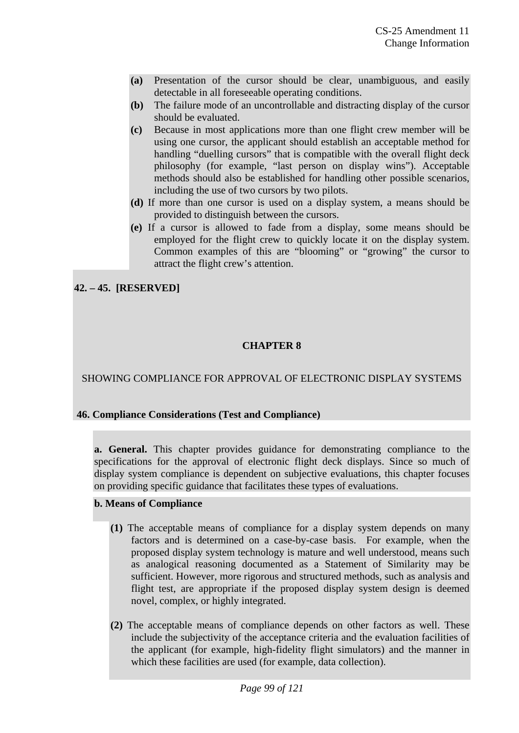- **(a)** Presentation of the cursor should be clear, unambiguous, and easily detectable in all foreseeable operating conditions.
- **(b)** The failure mode of an uncontrollable and distracting display of the cursor should be evaluated.
- **(c)** Because in most applications more than one flight crew member will be using one cursor, the applicant should establish an acceptable method for handling "duelling cursors" that is compatible with the overall flight deck philosophy (for example, "last person on display wins"). Acceptable methods should also be established for handling other possible scenarios, including the use of two cursors by two pilots.
- **(d)** If more than one cursor is used on a display system, a means should be provided to distinguish between the cursors.
- **(e)** If a cursor is allowed to fade from a display, some means should be employed for the flight crew to quickly locate it on the display system. Common examples of this are "blooming" or "growing" the cursor to attract the flight crew's attention.

**42. – 45. [RESERVED]**

# **CHAPTER 8**

SHOWING COMPLIANCE FOR APPROVAL OF ELECTRONIC DISPLAY SYSTEMS

### **46. Compliance Considerations (Test and Compliance)**

**a. General.** This chapter provides guidance for demonstrating compliance to the specifications for the approval of electronic flight deck displays. Since so much of display system compliance is dependent on subjective evaluations, this chapter focuses on providing specific guidance that facilitates these types of evaluations.

### **b. Means of Compliance**

- **(1)** The acceptable means of compliance for a display system depends on many factors and is determined on a case-by-case basis. For example, when the proposed display system technology is mature and well understood, means such as analogical reasoning documented as a Statement of Similarity may be sufficient. However, more rigorous and structured methods, such as analysis and flight test, are appropriate if the proposed display system design is deemed novel, complex, or highly integrated.
- **(2)** The acceptable means of compliance depends on other factors as well. These include the subjectivity of the acceptance criteria and the evaluation facilities of the applicant (for example, high-fidelity flight simulators) and the manner in which these facilities are used (for example, data collection).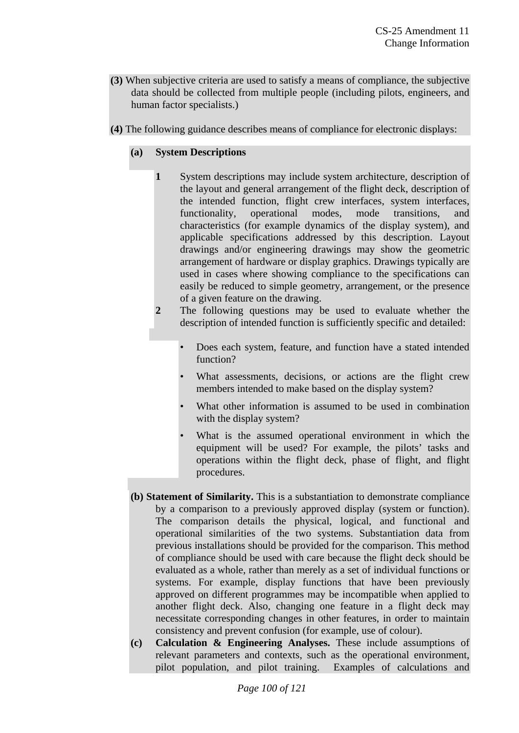- **(3)** When subjective criteria are used to satisfy a means of compliance, the subjective data should be collected from multiple people (including pilots, engineers, and human factor specialists.)
- **(4)** The following guidance describes means of compliance for electronic displays:

# **(a) System Descriptions**

- **1** System descriptions may include system architecture, description of the layout and general arrangement of the flight deck, description of the intended function, flight crew interfaces, system interfaces, functionality, operational modes, mode transitions, and characteristics (for example dynamics of the display system), and applicable specifications addressed by this description. Layout drawings and/or engineering drawings may show the geometric arrangement of hardware or display graphics. Drawings typically are used in cases where showing compliance to the specifications can easily be reduced to simple geometry, arrangement, or the presence of a given feature on the drawing.
- **2** The following questions may be used to evaluate whether the description of intended function is sufficiently specific and detailed:
	- Does each system, feature, and function have a stated intended function?
	- What assessments, decisions, or actions are the flight crew members intended to make based on the display system?
	- What other information is assumed to be used in combination with the display system?
	- What is the assumed operational environment in which the equipment will be used? For example, the pilots' tasks and operations within the flight deck, phase of flight, and flight procedures.
- **(b) Statement of Similarity.** This is a substantiation to demonstrate compliance by a comparison to a previously approved display (system or function). The comparison details the physical, logical, and functional and operational similarities of the two systems. Substantiation data from previous installations should be provided for the comparison. This method of compliance should be used with care because the flight deck should be evaluated as a whole, rather than merely as a set of individual functions or systems. For example, display functions that have been previously approved on different programmes may be incompatible when applied to another flight deck. Also, changing one feature in a flight deck may necessitate corresponding changes in other features, in order to maintain consistency and prevent confusion (for example, use of colour).
- **(c) Calculation & Engineering Analyses.** These include assumptions of relevant parameters and contexts, such as the operational environment, pilot population, and pilot training. Examples of calculations and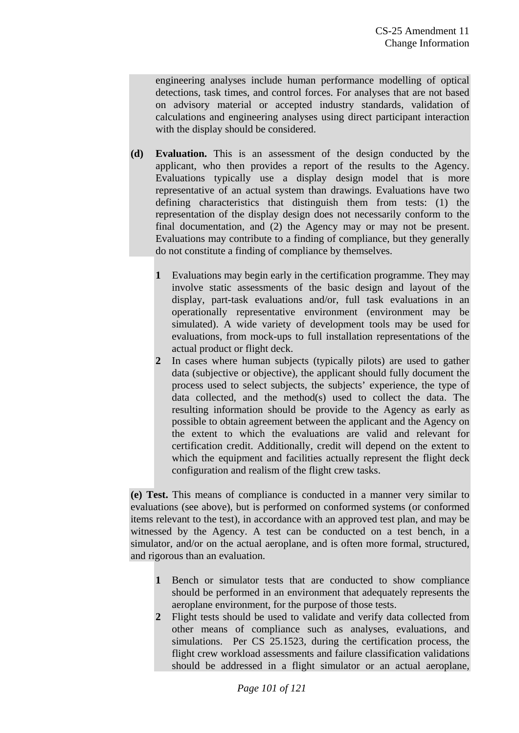engineering analyses include human performance modelling of optical detections, task times, and control forces. For analyses that are not based on advisory material or accepted industry standards, validation of calculations and engineering analyses using direct participant interaction with the display should be considered.

- **(d) Evaluation.** This is an assessment of the design conducted by the applicant, who then provides a report of the results to the Agency. Evaluations typically use a display design model that is more representative of an actual system than drawings. Evaluations have two defining characteristics that distinguish them from tests: (1) the representation of the display design does not necessarily conform to the final documentation, and (2) the Agency may or may not be present. Evaluations may contribute to a finding of compliance, but they generally do not constitute a finding of compliance by themselves.
	- **1** Evaluations may begin early in the certification programme. They may involve static assessments of the basic design and layout of the display, part-task evaluations and/or, full task evaluations in an operationally representative environment (environment may be simulated). A wide variety of development tools may be used for evaluations, from mock-ups to full installation representations of the actual product or flight deck.
	- **2** In cases where human subjects (typically pilots) are used to gather data (subjective or objective), the applicant should fully document the process used to select subjects, the subjects' experience, the type of data collected, and the method(s) used to collect the data. The resulting information should be provide to the Agency as early as possible to obtain agreement between the applicant and the Agency on the extent to which the evaluations are valid and relevant for certification credit. Additionally, credit will depend on the extent to which the equipment and facilities actually represent the flight deck configuration and realism of the flight crew tasks.

**(e) Test.** This means of compliance is conducted in a manner very similar to evaluations (see above), but is performed on conformed systems (or conformed items relevant to the test), in accordance with an approved test plan, and may be witnessed by the Agency. A test can be conducted on a test bench, in a simulator, and/or on the actual aeroplane, and is often more formal, structured, and rigorous than an evaluation.

- **1** Bench or simulator tests that are conducted to show compliance should be performed in an environment that adequately represents the aeroplane environment, for the purpose of those tests.
- **2** Flight tests should be used to validate and verify data collected from other means of compliance such as analyses, evaluations, and simulations. Per CS 25.1523, during the certification process, the flight crew workload assessments and failure classification validations should be addressed in a flight simulator or an actual aeroplane,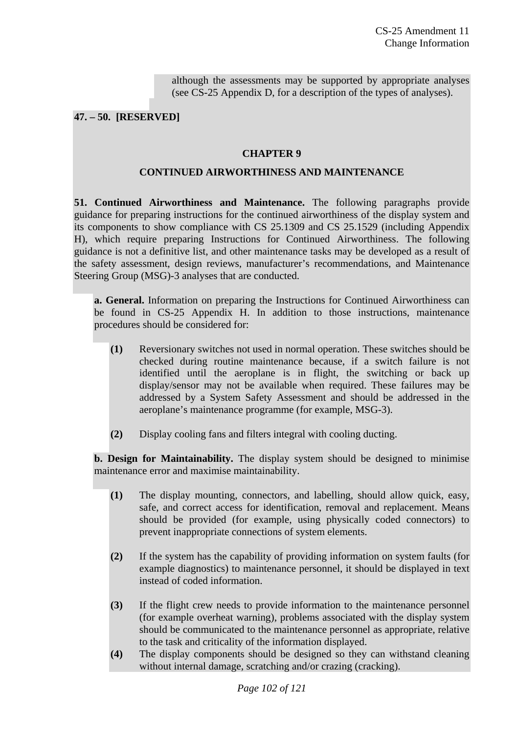although the assessments may be supported by appropriate analyses (see CS-25 Appendix D, for a description of the types of analyses).

### **47. – 50. [RESERVED]**

#### **CHAPTER 9**

#### **CONTINUED AIRWORTHINESS AND MAINTENANCE**

**51. Continued Airworthiness and Maintenance.** The following paragraphs provide guidance for preparing instructions for the continued airworthiness of the display system and its components to show compliance with CS 25.1309 and CS 25.1529 (including Appendix H), which require preparing Instructions for Continued Airworthiness. The following guidance is not a definitive list, and other maintenance tasks may be developed as a result of the safety assessment, design reviews, manufacturer's recommendations, and Maintenance Steering Group (MSG)-3 analyses that are conducted.

**a. General.** Information on preparing the Instructions for Continued Airworthiness can be found in CS-25 Appendix H. In addition to those instructions, maintenance procedures should be considered for:

- **(1)** Reversionary switches not used in normal operation. These switches should be checked during routine maintenance because, if a switch failure is not identified until the aeroplane is in flight, the switching or back up display/sensor may not be available when required. These failures may be addressed by a System Safety Assessment and should be addressed in the aeroplane's maintenance programme (for example, MSG-3).
- **(2)** Display cooling fans and filters integral with cooling ducting.

**b. Design for Maintainability.** The display system should be designed to minimise maintenance error and maximise maintainability.

- **(1)** The display mounting, connectors, and labelling, should allow quick, easy, safe, and correct access for identification, removal and replacement. Means should be provided (for example, using physically coded connectors) to prevent inappropriate connections of system elements.
- **(2)** If the system has the capability of providing information on system faults (for example diagnostics) to maintenance personnel, it should be displayed in text instead of coded information.
- **(3)** If the flight crew needs to provide information to the maintenance personnel (for example overheat warning), problems associated with the display system should be communicated to the maintenance personnel as appropriate, relative to the task and criticality of the information displayed.
- **(4)** The display components should be designed so they can withstand cleaning without internal damage, scratching and/or crazing (cracking).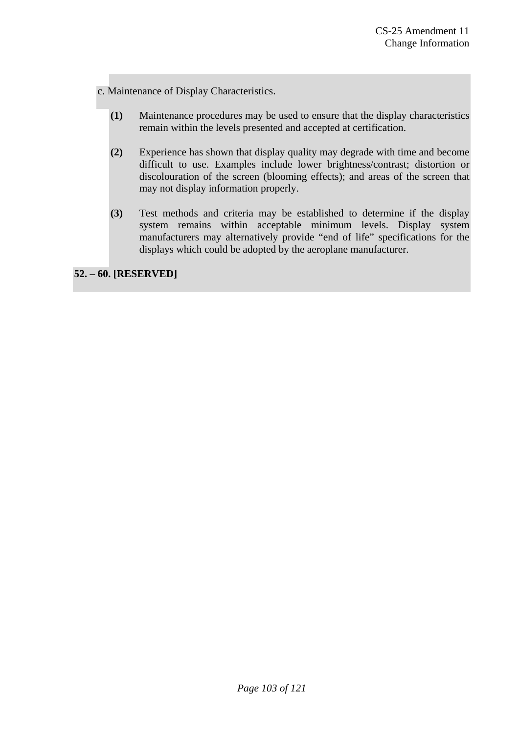c. Maintenance of Display Characteristics.

- **(1)** Maintenance procedures may be used to ensure that the display characteristics remain within the levels presented and accepted at certification.
- **(2)** Experience has shown that display quality may degrade with time and become difficult to use. Examples include lower brightness/contrast; distortion or discolouration of the screen (blooming effects); and areas of the screen that may not display information properly.
- **(3)** Test methods and criteria may be established to determine if the display system remains within acceptable minimum levels. Display system manufacturers may alternatively provide "end of life" specifications for the displays which could be adopted by the aeroplane manufacturer.

**52. – 60. [RESERVED]**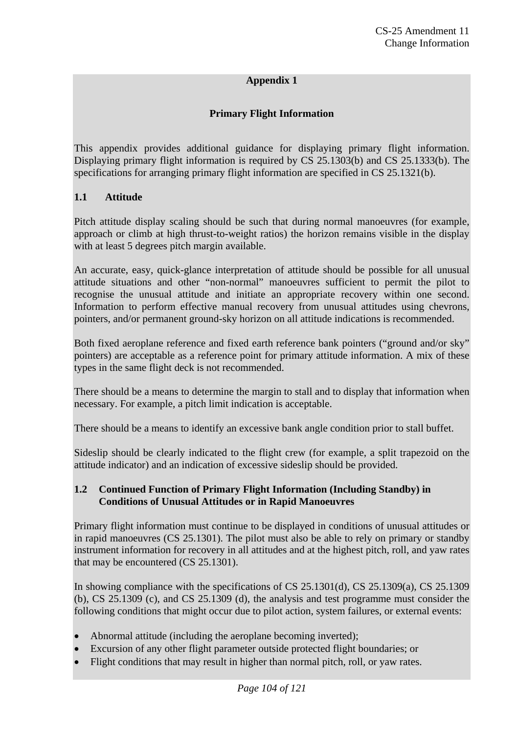### **Appendix 1**

### **Primary Flight Information**

This appendix provides additional guidance for displaying primary flight information. Displaying primary flight information is required by CS 25.1303(b) and CS 25.1333(b). The specifications for arranging primary flight information are specified in CS 25.1321(b).

### **1.1 Attitude**

Pitch attitude display scaling should be such that during normal manoeuvres (for example, approach or climb at high thrust-to-weight ratios) the horizon remains visible in the display with at least 5 degrees pitch margin available.

An accurate, easy, quick-glance interpretation of attitude should be possible for all unusual attitude situations and other "non-normal" manoeuvres sufficient to permit the pilot to recognise the unusual attitude and initiate an appropriate recovery within one second. Information to perform effective manual recovery from unusual attitudes using chevrons, pointers, and/or permanent ground-sky horizon on all attitude indications is recommended.

Both fixed aeroplane reference and fixed earth reference bank pointers ("ground and/or sky" pointers) are acceptable as a reference point for primary attitude information. A mix of these types in the same flight deck is not recommended.

There should be a means to determine the margin to stall and to display that information when necessary. For example, a pitch limit indication is acceptable.

There should be a means to identify an excessive bank angle condition prior to stall buffet.

Sideslip should be clearly indicated to the flight crew (for example, a split trapezoid on the attitude indicator) and an indication of excessive sideslip should be provided.

### **1.2 Continued Function of Primary Flight Information (Including Standby) in Conditions of Unusual Attitudes or in Rapid Manoeuvres**

Primary flight information must continue to be displayed in conditions of unusual attitudes or in rapid manoeuvres (CS 25.1301). The pilot must also be able to rely on primary or standby instrument information for recovery in all attitudes and at the highest pitch, roll, and yaw rates that may be encountered (CS 25.1301).

In showing compliance with the specifications of CS 25.1301(d), CS 25.1309(a), CS 25.1309 (b), CS 25.1309 (c), and CS 25.1309 (d), the analysis and test programme must consider the following conditions that might occur due to pilot action, system failures, or external events:

- Abnormal attitude (including the aeroplane becoming inverted);
- Excursion of any other flight parameter outside protected flight boundaries; or
- Flight conditions that may result in higher than normal pitch, roll, or yaw rates.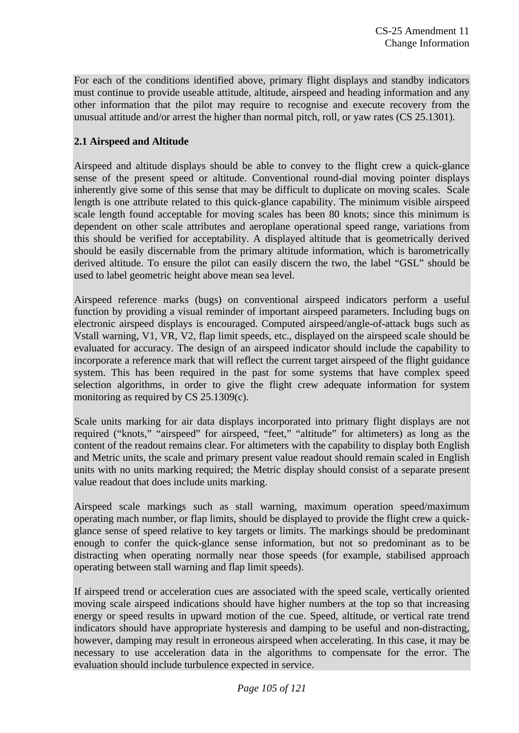For each of the conditions identified above, primary flight displays and standby indicators must continue to provide useable attitude, altitude, airspeed and heading information and any other information that the pilot may require to recognise and execute recovery from the unusual attitude and/or arrest the higher than normal pitch, roll, or yaw rates (CS 25.1301).

# **2.1 Airspeed and Altitude**

Airspeed and altitude displays should be able to convey to the flight crew a quick-glance sense of the present speed or altitude. Conventional round-dial moving pointer displays inherently give some of this sense that may be difficult to duplicate on moving scales. Scale length is one attribute related to this quick-glance capability. The minimum visible airspeed scale length found acceptable for moving scales has been 80 knots; since this minimum is dependent on other scale attributes and aeroplane operational speed range, variations from this should be verified for acceptability. A displayed altitude that is geometrically derived should be easily discernable from the primary altitude information, which is barometrically derived altitude. To ensure the pilot can easily discern the two, the label "GSL" should be used to label geometric height above mean sea level.

Airspeed reference marks (bugs) on conventional airspeed indicators perform a useful function by providing a visual reminder of important airspeed parameters. Including bugs on electronic airspeed displays is encouraged. Computed airspeed/angle-of-attack bugs such as Vstall warning, V1, VR, V2, flap limit speeds, etc., displayed on the airspeed scale should be evaluated for accuracy. The design of an airspeed indicator should include the capability to incorporate a reference mark that will reflect the current target airspeed of the flight guidance system. This has been required in the past for some systems that have complex speed selection algorithms, in order to give the flight crew adequate information for system monitoring as required by CS 25.1309(c).

Scale units marking for air data displays incorporated into primary flight displays are not required ("knots," "airspeed" for airspeed, "feet," "altitude" for altimeters) as long as the content of the readout remains clear. For altimeters with the capability to display both English and Metric units, the scale and primary present value readout should remain scaled in English units with no units marking required; the Metric display should consist of a separate present value readout that does include units marking.

Airspeed scale markings such as stall warning, maximum operation speed/maximum operating mach number, or flap limits, should be displayed to provide the flight crew a quickglance sense of speed relative to key targets or limits. The markings should be predominant enough to confer the quick-glance sense information, but not so predominant as to be distracting when operating normally near those speeds (for example, stabilised approach operating between stall warning and flap limit speeds).

If airspeed trend or acceleration cues are associated with the speed scale, vertically oriented moving scale airspeed indications should have higher numbers at the top so that increasing energy or speed results in upward motion of the cue. Speed, altitude, or vertical rate trend indicators should have appropriate hysteresis and damping to be useful and non-distracting, however, damping may result in erroneous airspeed when accelerating. In this case, it may be necessary to use acceleration data in the algorithms to compensate for the error. The evaluation should include turbulence expected in service.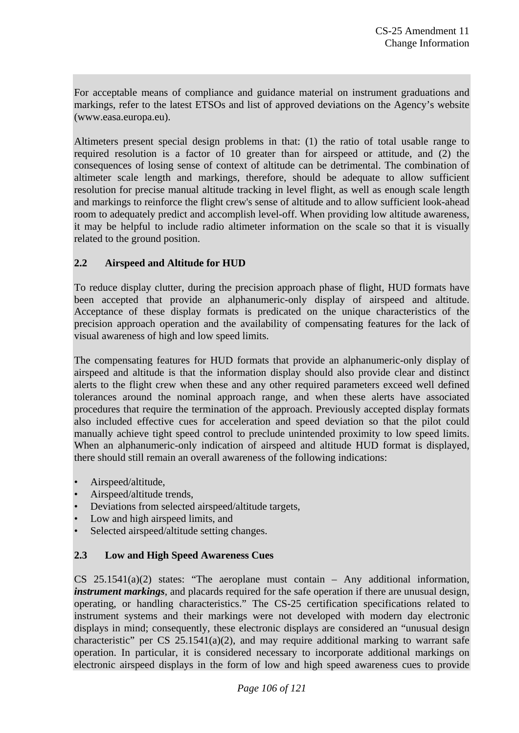For acceptable means of compliance and guidance material on instrument graduations and markings, refer to the latest ETSOs and list of approved deviations on the Agency's website (www.easa.europa.eu).

Altimeters present special design problems in that: (1) the ratio of total usable range to required resolution is a factor of 10 greater than for airspeed or attitude, and (2) the consequences of losing sense of context of altitude can be detrimental. The combination of altimeter scale length and markings, therefore, should be adequate to allow sufficient resolution for precise manual altitude tracking in level flight, as well as enough scale length and markings to reinforce the flight crew's sense of altitude and to allow sufficient look-ahead room to adequately predict and accomplish level-off. When providing low altitude awareness, it may be helpful to include radio altimeter information on the scale so that it is visually related to the ground position.

# **2.2 Airspeed and Altitude for HUD**

To reduce display clutter, during the precision approach phase of flight, HUD formats have been accepted that provide an alphanumeric-only display of airspeed and altitude. Acceptance of these display formats is predicated on the unique characteristics of the precision approach operation and the availability of compensating features for the lack of visual awareness of high and low speed limits.

The compensating features for HUD formats that provide an alphanumeric-only display of airspeed and altitude is that the information display should also provide clear and distinct alerts to the flight crew when these and any other required parameters exceed well defined tolerances around the nominal approach range, and when these alerts have associated procedures that require the termination of the approach. Previously accepted display formats also included effective cues for acceleration and speed deviation so that the pilot could manually achieve tight speed control to preclude unintended proximity to low speed limits. When an alphanumeric-only indication of airspeed and altitude HUD format is displayed, there should still remain an overall awareness of the following indications:

- Airspeed/altitude,
- Airspeed/altitude trends,
- Deviations from selected airspeed/altitude targets,
- Low and high airspeed limits, and
- Selected airspeed/altitude setting changes.

### **2.3 Low and High Speed Awareness Cues**

CS 25.1541(a)(2) states: "The aeroplane must contain – Any additional information, *instrument markings*, and placards required for the safe operation if there are unusual design, operating, or handling characteristics." The CS-25 certification specifications related to instrument systems and their markings were not developed with modern day electronic displays in mind; consequently, these electronic displays are considered an "unusual design characteristic" per CS  $25.1541(a)(2)$ , and may require additional marking to warrant safe operation. In particular, it is considered necessary to incorporate additional markings on electronic airspeed displays in the form of low and high speed awareness cues to provide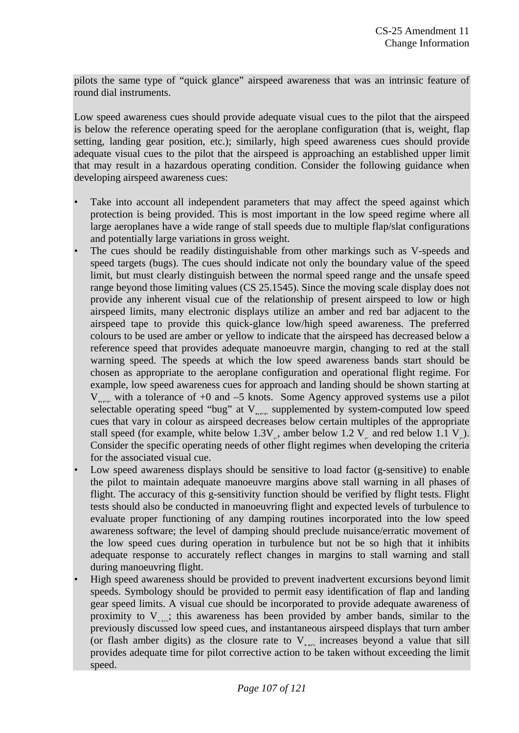pilots the same type of "quick glance" airspeed awareness that was an intrinsic feature of round dial instruments.

Low speed awareness cues should provide adequate visual cues to the pilot that the airspeed is below the reference operating speed for the aeroplane configuration (that is, weight, flap setting, landing gear position, etc.); similarly, high speed awareness cues should provide adequate visual cues to the pilot that the airspeed is approaching an established upper limit that may result in a hazardous operating condition. Consider the following guidance when developing airspeed awareness cues:

- Take into account all independent parameters that may affect the speed against which protection is being provided. This is most important in the low speed regime where all large aeroplanes have a wide range of stall speeds due to multiple flap/slat configurations and potentially large variations in gross weight.
- The cues should be readily distinguishable from other markings such as V-speeds and speed targets (bugs). The cues should indicate not only the boundary value of the speed limit, but must clearly distinguish between the normal speed range and the unsafe speed range beyond those limiting values (CS 25.1545). Since the moving scale display does not provide any inherent visual cue of the relationship of present airspeed to low or high airspeed limits, many electronic displays utilize an amber and red bar adjacent to the airspeed tape to provide this quick-glance low/high speed awareness. The preferred colours to be used are amber or yellow to indicate that the airspeed has decreased below a reference speed that provides adequate manoeuvre margin, changing to red at the stall warning speed. The speeds at which the low speed awareness bands start should be chosen as appropriate to the aeroplane configuration and operational flight regime. For example, low speed awareness cues for approach and landing should be shown starting at  $V_{\text{max}}$  with a tolerance of +0 and -5 knots. Some Agency approved systems use a pilot selectable operating speed "bug" at V<sub>REF</sub> supplemented by system-computed low speed cues that vary in colour as airspeed decreases below certain multiples of the appropriate stall speed (for example, white below  $1.3V<sub>s</sub>$ , amber below  $1.2 V<sub>s</sub>$  and red below  $1.1 V<sub>s</sub>$ ). Consider the specific operating needs of other flight regimes when developing the criteria for the associated visual cue.
- Low speed awareness displays should be sensitive to load factor (g-sensitive) to enable the pilot to maintain adequate manoeuvre margins above stall warning in all phases of flight. The accuracy of this g-sensitivity function should be verified by flight tests. Flight tests should also be conducted in manoeuvring flight and expected levels of turbulence to evaluate proper functioning of any damping routines incorporated into the low speed awareness software; the level of damping should preclude nuisance/erratic movement of the low speed cues during operation in turbulence but not be so high that it inhibits adequate response to accurately reflect changes in margins to stall warning and stall during manoeuvring flight.
- High speed awareness should be provided to prevent inadvertent excursions beyond limit speeds. Symbology should be provided to permit easy identification of flap and landing gear speed limits. A visual cue should be incorporated to provide adequate awareness of proximity to  $V_{\text{max}}$ ; this awareness has been provided by amber bands, similar to the previously discussed low speed cues, and instantaneous airspeed displays that turn amber (or flash amber digits) as the closure rate to  $V_{\text{MSE}}$  increases beyond a value that sill provides adequate time for pilot corrective action to be taken without exceeding the limit speed.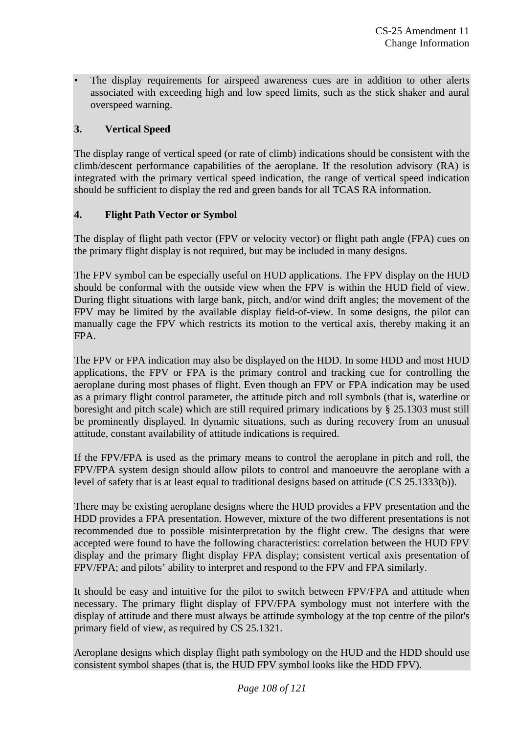The display requirements for airspeed awareness cues are in addition to other alerts associated with exceeding high and low speed limits, such as the stick shaker and aural overspeed warning.

# **3. Vertical Speed**

The display range of vertical speed (or rate of climb) indications should be consistent with the climb/descent performance capabilities of the aeroplane. If the resolution advisory (RA) is integrated with the primary vertical speed indication, the range of vertical speed indication should be sufficient to display the red and green bands for all TCAS RA information.

# **4. Flight Path Vector or Symbol**

The display of flight path vector (FPV or velocity vector) or flight path angle (FPA) cues on the primary flight display is not required, but may be included in many designs.

The FPV symbol can be especially useful on HUD applications. The FPV display on the HUD should be conformal with the outside view when the FPV is within the HUD field of view. During flight situations with large bank, pitch, and/or wind drift angles; the movement of the FPV may be limited by the available display field-of-view. In some designs, the pilot can manually cage the FPV which restricts its motion to the vertical axis, thereby making it an FPA.

The FPV or FPA indication may also be displayed on the HDD. In some HDD and most HUD applications, the FPV or FPA is the primary control and tracking cue for controlling the aeroplane during most phases of flight. Even though an FPV or FPA indication may be used as a primary flight control parameter, the attitude pitch and roll symbols (that is, waterline or boresight and pitch scale) which are still required primary indications by § 25.1303 must still be prominently displayed. In dynamic situations, such as during recovery from an unusual attitude, constant availability of attitude indications is required.

If the FPV/FPA is used as the primary means to control the aeroplane in pitch and roll, the FPV/FPA system design should allow pilots to control and manoeuvre the aeroplane with a level of safety that is at least equal to traditional designs based on attitude (CS 25.1333(b)).

There may be existing aeroplane designs where the HUD provides a FPV presentation and the HDD provides a FPA presentation. However, mixture of the two different presentations is not recommended due to possible misinterpretation by the flight crew. The designs that were accepted were found to have the following characteristics: correlation between the HUD FPV display and the primary flight display FPA display; consistent vertical axis presentation of FPV/FPA; and pilots' ability to interpret and respond to the FPV and FPA similarly.

It should be easy and intuitive for the pilot to switch between FPV/FPA and attitude when necessary. The primary flight display of FPV/FPA symbology must not interfere with the display of attitude and there must always be attitude symbology at the top centre of the pilot's primary field of view, as required by CS 25.1321.

Aeroplane designs which display flight path symbology on the HUD and the HDD should use consistent symbol shapes (that is, the HUD FPV symbol looks like the HDD FPV).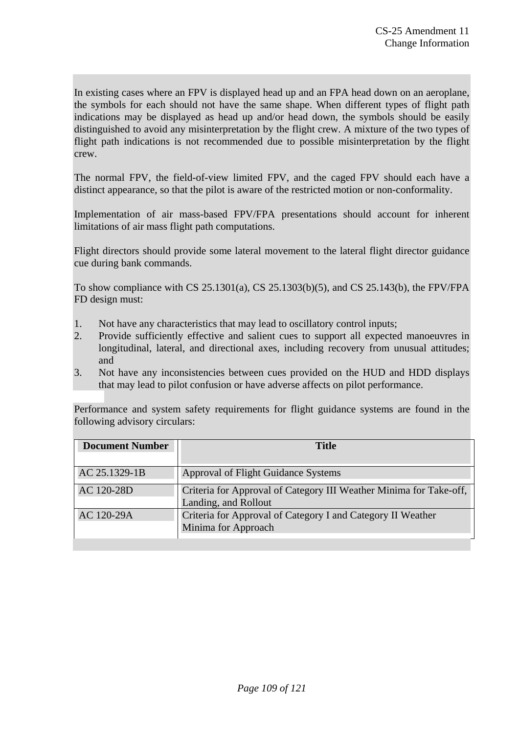In existing cases where an FPV is displayed head up and an FPA head down on an aeroplane, the symbols for each should not have the same shape. When different types of flight path indications may be displayed as head up and/or head down, the symbols should be easily distinguished to avoid any misinterpretation by the flight crew. A mixture of the two types of flight path indications is not recommended due to possible misinterpretation by the flight crew.

The normal FPV, the field-of-view limited FPV, and the caged FPV should each have a distinct appearance, so that the pilot is aware of the restricted motion or non-conformality.

Implementation of air mass-based FPV/FPA presentations should account for inherent limitations of air mass flight path computations.

Flight directors should provide some lateral movement to the lateral flight director guidance cue during bank commands.

To show compliance with CS 25.1301(a), CS 25.1303(b)(5), and CS 25.143(b), the FPV/FPA FD design must:

- 1. Not have any characteristics that may lead to oscillatory control inputs;
- 2. Provide sufficiently effective and salient cues to support all expected manoeuvres in longitudinal, lateral, and directional axes, including recovery from unusual attitudes; and
- 3. Not have any inconsistencies between cues provided on the HUD and HDD displays that may lead to pilot confusion or have adverse affects on pilot performance.

Performance and system safety requirements for flight guidance systems are found in the following advisory circulars:

| <b>Document Number</b> | <b>Title</b>                                                                               |
|------------------------|--------------------------------------------------------------------------------------------|
| AC 25.1329-1B          | Approval of Flight Guidance Systems                                                        |
| AC 120-28D             | Criteria for Approval of Category III Weather Minima for Take-off,<br>Landing, and Rollout |
| AC 120-29A             | Criteria for Approval of Category I and Category II Weather<br>Minima for Approach         |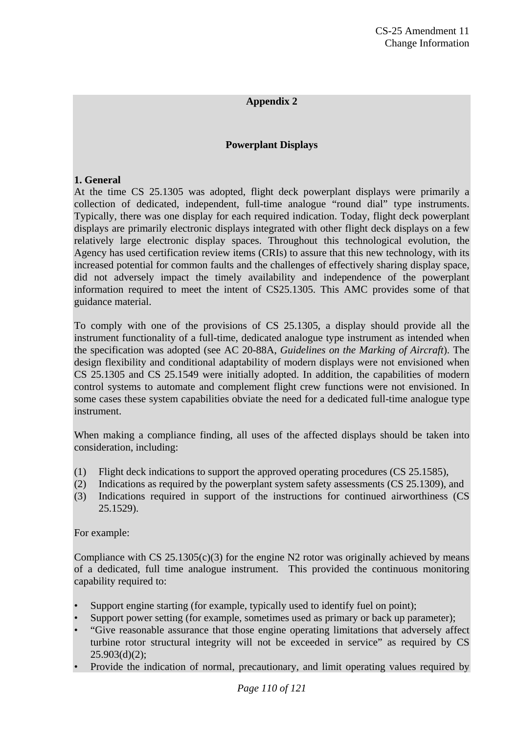## **Appendix 2**

### **Powerplant Displays**

### **1. General**

At the time CS 25.1305 was adopted, flight deck powerplant displays were primarily a collection of dedicated, independent, full-time analogue "round dial" type instruments. Typically, there was one display for each required indication. Today, flight deck powerplant displays are primarily electronic displays integrated with other flight deck displays on a few relatively large electronic display spaces. Throughout this technological evolution, the Agency has used certification review items (CRIs) to assure that this new technology, with its increased potential for common faults and the challenges of effectively sharing display space, did not adversely impact the timely availability and independence of the powerplant information required to meet the intent of CS25.1305. This AMC provides some of that guidance material.

To comply with one of the provisions of CS 25.1305, a display should provide all the instrument functionality of a full-time, dedicated analogue type instrument as intended when the specification was adopted (see AC 20-88A, *Guidelines on the Marking of Aircraft*). The design flexibility and conditional adaptability of modern displays were not envisioned when CS 25.1305 and CS 25.1549 were initially adopted. In addition, the capabilities of modern control systems to automate and complement flight crew functions were not envisioned. In some cases these system capabilities obviate the need for a dedicated full-time analogue type instrument.

When making a compliance finding, all uses of the affected displays should be taken into consideration, including:

- (1) Flight deck indications to support the approved operating procedures (CS 25.1585),
- (2) Indications as required by the powerplant system safety assessments (CS 25.1309), and
- (3) Indications required in support of the instructions for continued airworthiness (CS 25.1529).

#### For example:

Compliance with  $CS$  25.1305(c)(3) for the engine N2 rotor was originally achieved by means of a dedicated, full time analogue instrument. This provided the continuous monitoring capability required to:

- Support engine starting (for example, typically used to identify fuel on point);
- Support power setting (for example, sometimes used as primary or back up parameter);
- "Give reasonable assurance that those engine operating limitations that adversely affect turbine rotor structural integrity will not be exceeded in service" as required by CS  $25.903(d)(2)$ ;
- Provide the indication of normal, precautionary, and limit operating values required by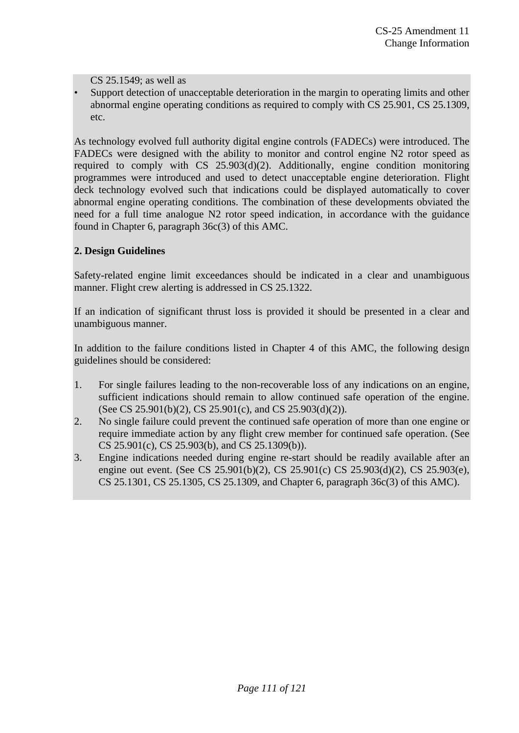CS 25.1549; as well as

• Support detection of unacceptable deterioration in the margin to operating limits and other abnormal engine operating conditions as required to comply with CS 25.901, CS 25.1309, etc.

As technology evolved full authority digital engine controls (FADECs) were introduced. The FADECs were designed with the ability to monitor and control engine N2 rotor speed as required to comply with CS 25.903(d)(2). Additionally, engine condition monitoring programmes were introduced and used to detect unacceptable engine deterioration. Flight deck technology evolved such that indications could be displayed automatically to cover abnormal engine operating conditions. The combination of these developments obviated the need for a full time analogue N2 rotor speed indication, in accordance with the guidance found in Chapter 6, paragraph 36c(3) of this AMC.

## **2. Design Guidelines**

Safety-related engine limit exceedances should be indicated in a clear and unambiguous manner. Flight crew alerting is addressed in CS 25.1322.

If an indication of significant thrust loss is provided it should be presented in a clear and unambiguous manner.

In addition to the failure conditions listed in Chapter 4 of this AMC, the following design guidelines should be considered:

- 1. For single failures leading to the non-recoverable loss of any indications on an engine, sufficient indications should remain to allow continued safe operation of the engine. (See CS 25.901(b)(2), CS 25.901(c), and CS 25.903(d)(2)).
- 2. No single failure could prevent the continued safe operation of more than one engine or require immediate action by any flight crew member for continued safe operation. (See CS 25.901(c), CS 25.903(b), and CS 25.1309(b)).
- 3. Engine indications needed during engine re-start should be readily available after an engine out event. (See CS 25.901(b)(2), CS 25.901(c) CS 25.903(d)(2), CS 25.903(e), CS 25.1301, CS 25.1305, CS 25.1309, and Chapter 6, paragraph 36c(3) of this AMC).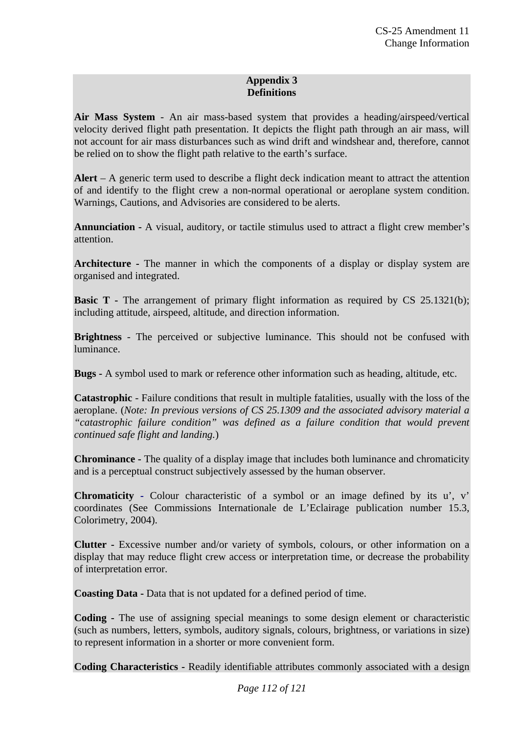## **Appendix 3 Definitions**

**Air Mass System** - An air mass-based system that provides a heading/airspeed/vertical velocity derived flight path presentation. It depicts the flight path through an air mass, will not account for air mass disturbances such as wind drift and windshear and, therefore, cannot be relied on to show the flight path relative to the earth's surface.

**Alert** – A generic term used to describe a flight deck indication meant to attract the attention of and identify to the flight crew a non-normal operational or aeroplane system condition. Warnings, Cautions, and Advisories are considered to be alerts.

**Annunciation -** A visual, auditory, or tactile stimulus used to attract a flight crew member's attention.

**Architecture -** The manner in which the components of a display or display system are organised and integrated.

**Basic T** – The arrangement of primary flight information as required by CS 25.1321(b); including attitude, airspeed, altitude, and direction information.

**Brightness** - The perceived or subjective luminance. This should not be confused with luminance.

**Bugs -** A symbol used to mark or reference other information such as heading, altitude, etc.

**Catastrophic** - Failure conditions that result in multiple fatalities, usually with the loss of the aeroplane. (*Note: In previous versions of CS 25.1309 and the associated advisory material a "catastrophic failure condition" was defined as a failure condition that would prevent continued safe flight and landing.*)

**Chrominance -** The quality of a display image that includes both luminance and chromaticity and is a perceptual construct subjectively assessed by the human observer.

**Chromaticity -** Colour characteristic of a symbol or an image defined by its u', v' coordinates (See Commissions Internationale de L'Eclairage publication number 15.3, Colorimetry, 2004).

**Clutter -** Excessive number and/or variety of symbols, colours, or other information on a display that may reduce flight crew access or interpretation time, or decrease the probability of interpretation error.

**Coasting Data -** Data that is not updated for a defined period of time.

**Coding -** The use of assigning special meanings to some design element or characteristic (such as numbers, letters, symbols, auditory signals, colours, brightness, or variations in size) to represent information in a shorter or more convenient form.

**Coding Characteristics -** Readily identifiable attributes commonly associated with a design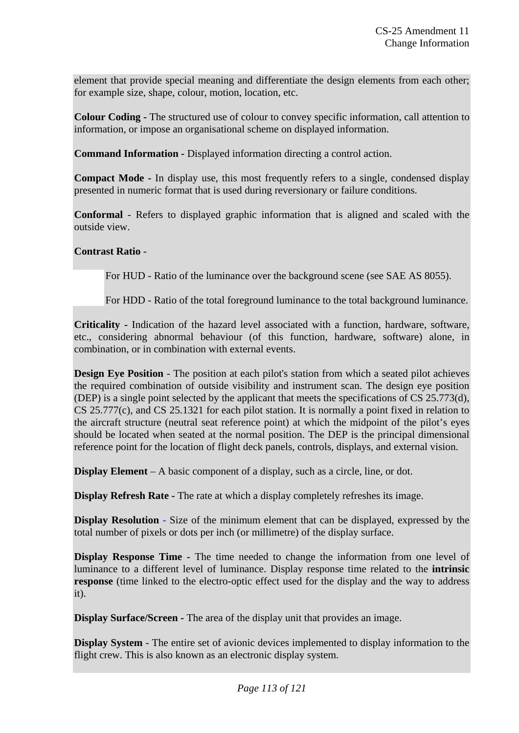element that provide special meaning and differentiate the design elements from each other; for example size, shape, colour, motion, location, etc.

**Colour Coding -** The structured use of colour to convey specific information, call attention to information, or impose an organisational scheme on displayed information.

**Command Information -** Displayed information directing a control action.

**Compact Mode -** In display use, this most frequently refers to a single, condensed display presented in numeric format that is used during reversionary or failure conditions.

**Conformal** - Refers to displayed graphic information that is aligned and scaled with the outside view.

## **Contrast Ratio** -

For HUD - Ratio of the luminance over the background scene (see SAE AS 8055).

For HDD - Ratio of the total foreground luminance to the total background luminance.

**Criticality -** Indication of the hazard level associated with a function, hardware, software, etc., considering abnormal behaviour (of this function, hardware, software) alone, in combination, or in combination with external events.

**Design Eye Position** - The position at each pilot's station from which a seated pilot achieves the required combination of outside visibility and instrument scan. The design eye position (DEP) is a single point selected by the applicant that meets the specifications of CS 25.773(d), CS 25.777(c), and CS 25.1321 for each pilot station. It is normally a point fixed in relation to the aircraft structure (neutral seat reference point) at which the midpoint of the pilot's eyes should be located when seated at the normal position. The DEP is the principal dimensional reference point for the location of flight deck panels, controls, displays, and external vision.

**Display Element** – A basic component of a display, such as a circle, line, or dot.

**Display Refresh Rate -** The rate at which a display completely refreshes its image.

**Display Resolution** - Size of the minimum element that can be displayed, expressed by the total number of pixels or dots per inch (or millimetre) of the display surface.

**Display Response Time -** The time needed to change the information from one level of luminance to a different level of luminance. Display response time related to the **intrinsic response** (time linked to the electro-optic effect used for the display and the way to address it).

**Display Surface/Screen -** The area of the display unit that provides an image.

**Display System** - The entire set of avionic devices implemented to display information to the flight crew. This is also known as an electronic display system.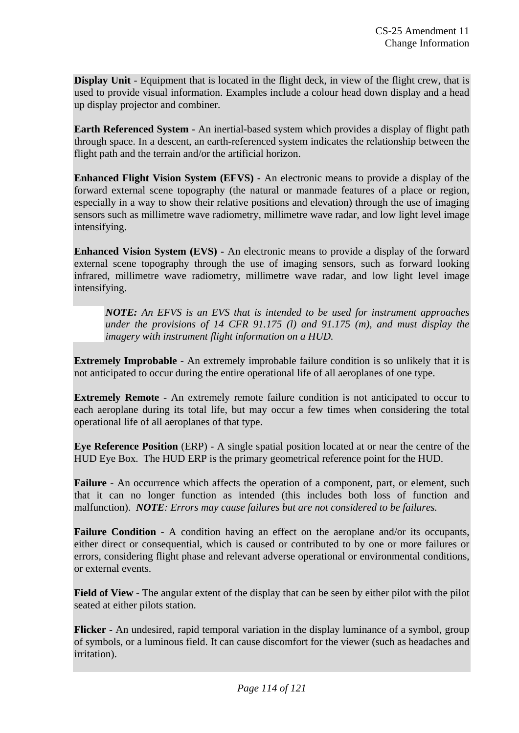**Display Unit** - Equipment that is located in the flight deck, in view of the flight crew, that is used to provide visual information. Examples include a colour head down display and a head up display projector and combiner.

**Earth Referenced System** - An inertial-based system which provides a display of flight path through space. In a descent, an earth-referenced system indicates the relationship between the flight path and the terrain and/or the artificial horizon.

**Enhanced Flight Vision System (EFVS) -** An electronic means to provide a display of the forward external scene topography (the natural or manmade features of a place or region, especially in a way to show their relative positions and elevation) through the use of imaging sensors such as millimetre wave radiometry, millimetre wave radar, and low light level image intensifying.

**Enhanced Vision System (EVS) -** An electronic means to provide a display of the forward external scene topography through the use of imaging sensors, such as forward looking infrared, millimetre wave radiometry, millimetre wave radar, and low light level image intensifying.

*NOTE: An EFVS is an EVS that is intended to be used for instrument approaches under the provisions of 14 CFR 91.175 (l) and 91.175 (m), and must display the imagery with instrument flight information on a HUD.* 

**Extremely Improbable** - An extremely improbable failure condition is so unlikely that it is not anticipated to occur during the entire operational life of all aeroplanes of one type.

**Extremely Remote** - An extremely remote failure condition is not anticipated to occur to each aeroplane during its total life, but may occur a few times when considering the total operational life of all aeroplanes of that type.

**Eye Reference Position** (ERP) - A single spatial position located at or near the centre of the HUD Eye Box. The HUD ERP is the primary geometrical reference point for the HUD.

**Failure** - An occurrence which affects the operation of a component, part, or element, such that it can no longer function as intended (this includes both loss of function and malfunction). *NOTE: Errors may cause failures but are not considered to be failures.* 

**Failure Condition** - A condition having an effect on the aeroplane and/or its occupants, either direct or consequential, which is caused or contributed to by one or more failures or errors, considering flight phase and relevant adverse operational or environmental conditions, or external events.

**Field of View** - The angular extent of the display that can be seen by either pilot with the pilot seated at either pilots station.

**Flicker -** An undesired, rapid temporal variation in the display luminance of a symbol, group of symbols, or a luminous field. It can cause discomfort for the viewer (such as headaches and irritation).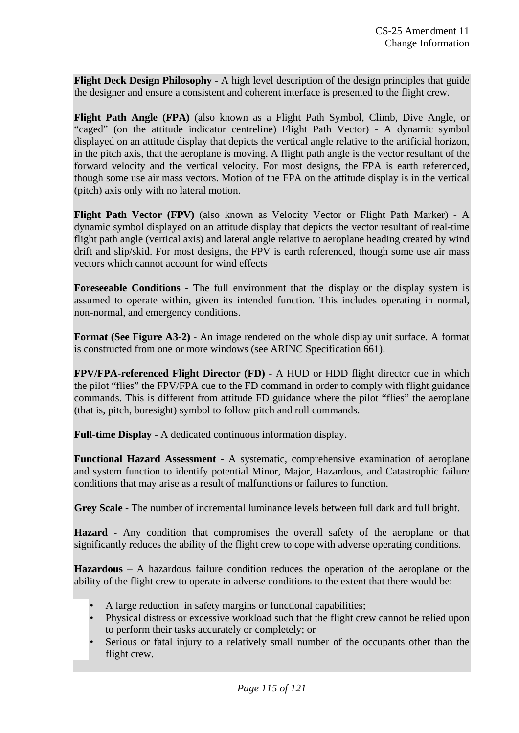**Flight Deck Design Philosophy -** A high level description of the design principles that guide the designer and ensure a consistent and coherent interface is presented to the flight crew.

**Flight Path Angle (FPA)** (also known as a Flight Path Symbol, Climb, Dive Angle, or "caged" (on the attitude indicator centreline) Flight Path Vector) - A dynamic symbol displayed on an attitude display that depicts the vertical angle relative to the artificial horizon, in the pitch axis, that the aeroplane is moving. A flight path angle is the vector resultant of the forward velocity and the vertical velocity. For most designs, the FPA is earth referenced, though some use air mass vectors. Motion of the FPA on the attitude display is in the vertical (pitch) axis only with no lateral motion.

**Flight Path Vector (FPV)** (also known as Velocity Vector or Flight Path Marker) - A dynamic symbol displayed on an attitude display that depicts the vector resultant of real-time flight path angle (vertical axis) and lateral angle relative to aeroplane heading created by wind drift and slip/skid. For most designs, the FPV is earth referenced, though some use air mass vectors which cannot account for wind effects

**Foreseeable Conditions -** The full environment that the display or the display system is assumed to operate within, given its intended function. This includes operating in normal, non-normal, and emergency conditions.

**Format (See Figure A3-2)** - An image rendered on the whole display unit surface. A format is constructed from one or more windows (see ARINC Specification 661).

**FPV/FPA**-**referenced Flight Director (FD)** - A HUD or HDD flight director cue in which the pilot "flies" the FPV/FPA cue to the FD command in order to comply with flight guidance commands. This is different from attitude FD guidance where the pilot "flies" the aeroplane (that is, pitch, boresight) symbol to follow pitch and roll commands.

**Full-time Display -** A dedicated continuous information display.

**Functional Hazard Assessment -** A systematic, comprehensive examination of aeroplane and system function to identify potential Minor, Major, Hazardous, and Catastrophic failure conditions that may arise as a result of malfunctions or failures to function.

Grey Scale - The number of incremental luminance levels between full dark and full bright.

**Hazard -** Any condition that compromises the overall safety of the aeroplane or that significantly reduces the ability of the flight crew to cope with adverse operating conditions.

**Hazardous** – A hazardous failure condition reduces the operation of the aeroplane or the ability of the flight crew to operate in adverse conditions to the extent that there would be:

- A large reduction in safety margins or functional capabilities;
- Physical distress or excessive workload such that the flight crew cannot be relied upon to perform their tasks accurately or completely; or
- Serious or fatal injury to a relatively small number of the occupants other than the flight crew.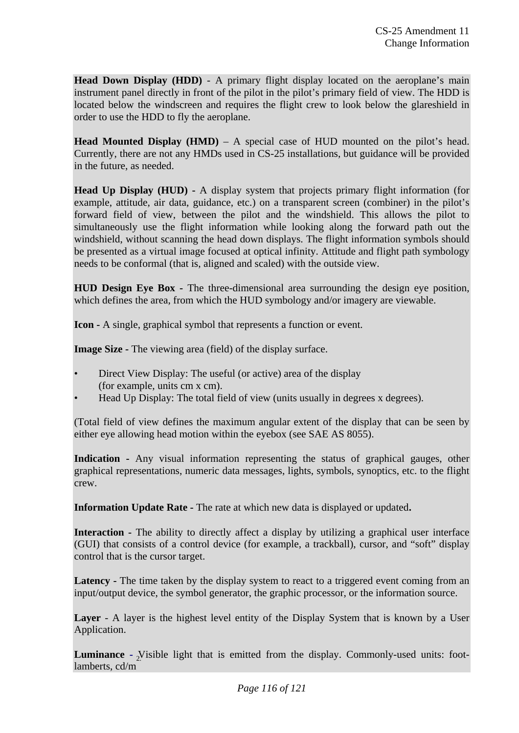**Head Down Display (HDD)** - A primary flight display located on the aeroplane's main instrument panel directly in front of the pilot in the pilot's primary field of view. The HDD is located below the windscreen and requires the flight crew to look below the glareshield in order to use the HDD to fly the aeroplane.

**Head Mounted Display (HMD)** – A special case of HUD mounted on the pilot's head. Currently, there are not any HMDs used in CS-25 installations, but guidance will be provided in the future, as needed.

**Head Up Display (HUD) -** A display system that projects primary flight information (for example, attitude, air data, guidance, etc.) on a transparent screen (combiner) in the pilot's forward field of view, between the pilot and the windshield. This allows the pilot to simultaneously use the flight information while looking along the forward path out the windshield, without scanning the head down displays. The flight information symbols should be presented as a virtual image focused at optical infinity. Attitude and flight path symbology needs to be conformal (that is, aligned and scaled) with the outside view.

**HUD Design Eye Box -** The three-dimensional area surrounding the design eye position, which defines the area, from which the HUD symbology and/or imagery are viewable.

**Icon -** A single, graphical symbol that represents a function or event.

**Image Size -** The viewing area (field) of the display surface.

- Direct View Display: The useful (or active) area of the display (for example, units cm x cm).
- Head Up Display: The total field of view (units usually in degrees x degrees).

(Total field of view defines the maximum angular extent of the display that can be seen by either eye allowing head motion within the eyebox (see SAE AS 8055).

**Indication -** Any visual information representing the status of graphical gauges, other graphical representations, numeric data messages, lights, symbols, synoptics, etc. to the flight crew.

**Information Update Rate -** The rate at which new data is displayed or updated**.** 

**Interaction -** The ability to directly affect a display by utilizing a graphical user interface (GUI) that consists of a control device (for example, a trackball), cursor, and "soft" display control that is the cursor target.

Latency - The time taken by the display system to react to a triggered event coming from an input/output device, the symbol generator, the graphic processor, or the information source.

Layer - A layer is the highest level entity of the Display System that is known by a User Application.

**Luminance** - *N*isible light that is emitted from the display. Commonly-used units: footlamberts, cd/m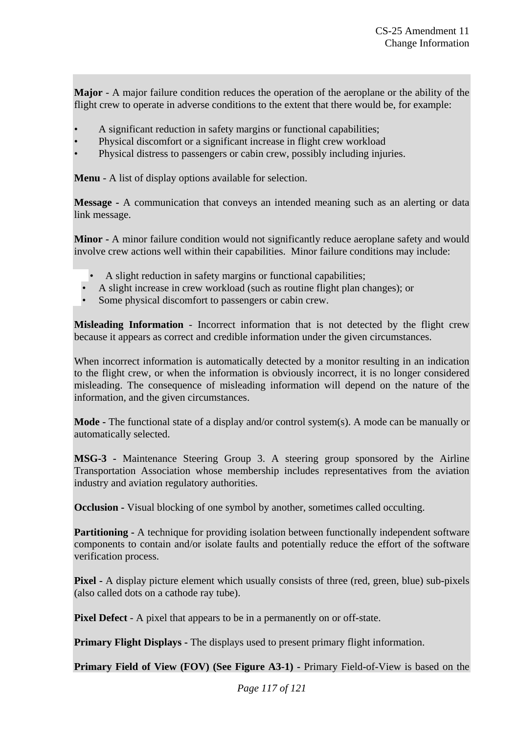**Major** - A major failure condition reduces the operation of the aeroplane or the ability of the flight crew to operate in adverse conditions to the extent that there would be, for example:

- A significant reduction in safety margins or functional capabilities;
- Physical discomfort or a significant increase in flight crew workload
- Physical distress to passengers or cabin crew, possibly including injuries.

**Menu** - A list of display options available for selection.

**Message -** A communication that conveys an intended meaning such as an alerting or data link message.

**Minor -** A minor failure condition would not significantly reduce aeroplane safety and would involve crew actions well within their capabilities. Minor failure conditions may include:

- A slight reduction in safety margins or functional capabilities;
- A slight increase in crew workload (such as routine flight plan changes); or
- Some physical discomfort to passengers or cabin crew.

**Misleading Information** - Incorrect information that is not detected by the flight crew because it appears as correct and credible information under the given circumstances.

When incorrect information is automatically detected by a monitor resulting in an indication to the flight crew, or when the information is obviously incorrect, it is no longer considered misleading. The consequence of misleading information will depend on the nature of the information, and the given circumstances.

**Mode -** The functional state of a display and/or control system(s). A mode can be manually or automatically selected.

**MSG-3 -** Maintenance Steering Group 3. A steering group sponsored by the Airline Transportation Association whose membership includes representatives from the aviation industry and aviation regulatory authorities.

**Occlusion -** Visual blocking of one symbol by another, sometimes called occulting.

**Partitioning -** A technique for providing isolation between functionally independent software components to contain and/or isolate faults and potentially reduce the effort of the software verification process.

**Pixel -** A display picture element which usually consists of three (red, green, blue) sub-pixels (also called dots on a cathode ray tube).

**Pixel Defect** - A pixel that appears to be in a permanently on or off-state.

**Primary Flight Displays - The displays used to present primary flight information.** 

**Primary Field of View (FOV) (See Figure A3-1) - Primary Field-of-View is based on the**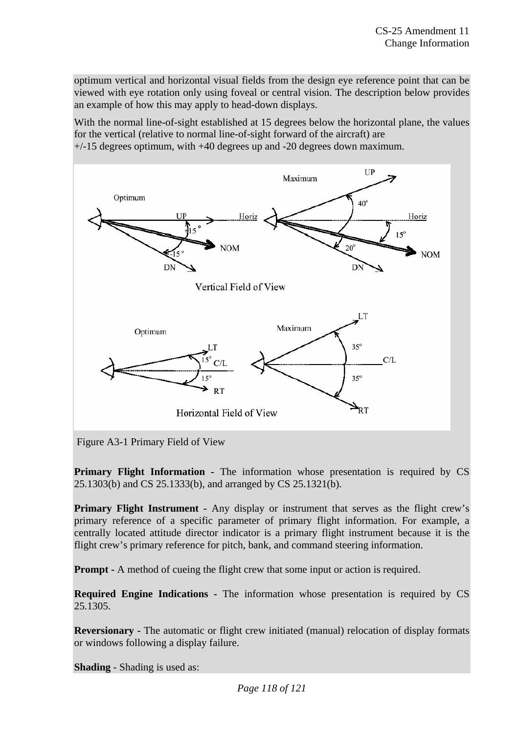optimum vertical and horizontal visual fields from the design eye reference point that can be viewed with eye rotation only using foveal or central vision. The description below provides an example of how this may apply to head-down displays.

With the normal line-of-sight established at 15 degrees below the horizontal plane, the values for the vertical (relative to normal line-of-sight forward of the aircraft) are

+/-15 degrees optimum, with +40 degrees up and -20 degrees down maximum.



Figure A3-1 Primary Field of View

**Primary Flight Information -** The information whose presentation is required by CS 25.1303(b) and CS 25.1333(b), and arranged by CS 25.1321(b).

**Primary Flight Instrument -** Any display or instrument that serves as the flight crew's primary reference of a specific parameter of primary flight information. For example, a centrally located attitude director indicator is a primary flight instrument because it is the flight crew's primary reference for pitch, bank, and command steering information.

**Prompt -** A method of cueing the flight crew that some input or action is required.

**Required Engine Indications -** The information whose presentation is required by CS 25.1305.

**Reversionary -** The automatic or flight crew initiated (manual) relocation of display formats or windows following a display failure.

**Shading** - Shading is used as: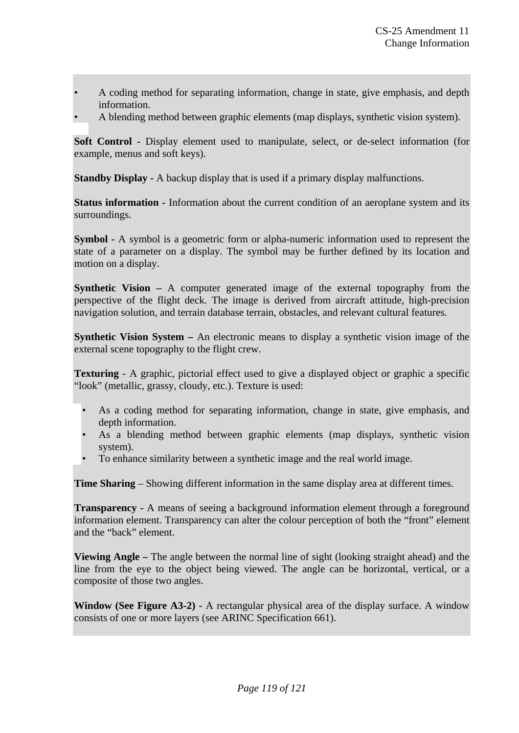- A coding method for separating information, change in state, give emphasis, and depth information.
- A blending method between graphic elements (map displays, synthetic vision system).

**Soft Control -** Display element used to manipulate, select, or de-select information (for example, menus and soft keys).

**Standby Display -** A backup display that is used if a primary display malfunctions.

**Status information -** Information about the current condition of an aeroplane system and its surroundings.

**Symbol -** A symbol is a geometric form or alpha-numeric information used to represent the state of a parameter on a display. The symbol may be further defined by its location and motion on a display.

**Synthetic Vision –** A computer generated image of the external topography from the perspective of the flight deck. The image is derived from aircraft attitude, high-precision navigation solution, and terrain database terrain, obstacles, and relevant cultural features.

**Synthetic Vision System –** An electronic means to display a synthetic vision image of the external scene topography to the flight crew.

**Texturing** - A graphic, pictorial effect used to give a displayed object or graphic a specific "look" (metallic, grassy, cloudy, etc.). Texture is used:

- As a coding method for separating information, change in state, give emphasis, and depth information.
- As a blending method between graphic elements (map displays, synthetic vision system).
- To enhance similarity between a synthetic image and the real world image.

**Time Sharing** – Showing different information in the same display area at different times.

**Transparency -** A means of seeing a background information element through a foreground information element. Transparency can alter the colour perception of both the "front" element and the "back" element.

**Viewing Angle –** The angle between the normal line of sight (looking straight ahead) and the line from the eye to the object being viewed. The angle can be horizontal, vertical, or a composite of those two angles.

**Window (See Figure A3-2)** - A rectangular physical area of the display surface. A window consists of one or more layers (see ARINC Specification 661).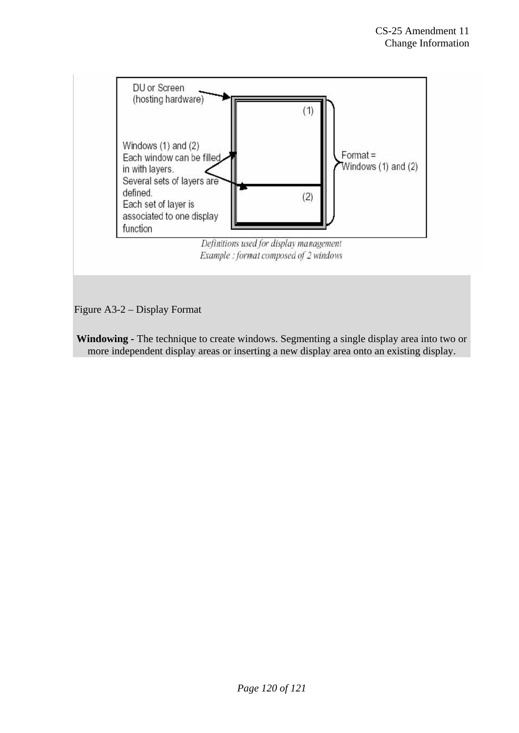

**Windowing -** The technique to create windows. Segmenting a single display area into two or more independent display areas or inserting a new display area onto an existing display.